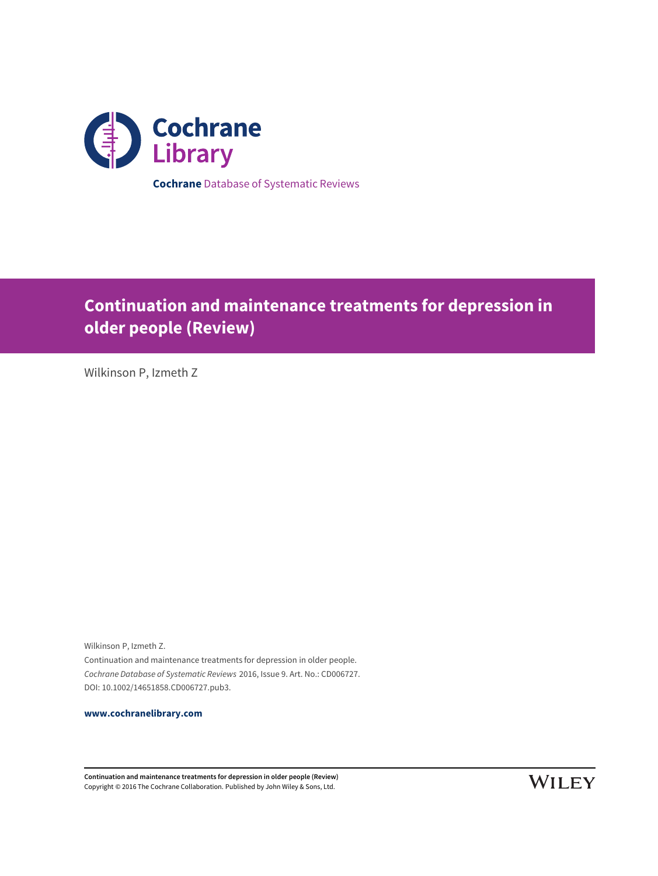

**Cochrane** Database of Systematic Reviews

# **Continuation and maintenance treatments for depression in older people (Review)**

Wilkinson P, Izmeth Z

Wilkinson P, Izmeth Z. Continuation and maintenance treatments for depression in older people. Cochrane Database of Systematic Reviews 2016, Issue 9. Art. No.: CD006727. DOI: 10.1002/14651858.CD006727.pub3.

**[www.cochranelibrary.com](http://www.cochranelibrary.com)**

**Continuation and maintenance treatments for depression in older people (Review)** Copyright © 2016 The Cochrane Collaboration. Published by John Wiley & Sons, Ltd.

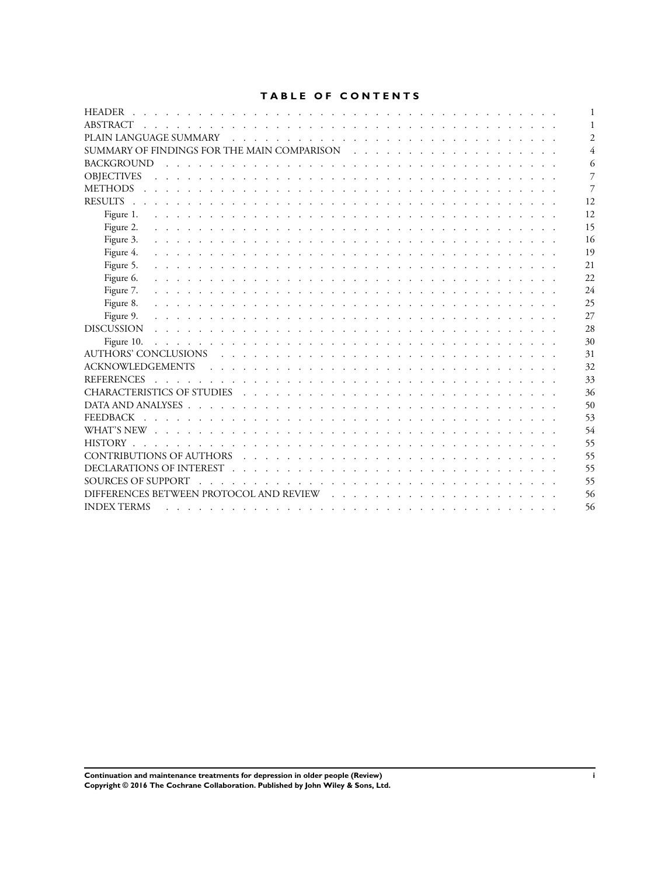### **TABLE OF CONTENTS**

| <b>HEADER</b>                                                                                                                                                                                                                                                |    |
|--------------------------------------------------------------------------------------------------------------------------------------------------------------------------------------------------------------------------------------------------------------|----|
| <b>ABSTRACT</b>                                                                                                                                                                                                                                              |    |
| PLAIN LANGUAGE SUMMARY<br><u>. A series de la característica de la característica de la característica de la característica de la caracterí</u>                                                                                                              |    |
| SUMMARY OF FINDINGS FOR THE MAIN COMPARISON (ed. a) and a contract the contract of the contract of the contract of the contract of the contract of the contract of the contract of the contract of the contract of the contrac                               |    |
| <b>BACKGROUND</b>                                                                                                                                                                                                                                            | 6  |
| <b>OBJECTIVES</b><br>the contract of the contract of the contract of the contract of the contract of the contract of the contract of                                                                                                                         |    |
| <b>METHODS</b>                                                                                                                                                                                                                                               |    |
| <b>RESULTS</b>                                                                                                                                                                                                                                               | 12 |
| Figure 1.<br><u>. In the second contract of the second contract of the second contract of the second contract of the second con</u>                                                                                                                          | 12 |
| Figure 2.                                                                                                                                                                                                                                                    | 15 |
| Figure 3.                                                                                                                                                                                                                                                    | 16 |
| Figure 4.<br>the contract of the contract of the contract of the contract of the contract of the contract of the contract of                                                                                                                                 | 19 |
| Figure 5.                                                                                                                                                                                                                                                    | 21 |
| Figure 6.                                                                                                                                                                                                                                                    | 22 |
| Figure 7.                                                                                                                                                                                                                                                    | 24 |
| Figure 8.                                                                                                                                                                                                                                                    | 25 |
| Figure 9.<br><u>. In the second contract of the second contract of the second contract of the second contract of the second contract of the second contract of the second contract of the second contract of the second contract of the secon</u>            | 27 |
| <b>DISCUSSION</b><br>the contract of the contract of the contract of the contract of the contract of the contract of the contract of                                                                                                                         | 28 |
| Figure 10.<br>the contract of the contract of the contract of the contract of the contract of the contract of the contract of                                                                                                                                | 30 |
| <b>AUTHORS' CONCLUSIONS</b><br>and a construction of the construction of the construction of the construction of the construction of the construction of the construction of the construction of the construction of the construction of the construction of | 31 |
| <b>ACKNOWLEDGEMENTS</b><br>والمتاوية والمتاوية والمتاوية والمتاوية والمتاوية والمتاوية والمتاوية والمتاوية والمتاوية والمتاوية                                                                                                                               | 32 |
| <b>REFERENCES</b>                                                                                                                                                                                                                                            | 33 |
|                                                                                                                                                                                                                                                              | 36 |
|                                                                                                                                                                                                                                                              | 50 |
| <b>FEEDBACK</b>                                                                                                                                                                                                                                              | 53 |
| WHAT'S NEW                                                                                                                                                                                                                                                   | 54 |
| HISTORY .                                                                                                                                                                                                                                                    | 55 |
| <b>CONTRIBUTIONS OF AUTHORS</b><br>and the contract of the contract of the contract of the contract of the contract of                                                                                                                                       | 55 |
|                                                                                                                                                                                                                                                              | 55 |
| SOURCES OF SUPPORT<br>and the company of the company of the company of the company of the company of the company of the company of the company of the company of the company of the company of the company of the company of the company of the comp         | 55 |
|                                                                                                                                                                                                                                                              | 56 |
| <b>INDEX TERMS</b>                                                                                                                                                                                                                                           | 56 |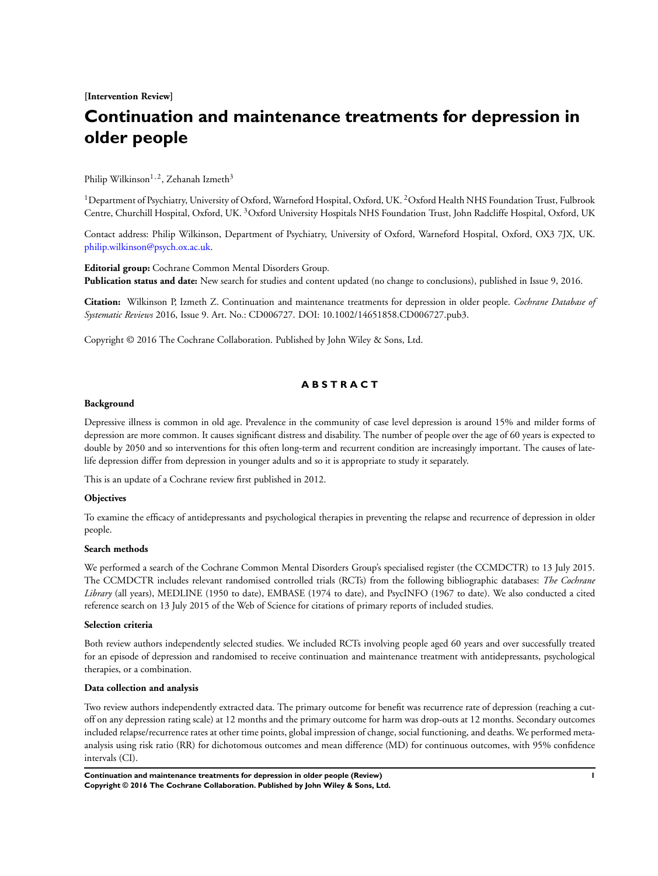**[Intervention Review]**

# **Continuation and maintenance treatments for depression in older people**

### Philip Wilkinson<sup>1,2</sup>, Zehanah Izmeth<sup>3</sup>

<sup>1</sup>Department of Psychiatry, University of Oxford, Warneford Hospital, Oxford, UK.<sup>2</sup>Oxford Health NHS Foundation Trust, Fulbrook Centre, Churchill Hospital, Oxford, UK. <sup>3</sup>Oxford University Hospitals NHS Foundation Trust, John Radcliffe Hospital, Oxford, UK

Contact address: Philip Wilkinson, Department of Psychiatry, University of Oxford, Warneford Hospital, Oxford, OX3 7JX, UK. [philip.wilkinson@psych.ox.ac.uk](mailto:philip.wilkinson@psych.ox.ac.uk).

**Editorial group:** Cochrane Common Mental Disorders Group. **Publication status and date:** New search for studies and content updated (no change to conclusions), published in Issue 9, 2016.

**Citation:** Wilkinson P, Izmeth Z. Continuation and maintenance treatments for depression in older people. *Cochrane Database of Systematic Reviews* 2016, Issue 9. Art. No.: CD006727. DOI: 10.1002/14651858.CD006727.pub3.

Copyright © 2016 The Cochrane Collaboration. Published by John Wiley & Sons, Ltd.

## **A B S T R A C T**

#### **Background**

Depressive illness is common in old age. Prevalence in the community of case level depression is around 15% and milder forms of depression are more common. It causes significant distress and disability. The number of people over the age of 60 years is expected to double by 2050 and so interventions for this often long-term and recurrent condition are increasingly important. The causes of latelife depression differ from depression in younger adults and so it is appropriate to study it separately.

This is an update of a Cochrane review first published in 2012.

#### **Objectives**

To examine the efficacy of antidepressants and psychological therapies in preventing the relapse and recurrence of depression in older people.

#### **Search methods**

We performed a search of the Cochrane Common Mental Disorders Group's specialised register (the CCMDCTR) to 13 July 2015. The CCMDCTR includes relevant randomised controlled trials (RCTs) from the following bibliographic databases: *The Cochrane Library* (all years), MEDLINE (1950 to date), EMBASE (1974 to date), and PsycINFO (1967 to date). We also conducted a cited reference search on 13 July 2015 of the Web of Science for citations of primary reports of included studies.

### **Selection criteria**

Both review authors independently selected studies. We included RCTs involving people aged 60 years and over successfully treated for an episode of depression and randomised to receive continuation and maintenance treatment with antidepressants, psychological therapies, or a combination.

#### **Data collection and analysis**

Two review authors independently extracted data. The primary outcome for benefit was recurrence rate of depression (reaching a cutoff on any depression rating scale) at 12 months and the primary outcome for harm was drop-outs at 12 months. Secondary outcomes included relapse/recurrence rates at other time points, global impression of change, social functioning, and deaths. We performed metaanalysis using risk ratio (RR) for dichotomous outcomes and mean difference (MD) for continuous outcomes, with 95% confidence intervals (CI).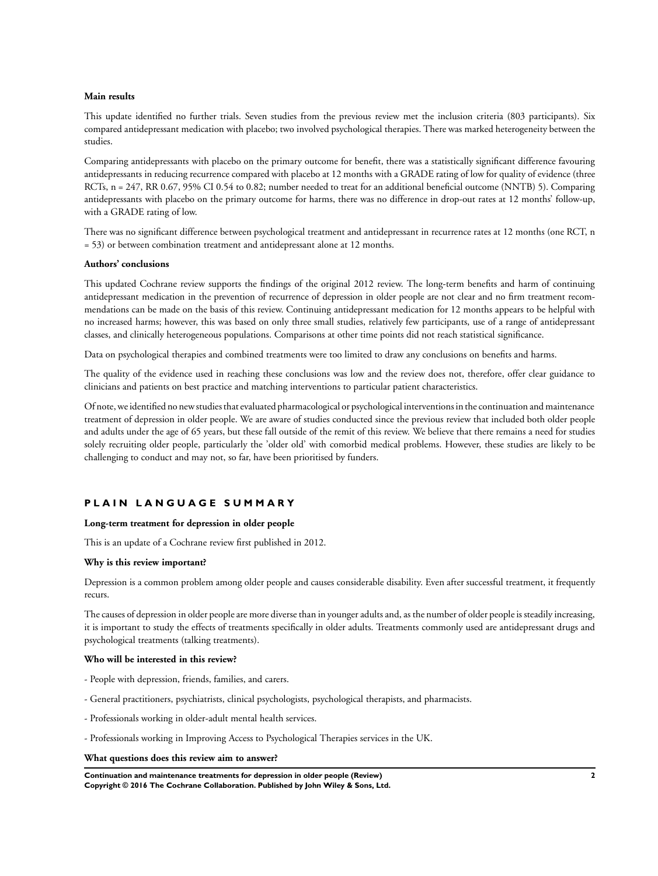### **Main results**

This update identified no further trials. Seven studies from the previous review met the inclusion criteria (803 participants). Six compared antidepressant medication with placebo; two involved psychological therapies. There was marked heterogeneity between the studies.

Comparing antidepressants with placebo on the primary outcome for benefit, there was a statistically significant difference favouring antidepressants in reducing recurrence compared with placebo at 12 months with a GRADE rating of low for quality of evidence (three RCTs, n = 247, RR 0.67, 95% CI 0.54 to 0.82; number needed to treat for an additional beneficial outcome (NNTB) 5). Comparing antidepressants with placebo on the primary outcome for harms, there was no difference in drop-out rates at 12 months' follow-up, with a GRADE rating of low.

There was no significant difference between psychological treatment and antidepressant in recurrence rates at 12 months (one RCT, n = 53) or between combination treatment and antidepressant alone at 12 months.

#### **Authors' conclusions**

This updated Cochrane review supports the findings of the original 2012 review. The long-term benefits and harm of continuing antidepressant medication in the prevention of recurrence of depression in older people are not clear and no firm treatment recommendations can be made on the basis of this review. Continuing antidepressant medication for 12 months appears to be helpful with no increased harms; however, this was based on only three small studies, relatively few participants, use of a range of antidepressant classes, and clinically heterogeneous populations. Comparisons at other time points did not reach statistical significance.

Data on psychological therapies and combined treatments were too limited to draw any conclusions on benefits and harms.

The quality of the evidence used in reaching these conclusions was low and the review does not, therefore, offer clear guidance to clinicians and patients on best practice and matching interventions to particular patient characteristics.

Of note, we identified no new studies that evaluated pharmacological or psychological interventions in the continuation and maintenance treatment of depression in older people. We are aware of studies conducted since the previous review that included both older people and adults under the age of 65 years, but these fall outside of the remit of this review. We believe that there remains a need for studies solely recruiting older people, particularly the 'older old' with comorbid medical problems. However, these studies are likely to be challenging to conduct and may not, so far, have been prioritised by funders.

### **P L A I N L A N G U A G E S U M M A R Y**

### **Long-term treatment for depression in older people**

This is an update of a Cochrane review first published in 2012.

#### **Why is this review important?**

Depression is a common problem among older people and causes considerable disability. Even after successful treatment, it frequently recurs.

The causes of depression in older people are more diverse than in younger adults and, as the number of older people is steadily increasing, it is important to study the effects of treatments specifically in older adults. Treatments commonly used are antidepressant drugs and psychological treatments (talking treatments).

#### **Who will be interested in this review?**

- People with depression, friends, families, and carers.
- General practitioners, psychiatrists, clinical psychologists, psychological therapists, and pharmacists.
- Professionals working in older-adult mental health services.
- Professionals working in Improving Access to Psychological Therapies services in the UK.

#### **What questions does this review aim to answer?**

**Continuation and maintenance treatments for depression in older people (Review) 2 Copyright © 2016 The Cochrane Collaboration. Published by John Wiley & Sons, Ltd.**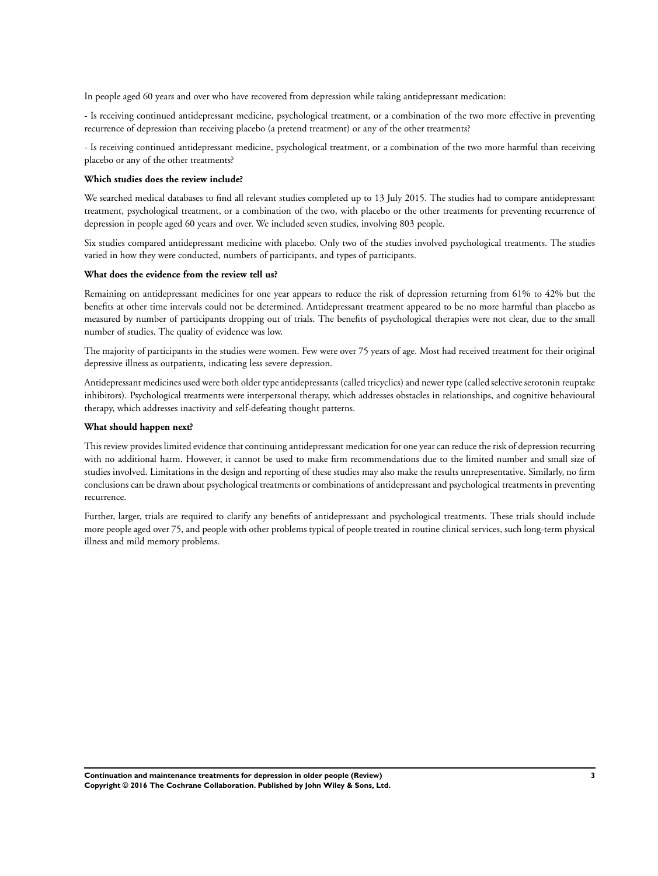In people aged 60 years and over who have recovered from depression while taking antidepressant medication:

- Is receiving continued antidepressant medicine, psychological treatment, or a combination of the two more effective in preventing recurrence of depression than receiving placebo (a pretend treatment) or any of the other treatments?

- Is receiving continued antidepressant medicine, psychological treatment, or a combination of the two more harmful than receiving placebo or any of the other treatments?

#### **Which studies does the review include?**

We searched medical databases to find all relevant studies completed up to 13 July 2015. The studies had to compare antidepressant treatment, psychological treatment, or a combination of the two, with placebo or the other treatments for preventing recurrence of depression in people aged 60 years and over. We included seven studies, involving 803 people.

Six studies compared antidepressant medicine with placebo. Only two of the studies involved psychological treatments. The studies varied in how they were conducted, numbers of participants, and types of participants.

### **What does the evidence from the review tell us?**

Remaining on antidepressant medicines for one year appears to reduce the risk of depression returning from 61% to 42% but the benefits at other time intervals could not be determined. Antidepressant treatment appeared to be no more harmful than placebo as measured by number of participants dropping out of trials. The benefits of psychological therapies were not clear, due to the small number of studies. The quality of evidence was low.

The majority of participants in the studies were women. Few were over 75 years of age. Most had received treatment for their original depressive illness as outpatients, indicating less severe depression.

Antidepressant medicines used were both older type antidepressants (called tricyclics) and newer type (called selective serotonin reuptake inhibitors). Psychological treatments were interpersonal therapy, which addresses obstacles in relationships, and cognitive behavioural therapy, which addresses inactivity and self-defeating thought patterns.

### **What should happen next?**

This review provides limited evidence that continuing antidepressant medication for one year can reduce the risk of depression recurring with no additional harm. However, it cannot be used to make firm recommendations due to the limited number and small size of studies involved. Limitations in the design and reporting of these studies may also make the results unrepresentative. Similarly, no firm conclusions can be drawn about psychological treatments or combinations of antidepressant and psychological treatments in preventing recurrence.

Further, larger, trials are required to clarify any benefits of antidepressant and psychological treatments. These trials should include more people aged over 75, and people with other problems typical of people treated in routine clinical services, such long-term physical illness and mild memory problems.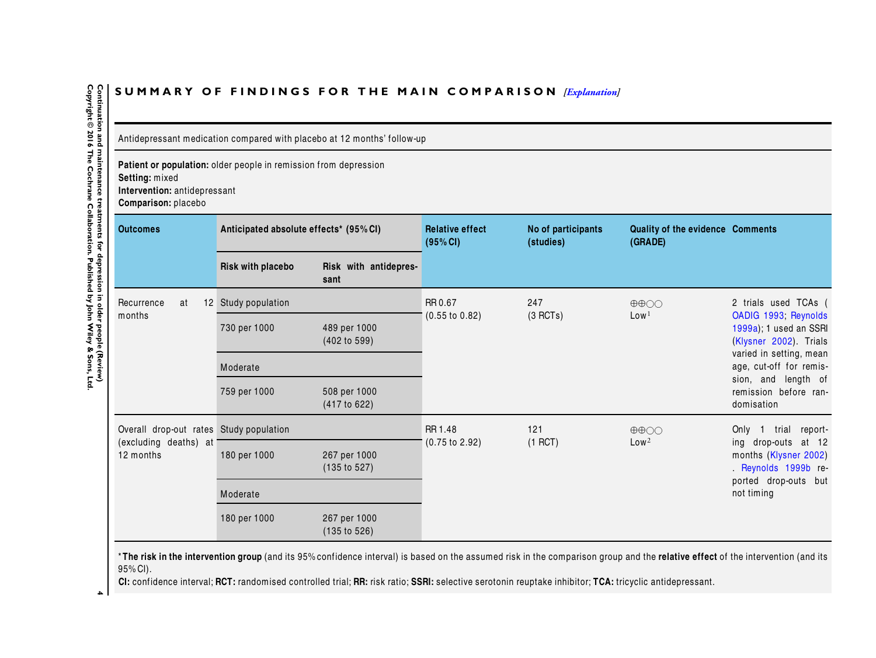# SUMMARY OF FINDINGS FOR THE MAIN COMPARISON *[\[Explanation\]](http://www.thecochranelibrary.com/view/0/SummaryFindings.html)*

Antidepressant medication compared with placebo at <sup>12</sup> months' follow-up

**Patient or population:** older people in remission from depression

**Setting:** <sup>m</sup> ixed

**Intervention:** antidepressant

**Comparison:** placebo

| <b>Outcomes</b>                         | Anticipated absolute effects* (95% CI) |                               | <b>Relative effect</b><br>(95% CI) | No of participants<br>(studies) | Quality of the evidence Comments<br>(GRADE) |                                                                                                                                |  |
|-----------------------------------------|----------------------------------------|-------------------------------|------------------------------------|---------------------------------|---------------------------------------------|--------------------------------------------------------------------------------------------------------------------------------|--|
|                                         | Risk with placebo                      | Risk with antidepres-<br>sant |                                    |                                 |                                             |                                                                                                                                |  |
| Recurrence<br>at                        | 12 Study population                    |                               | RR 0.67                            | 247                             | $\oplus \oplus \bigcirc \bigcirc$           | 2 trials used TCAs (                                                                                                           |  |
| months                                  | 730 per 1000                           | 489 per 1000<br>(402 to 599)  | $(0.55 \text{ to } 0.82)$          | (3 RCTs)                        | Low <sup>1</sup>                            | OADIG 1993; Reynolds<br>1999a); 1 used an SSRI<br>(Klysner 2002). Trials<br>varied in setting, mean<br>age, cut-off for remis- |  |
|                                         | Moderate                               |                               |                                    |                                 |                                             |                                                                                                                                |  |
|                                         | 759 per 1000                           | 508 per 1000<br>(417 to 622)  |                                    |                                 |                                             | sion, and length of<br>remission before ran-<br>domisation                                                                     |  |
| Overall drop-out rates Study population |                                        |                               | RR 1.48                            | 121                             | $\oplus \oplus \odot \odot$                 | trial<br>report-<br>Only 1                                                                                                     |  |
| (excluding deaths) at<br>12 months      | 180 per 1000                           | 267 per 1000<br>(135 to 527)  | $(0.75 \text{ to } 2.92)$          | $(1$ RCT)                       | Low <sup>2</sup>                            | ing drop-outs<br>at 12<br>months (Klysner 2002)<br>. Reynolds 1999b re-                                                        |  |
|                                         | Moderate                               |                               |                                    |                                 |                                             | ported drop-outs but<br>not timing                                                                                             |  |
|                                         | 180 per 1000                           | 267 per 1000<br>(135 to 526)  |                                    |                                 |                                             |                                                                                                                                |  |

\***The risk in the intervention group** (and its 95% confidence interval) is based on the assumed risk in the comparison group and the **relative effect** of the intervention (and its<br>ครช. CN 95% CI).

**CI:** conf idence interval; **RCT:** random ised controlled trial; **RR:** risk ratio; **SSRI:** selective serotonin reuptake inhibitor; **TCA:** tricyclic antidepressant.

<span id="page-5-0"></span>Continuation and maintenance treatments for depression in older people (Review)<br>Copyright © 2016 The Cochrane Collaboration. Published by John Wiley & Sons, Ltd. **Copyright © 2016 The Cochrane Collaboration. Published by John Wiley & Sons, Ltd.4 Continuation and maintenance treatments for depression in older people (Review)**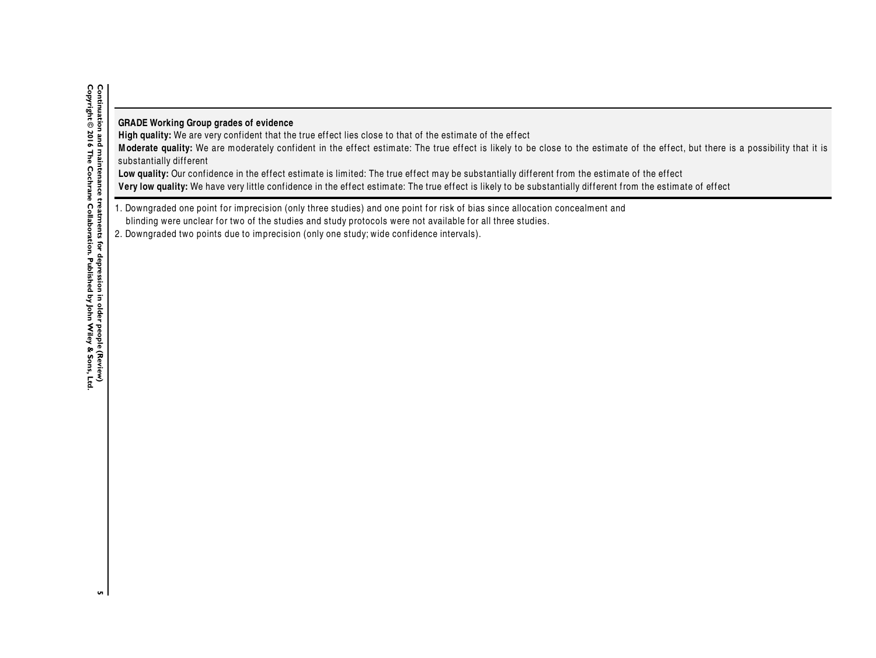# **GRADE Working Group grades of evidence**

High quality: We are very confident that the true effect lies close to that of the estimate of the effect

Moderate quality: We are moderately confident in the effect estimate: The true effect is likely to be close to the estimate of the effect, but there is a possibility that it is substantially different

Low quality: Our confidence in the effect estimate is limited: The true effect may be substantially different from the estimate of the effect

**Very low quality:** We have very little confidence in the effect estimate: The true effect is likely to be substantially different from the estimate of effect

1. Downgraded one point for imprecision (only three studies) and one point for risk of bias since allocation concealment and blinding were unclear for two of the studies and study protocols were not available for all three studies.

2. Downgraded two points due to imprecision (only one study; wide confidence intervals).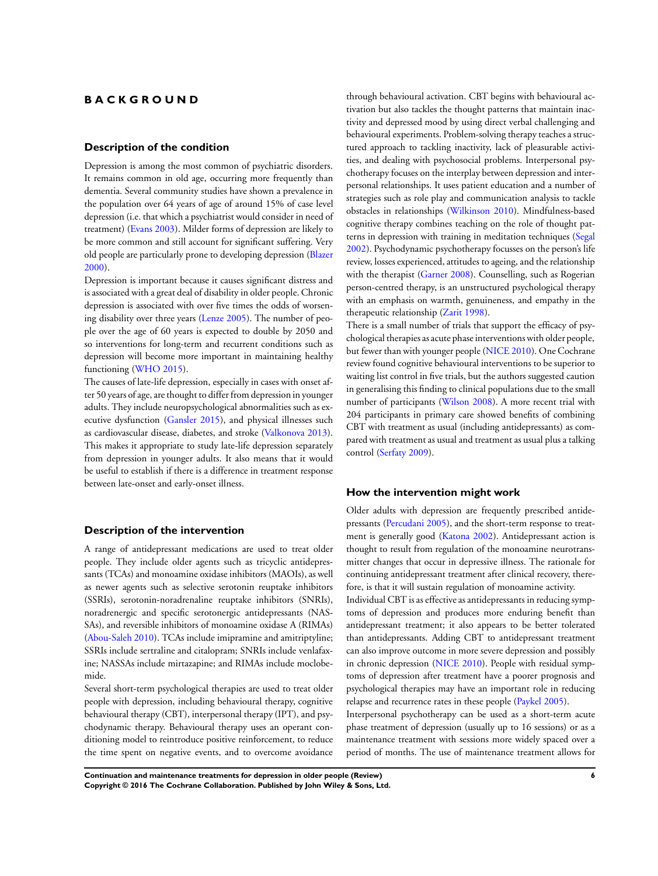# <span id="page-7-0"></span>**B A C K G R O U N D**

### **Description of the condition**

Depression is among the most common of psychiatric disorders. It remains common in old age, occurring more frequently than dementia. Several community studies have shown a prevalence in the population over 64 years of age of around 15% of case level depression (i.e. that which a psychiatrist would consider in need of treatment) ([Evans 2003](#page-34-0)). Milder forms of depression are likely to be more common and still account for significant suffering. Very old people are particularly prone to developing depression [\(Blazer](#page-34-0) [2000](#page-34-0)).

Depression is important because it causes significant distress and is associated with a great deal of disability in older people. Chronic depression is associated with over five times the odds of worsening disability over three years [\(Lenze 2005\)](#page-34-0). The number of people over the age of 60 years is expected to double by 2050 and so interventions for long-term and recurrent conditions such as depression will become more important in maintaining healthy functioning [\(WHO 2015](#page-34-0)).

The causes of late-life depression, especially in cases with onset after 50 years of age, are thought to differ from depression in younger adults. They include neuropsychological abnormalities such as executive dysfunction [\(Gansler 2015](#page-34-0)), and physical illnesses such as cardiovascular disease, diabetes, and stroke [\(Valkonova 2013](#page-34-0)). This makes it appropriate to study late-life depression separately from depression in younger adults. It also means that it would be useful to establish if there is a difference in treatment response between late-onset and early-onset illness.

### **Description of the intervention**

A range of antidepressant medications are used to treat older people. They include older agents such as tricyclic antidepressants (TCAs) and monoamine oxidase inhibitors (MAOIs), as well as newer agents such as selective serotonin reuptake inhibitors (SSRIs), serotonin-noradrenaline reuptake inhibitors (SNRIs), noradrenergic and specific serotonergic antidepressants (NAS-SAs), and reversible inhibitors of monoamine oxidase A (RIMAs) [\(Abou-Saleh 2010](#page-34-0)). TCAs include imipramine and amitriptyline; SSRIs include sertraline and citalopram; SNRIs include venlafaxine; NASSAs include mirtazapine; and RIMAs include moclobemide.

Several short-term psychological therapies are used to treat older people with depression, including behavioural therapy, cognitive behavioural therapy (CBT), interpersonal therapy (IPT), and psychodynamic therapy. Behavioural therapy uses an operant conditioning model to reintroduce positive reinforcement, to reduce the time spent on negative events, and to overcome avoidance

through behavioural activation. CBT begins with behavioural activation but also tackles the thought patterns that maintain inactivity and depressed mood by using direct verbal challenging and behavioural experiments. Problem-solving therapy teaches a structured approach to tackling inactivity, lack of pleasurable activities, and dealing with psychosocial problems. Interpersonal psychotherapy focuses on the interplay between depression and interpersonal relationships. It uses patient education and a number of strategies such as role play and communication analysis to tackle obstacles in relationships ([Wilkinson 2010\)](#page-34-0). Mindfulness-based cognitive therapy combines teaching on the role of thought patterns in depression with training in meditation techniques [\(Segal](#page-34-0) [2002](#page-34-0)). Psychodynamic psychotherapy focusses on the person's life review, losses experienced, attitudes to ageing, and the relationship with the therapist [\(Garner 2008](#page-34-0)). Counselling, such as Rogerian person-centred therapy, is an unstructured psychological therapy with an emphasis on warmth, genuineness, and empathy in the therapeutic relationship [\(Zarit 1998](#page-34-0)).

There is a small number of trials that support the efficacy of psychological therapies as acute phase interventions with older people, but fewer than with younger people [\(NICE 2010](#page-34-0)). One Cochrane review found cognitive behavioural interventions to be superior to waiting list control in five trials, but the authors suggested caution in generalising this finding to clinical populations due to the small number of participants [\(Wilson 2008](#page-34-0)). A more recent trial with 204 participants in primary care showed benefits of combining CBT with treatment as usual (including antidepressants) as compared with treatment as usual and treatment as usual plus a talking control [\(Serfaty 2009](#page-34-0)).

### **How the intervention might work**

Older adults with depression are frequently prescribed antidepressants [\(Percudani 2005\)](#page-34-0), and the short-term response to treatment is generally good ([Katona 2002\)](#page-34-0). Antidepressant action is thought to result from regulation of the monoamine neurotransmitter changes that occur in depressive illness. The rationale for continuing antidepressant treatment after clinical recovery, therefore, is that it will sustain regulation of monoamine activity.

Individual CBT is as effective as antidepressants in reducing symptoms of depression and produces more enduring benefit than antidepressant treatment; it also appears to be better tolerated than antidepressants. Adding CBT to antidepressant treatment can also improve outcome in more severe depression and possibly in chronic depression ([NICE 2010\)](#page-34-0). People with residual symptoms of depression after treatment have a poorer prognosis and psychological therapies may have an important role in reducing relapse and recurrence rates in these people [\(Paykel 2005\)](#page-34-0).

Interpersonal psychotherapy can be used as a short-term acute phase treatment of depression (usually up to 16 sessions) or as a maintenance treatment with sessions more widely spaced over a period of months. The use of maintenance treatment allows for

**Continuation and maintenance treatments for depression in older people (Review) 6 Copyright © 2016 The Cochrane Collaboration. Published by John Wiley & Sons, Ltd.**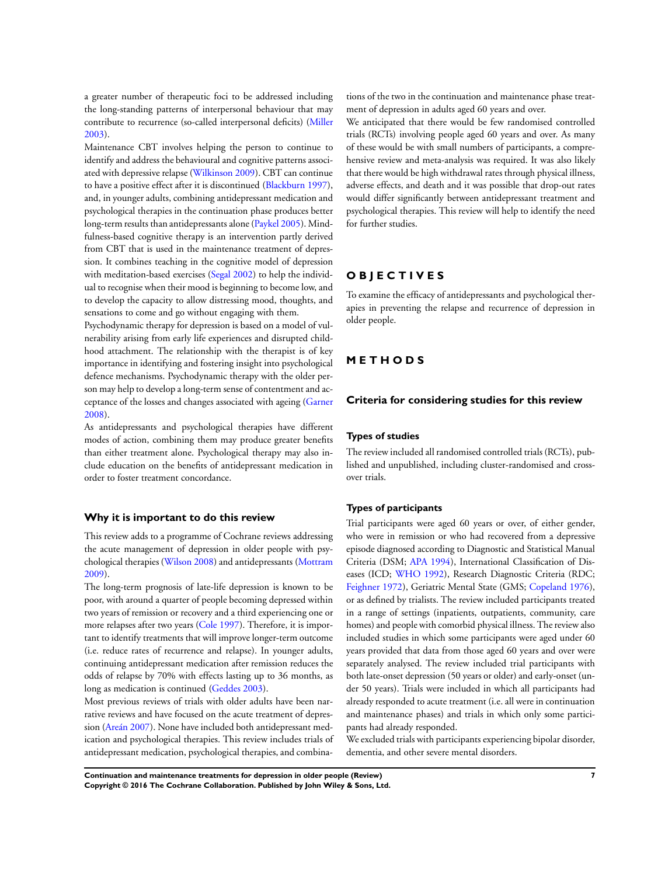a greater number of therapeutic foci to be addressed including the long-standing patterns of interpersonal behaviour that may contribute to recurrence (so-called interpersonal deficits) ([Miller](#page-34-0) [2003](#page-34-0)).

Maintenance CBT involves helping the person to continue to identify and address the behavioural and cognitive patterns associated with depressive relapse [\(Wilkinson 2009\)](#page-34-0). CBT can continue to have a positive effect after it is discontinued [\(Blackburn 1997](#page-34-0)), and, in younger adults, combining antidepressant medication and psychological therapies in the continuation phase produces better long-term results than antidepressants alone [\(Paykel 2005\)](#page-34-0). Mindfulness-based cognitive therapy is an intervention partly derived from CBT that is used in the maintenance treatment of depression. It combines teaching in the cognitive model of depression with meditation-based exercises ([Segal 2002\)](#page-34-0) to help the individual to recognise when their mood is beginning to become low, and to develop the capacity to allow distressing mood, thoughts, and sensations to come and go without engaging with them.

Psychodynamic therapy for depression is based on a model of vulnerability arising from early life experiences and disrupted childhood attachment. The relationship with the therapist is of key importance in identifying and fostering insight into psychological defence mechanisms. Psychodynamic therapy with the older person may help to develop a long-term sense of contentment and acceptance of the losses and changes associated with ageing ([Garner](#page-34-0) [2008](#page-34-0)).

As antidepressants and psychological therapies have different modes of action, combining them may produce greater benefits than either treatment alone. Psychological therapy may also include education on the benefits of antidepressant medication in order to foster treatment concordance.

#### **Why it is important to do this review**

This review adds to a programme of Cochrane reviews addressing the acute management of depression in older people with psychological therapies [\(Wilson 2008](#page-34-0)) and antidepressants ([Mottram](#page-34-0) [2009](#page-34-0)).

The long-term prognosis of late-life depression is known to be poor, with around a quarter of people becoming depressed within two years of remission or recovery and a third experiencing one or more relapses after two years ([Cole 1997](#page-34-0)). Therefore, it is important to identify treatments that will improve longer-term outcome (i.e. reduce rates of recurrence and relapse). In younger adults, continuing antidepressant medication after remission reduces the odds of relapse by 70% with effects lasting up to 36 months, as long as medication is continued ([Geddes 2003\)](#page-34-0).

Most previous reviews of trials with older adults have been narrative reviews and have focused on the acute treatment of depression [\(Areán 2007\)](#page-34-0). None have included both antidepressant medication and psychological therapies. This review includes trials of antidepressant medication, psychological therapies, and combina-

tions of the two in the continuation and maintenance phase treatment of depression in adults aged 60 years and over.

We anticipated that there would be few randomised controlled trials (RCTs) involving people aged 60 years and over. As many of these would be with small numbers of participants, a comprehensive review and meta-analysis was required. It was also likely that there would be high withdrawal rates through physical illness, adverse effects, and death and it was possible that drop-out rates would differ significantly between antidepressant treatment and psychological therapies. This review will help to identify the need for further studies.

### **O B J E C T I V E S**

To examine the efficacy of antidepressants and psychological therapies in preventing the relapse and recurrence of depression in older people.

### **M E T H O D S**

### **Criteria for considering studies for this review**

### **Types of studies**

The review included all randomised controlled trials (RCTs), published and unpublished, including cluster-randomised and crossover trials.

### **Types of participants**

Trial participants were aged 60 years or over, of either gender, who were in remission or who had recovered from a depressive episode diagnosed according to Diagnostic and Statistical Manual Criteria (DSM; [APA 1994](#page-34-0)), International Classification of Diseases (ICD; [WHO 1992\)](#page-34-0), Research Diagnostic Criteria (RDC; [Feighner 1972\)](#page-34-0), Geriatric Mental State (GMS; [Copeland 1976](#page-34-0)), or as defined by trialists. The review included participants treated in a range of settings (inpatients, outpatients, community, care homes) and people with comorbid physical illness. The review also included studies in which some participants were aged under 60 years provided that data from those aged 60 years and over were separately analysed. The review included trial participants with both late-onset depression (50 years or older) and early-onset (under 50 years). Trials were included in which all participants had already responded to acute treatment (i.e. all were in continuation and maintenance phases) and trials in which only some participants had already responded.

We excluded trials with participants experiencing bipolar disorder, dementia, and other severe mental disorders.

**Continuation and maintenance treatments for depression in older people (Review) 7 Copyright © 2016 The Cochrane Collaboration. Published by John Wiley & Sons, Ltd.**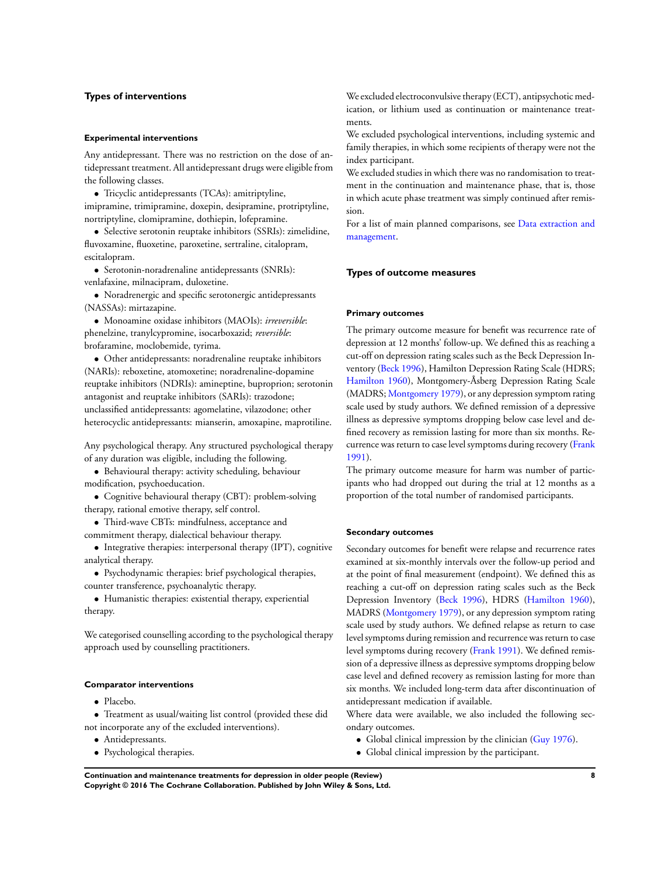### **Types of interventions**

#### **Experimental interventions**

Any antidepressant. There was no restriction on the dose of antidepressant treatment. All antidepressant drugs were eligible from the following classes.

• Tricyclic antidepressants (TCAs): amitriptyline, imipramine, trimipramine, doxepin, desipramine, protriptyline, nortriptyline, clomipramine, dothiepin, lofepramine.

• Selective serotonin reuptake inhibitors (SSRIs): zimelidine, fluvoxamine, fluoxetine, paroxetine, sertraline, citalopram, escitalopram.

• Serotonin-noradrenaline antidepressants (SNRIs): venlafaxine, milnacipram, duloxetine.

• Noradrenergic and specific serotonergic antidepressants (NASSAs): mirtazapine.

• Monoamine oxidase inhibitors (MAOIs): *irreversible*: phenelzine, tranylcypromine, isocarboxazid; *reversible*: brofaramine, moclobemide, tyrima.

• Other antidepressants: noradrenaline reuptake inhibitors (NARIs): reboxetine, atomoxetine; noradrenaline-dopamine reuptake inhibitors (NDRIs): amineptine, buproprion; serotonin antagonist and reuptake inhibitors (SARIs): trazodone; unclassified antidepressants: agomelatine, vilazodone; other heterocyclic antidepressants: mianserin, amoxapine, maprotiline.

Any psychological therapy. Any structured psychological therapy of any duration was eligible, including the following.

• Behavioural therapy: activity scheduling, behaviour modification, psychoeducation.

- Cognitive behavioural therapy (CBT): problem-solving therapy, rational emotive therapy, self control.
- Third-wave CBTs: mindfulness, acceptance and commitment therapy, dialectical behaviour therapy.

• Integrative therapies: interpersonal therapy (IPT), cognitive analytical therapy.

• Psychodynamic therapies: brief psychological therapies, counter transference, psychoanalytic therapy.

• Humanistic therapies: existential therapy, experiential therapy.

We categorised counselling according to the psychological therapy approach used by counselling practitioners.

#### **Comparator interventions**

• Placebo.

• Treatment as usual/waiting list control (provided these did not incorporate any of the excluded interventions).

- Antidepressants.
- Psychological therapies.

We excluded electroconvulsive therapy (ECT), antipsychotic medication, or lithium used as continuation or maintenance treatments.

We excluded psychological interventions, including systemic and family therapies, in which some recipients of therapy were not the index participant.

We excluded studies in which there was no randomisation to treatment in the continuation and maintenance phase, that is, those in which acute phase treatment was simply continued after remission.

For a list of main planned comparisons, see [Data extraction and](#page-7-0) [management.](#page-7-0)

#### **Types of outcome measures**

#### **Primary outcomes**

The primary outcome measure for benefit was recurrence rate of depression at 12 months' follow-up. We defined this as reaching a cut-off on depression rating scales such as the Beck Depression Inventory [\(Beck 1996\)](#page-34-0), Hamilton Depression Rating Scale (HDRS; [Hamilton 1960\)](#page-34-0), Montgomery-Åsberg Depression Rating Scale (MADRS; [Montgomery 1979](#page-34-0)), or any depression symptom rating scale used by study authors. We defined remission of a depressive illness as depressive symptoms dropping below case level and defined recovery as remission lasting for more than six months. Recurrence was return to case level symptoms during recovery [\(Frank](#page-34-0) [1991](#page-34-0)).

The primary outcome measure for harm was number of participants who had dropped out during the trial at 12 months as a proportion of the total number of randomised participants.

#### **Secondary outcomes**

Secondary outcomes for benefit were relapse and recurrence rates examined at six-monthly intervals over the follow-up period and at the point of final measurement (endpoint). We defined this as reaching a cut-off on depression rating scales such as the Beck Depression Inventory [\(Beck 1996\)](#page-34-0), HDRS ([Hamilton 1960](#page-34-0)), MADRS ([Montgomery 1979\)](#page-34-0), or any depression symptom rating scale used by study authors. We defined relapse as return to case level symptoms during remission and recurrence was return to case level symptoms during recovery ([Frank 1991\)](#page-34-0). We defined remission of a depressive illness as depressive symptoms dropping below case level and defined recovery as remission lasting for more than six months. We included long-term data after discontinuation of antidepressant medication if available.

Where data were available, we also included the following secondary outcomes.

- Global clinical impression by the clinician [\(Guy 1976\)](#page-34-0).
- Global clinical impression by the participant.

**Continuation and maintenance treatments for depression in older people (Review) 8 Copyright © 2016 The Cochrane Collaboration. Published by John Wiley & Sons, Ltd.**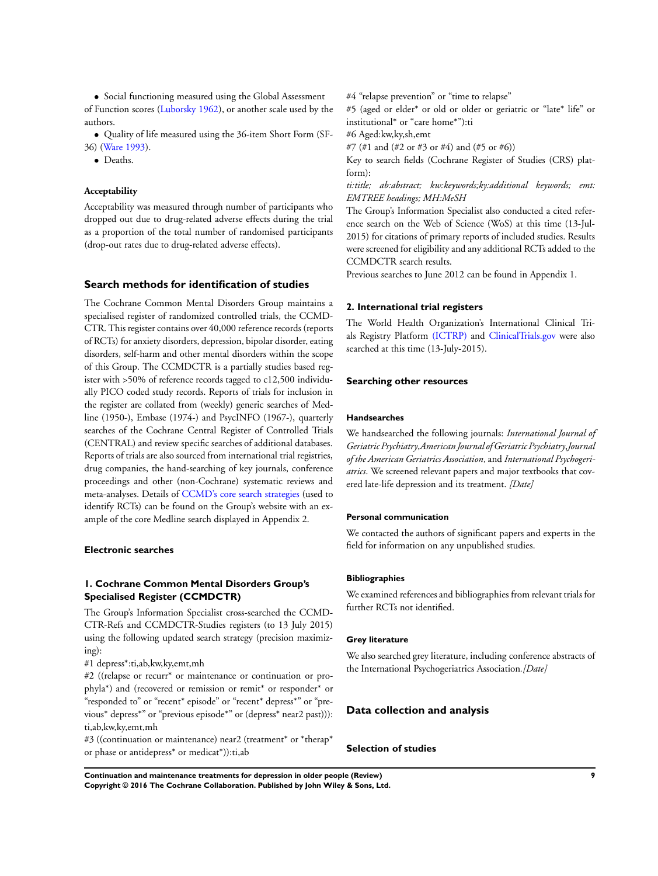• Social functioning measured using the Global Assessment of Function scores ([Luborsky 1962\)](#page-34-0), or another scale used by the authors.

• Quality of life measured using the 36-item Short Form (SF-36) [\(Ware 1993](#page-34-0)).

• Deaths.

### **Acceptability**

Acceptability was measured through number of participants who dropped out due to drug-related adverse effects during the trial as a proportion of the total number of randomised participants (drop-out rates due to drug-related adverse effects).

### **Search methods for identification of studies**

The Cochrane Common Mental Disorders Group maintains a specialised register of randomized controlled trials, the CCMD-CTR. This register contains over 40,000 reference records (reports of RCTs) for anxiety disorders, depression, bipolar disorder, eating disorders, self-harm and other mental disorders within the scope of this Group. The CCMDCTR is a partially studies based register with >50% of reference records tagged to c12,500 individually PICO coded study records. Reports of trials for inclusion in the register are collated from (weekly) generic searches of Medline (1950-), Embase (1974-) and PsycINFO (1967-), quarterly searches of the Cochrane Central Register of Controlled Trials (CENTRAL) and review specific searches of additional databases. Reports of trials are also sourced from international trial registries, drug companies, the hand-searching of key journals, conference proceedings and other (non-Cochrane) systematic reviews and meta-analyses. Details of [CCMD's core search strategies](http://cmd.cochrane.org/search-strategies-identification-studies) (used to identify RCTs) can be found on the Group's website with an example of the core Medline search displayed in Appendix 2.

### **Electronic searches**

### **1. Cochrane Common Mental Disorders Group's Specialised Register (CCMDCTR)**

The Group's Information Specialist cross-searched the CCMD-CTR-Refs and CCMDCTR-Studies registers (to 13 July 2015) using the following updated search strategy (precision maximizing):

#1 depress\*:ti,ab,kw,ky,emt,mh

#2 ((relapse or recurr\* or maintenance or continuation or prophyla\*) and (recovered or remission or remit\* or responder\* or "responded to" or "recent\* episode" or "recent\* depress\*" or "previous\* depress\*" or "previous episode\*" or (depress\* near2 past))): ti,ab,kw,ky,emt,mh

#3 ((continuation or maintenance) near2 (treatment\* or \*therap\* or phase or antidepress\* or medicat\*)):ti,ab

#4 "relapse prevention" or "time to relapse"

#5 (aged or elder\* or old or older or geriatric or "late\* life" or institutional\* or "care home\*"):ti

#6 Aged:kw,ky,sh,emt

#7 (#1 and (#2 or #3 or #4) and (#5 or #6))

Key to search fields (Cochrane Register of Studies (CRS) platform):

*ti:title; ab:abstract; kw:keywords;ky:additional keywords; emt: EMTREE headings; MH:MeSH*

The Group's Information Specialist also conducted a cited reference search on the Web of Science (WoS) at this time (13-Jul-2015) for citations of primary reports of included studies. Results were screened for eligibility and any additional RCTs added to the CCMDCTR search results.

Previous searches to June 2012 can be found in Appendix 1.

#### **2. International trial registers**

The World Health Organization's International Clinical Trials Registry Platform [\(ICTRP\)](http://apps.who.int/trialsearch/) and [ClinicalTrials.gov](https://clinicaltrials.gov/) were also searched at this time (13-July-2015).

#### **Searching other resources**

#### **Handsearches**

We handsearched the following journals: *International Journal of Geriatric Psychiatry*,*American Journal of Geriatric Psychiatry*,*Journal of the American Geriatrics Association*, and *International Psychogeriatrics*. We screened relevant papers and major textbooks that covered late-life depression and its treatment. *[Date]*

#### **Personal communication**

We contacted the authors of significant papers and experts in the field for information on any unpublished studies.

### **Bibliographies**

We examined references and bibliographies from relevant trials for further RCTs not identified.

### **Grey literature**

We also searched grey literature, including conference abstracts of the International Psychogeriatrics Association*.[Date]*

### **Data collection and analysis**

### **Selection of studies**

**Continuation and maintenance treatments for depression in older people (Review) 9 Copyright © 2016 The Cochrane Collaboration. Published by John Wiley & Sons, Ltd.**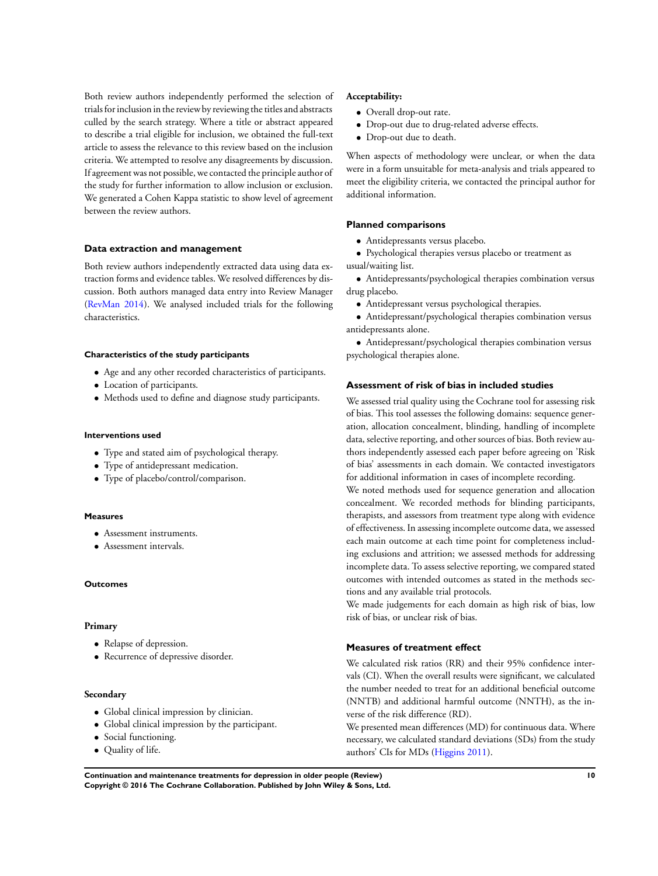Both review authors independently performed the selection of trials for inclusion in the review by reviewing the titles and abstracts culled by the search strategy. Where a title or abstract appeared to describe a trial eligible for inclusion, we obtained the full-text article to assess the relevance to this review based on the inclusion criteria. We attempted to resolve any disagreements by discussion. If agreement was not possible, we contacted the principle author of the study for further information to allow inclusion or exclusion. We generated a Cohen Kappa statistic to show level of agreement between the review authors.

### **Data extraction and management**

Both review authors independently extracted data using data extraction forms and evidence tables. We resolved differences by discussion. Both authors managed data entry into Review Manager [\(RevMan 2014](#page-34-0)). We analysed included trials for the following characteristics.

#### **Characteristics of the study participants**

- Age and any other recorded characteristics of participants.
- Location of participants.
- Methods used to define and diagnose study participants.

#### **Interventions used**

- Type and stated aim of psychological therapy.
- Type of antidepressant medication.
- Type of placebo/control/comparison.

#### **Measures**

- Assessment instruments.
- Assessment intervals.

#### **Outcomes**

#### **Primary**

- Relapse of depression.
- Recurrence of depressive disorder.

#### **Secondary**

- Global clinical impression by clinician.
- Global clinical impression by the participant.
- Social functioning.
- Quality of life.

### **Acceptability:**

- Overall drop-out rate.
- Drop-out due to drug-related adverse effects.
- Drop-out due to death.

When aspects of methodology were unclear, or when the data were in a form unsuitable for meta-analysis and trials appeared to meet the eligibility criteria, we contacted the principal author for additional information.

### **Planned comparisons**

• Antidepressants versus placebo.

• Psychological therapies versus placebo or treatment as usual/waiting list.

• Antidepressants/psychological therapies combination versus drug placebo.

• Antidepressant versus psychological therapies.

• Antidepressant/psychological therapies combination versus antidepressants alone.

• Antidepressant/psychological therapies combination versus psychological therapies alone.

### **Assessment of risk of bias in included studies**

We assessed trial quality using the Cochrane tool for assessing risk of bias. This tool assesses the following domains: sequence generation, allocation concealment, blinding, handling of incomplete data, selective reporting, and other sources of bias. Both review authors independently assessed each paper before agreeing on 'Risk of bias' assessments in each domain. We contacted investigators for additional information in cases of incomplete recording.

We noted methods used for sequence generation and allocation concealment. We recorded methods for blinding participants, therapists, and assessors from treatment type along with evidence of effectiveness. In assessing incomplete outcome data, we assessed each main outcome at each time point for completeness including exclusions and attrition; we assessed methods for addressing incomplete data. To assess selective reporting, we compared stated outcomes with intended outcomes as stated in the methods sections and any available trial protocols.

We made judgements for each domain as high risk of bias, low risk of bias, or unclear risk of bias.

### **Measures of treatment effect**

We calculated risk ratios (RR) and their 95% confidence intervals (CI). When the overall results were significant, we calculated the number needed to treat for an additional beneficial outcome (NNTB) and additional harmful outcome (NNTH), as the inverse of the risk difference (RD).

We presented mean differences (MD) for continuous data. Where necessary, we calculated standard deviations (SDs) from the study authors' CIs for MDs ([Higgins 2011\)](#page-34-0).

**Continuation and maintenance treatments for depression in older people (Review) 10 Copyright © 2016 The Cochrane Collaboration. Published by John Wiley & Sons, Ltd.**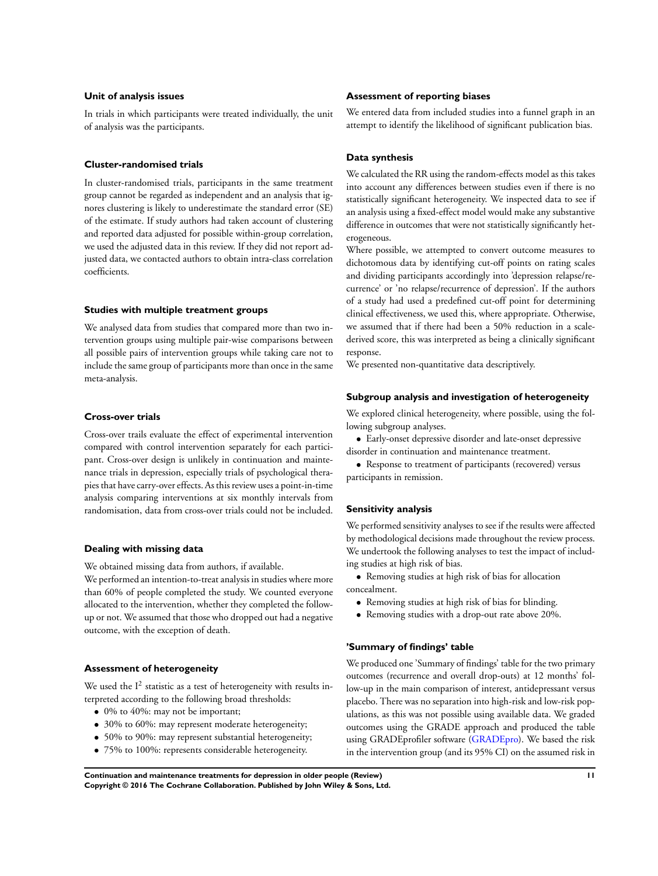### **Unit of analysis issues**

In trials in which participants were treated individually, the unit of analysis was the participants.

#### **Cluster-randomised trials**

In cluster-randomised trials, participants in the same treatment group cannot be regarded as independent and an analysis that ignores clustering is likely to underestimate the standard error (SE) of the estimate. If study authors had taken account of clustering and reported data adjusted for possible within-group correlation, we used the adjusted data in this review. If they did not report adjusted data, we contacted authors to obtain intra-class correlation coefficients.

### **Studies with multiple treatment groups**

We analysed data from studies that compared more than two intervention groups using multiple pair-wise comparisons between all possible pairs of intervention groups while taking care not to include the same group of participants more than once in the same meta-analysis.

#### **Cross-over trials**

Cross-over trails evaluate the effect of experimental intervention compared with control intervention separately for each participant. Cross-over design is unlikely in continuation and maintenance trials in depression, especially trials of psychological therapies that have carry-over effects. As this review uses a point-in-time analysis comparing interventions at six monthly intervals from randomisation, data from cross-over trials could not be included.

### **Dealing with missing data**

We obtained missing data from authors, if available.

We performed an intention-to-treat analysis in studies where more than 60% of people completed the study. We counted everyone allocated to the intervention, whether they completed the followup or not. We assumed that those who dropped out had a negative outcome, with the exception of death.

### **Assessment of heterogeneity**

We used the  $I^2$  statistic as a test of heterogeneity with results interpreted according to the following broad thresholds:

- 0% to 40%: may not be important;
- 30% to 60%: may represent moderate heterogeneity;
- 50% to 90%: may represent substantial heterogeneity;
- 75% to 100%: represents considerable heterogeneity.

### **Assessment of reporting biases**

We entered data from included studies into a funnel graph in an attempt to identify the likelihood of significant publication bias.

### **Data synthesis**

We calculated the RR using the random-effects model as this takes into account any differences between studies even if there is no statistically significant heterogeneity. We inspected data to see if an analysis using a fixed-effect model would make any substantive difference in outcomes that were not statistically significantly heterogeneous.

Where possible, we attempted to convert outcome measures to dichotomous data by identifying cut-off points on rating scales and dividing participants accordingly into 'depression relapse/recurrence' or 'no relapse/recurrence of depression'. If the authors of a study had used a predefined cut-off point for determining clinical effectiveness, we used this, where appropriate. Otherwise, we assumed that if there had been a 50% reduction in a scalederived score, this was interpreted as being a clinically significant response.

We presented non-quantitative data descriptively.

#### **Subgroup analysis and investigation of heterogeneity**

We explored clinical heterogeneity, where possible, using the following subgroup analyses.

• Early-onset depressive disorder and late-onset depressive disorder in continuation and maintenance treatment.

• Response to treatment of participants (recovered) versus participants in remission.

### **Sensitivity analysis**

We performed sensitivity analyses to see if the results were affected by methodological decisions made throughout the review process. We undertook the following analyses to test the impact of including studies at high risk of bias.

- Removing studies at high risk of bias for allocation concealment.
	- Removing studies at high risk of bias for blinding.
	- Removing studies with a drop-out rate above 20%.

#### **'Summary of findings' table**

We produced one 'Summary of findings' table for the two primary outcomes (recurrence and overall drop-outs) at 12 months' follow-up in the main comparison of interest, antidepressant versus placebo. There was no separation into high-risk and low-risk populations, as this was not possible using available data. We graded outcomes using the GRADE approach and produced the table using GRADEprofiler software ([GRADEpro\)](#page-34-0). We based the risk in the intervention group (and its 95% CI) on the assumed risk in

**Continuation and maintenance treatments for depression in older people (Review) 11 Copyright © 2016 The Cochrane Collaboration. Published by John Wiley & Sons, Ltd.**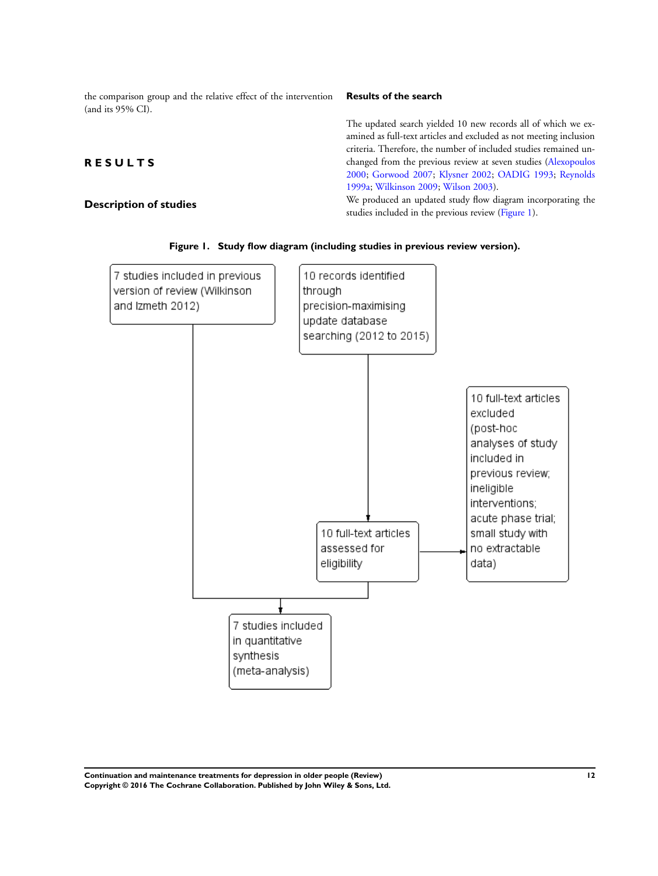the comparison group and the relative effect of the intervention (and its 95% CI).

## **R E S U L T S**

# **Description of studies**

#### **Results of the search**

The updated search yielded 10 new records all of which we examined as full-text articles and excluded as not meeting inclusion criteria. Therefore, the number of included studies remained unchanged from the previous review at seven studies ([Alexopoulos](#page-34-0) [2000](#page-34-0); [Gorwood 2007](#page-34-0); [Klysner 2002;](#page-34-0) [OADIG 1993;](#page-34-0) [Reynolds](#page-34-0) [1999a;](#page-34-0) [Wilkinson 2009](#page-34-0); [Wilson 2003\)](#page-34-0).

We produced an updated study flow diagram incorporating the studies included in the previous review (Figure 1).





**Continuation and maintenance treatments for depression in older people (Review) 12 Copyright © 2016 The Cochrane Collaboration. Published by John Wiley & Sons, Ltd.**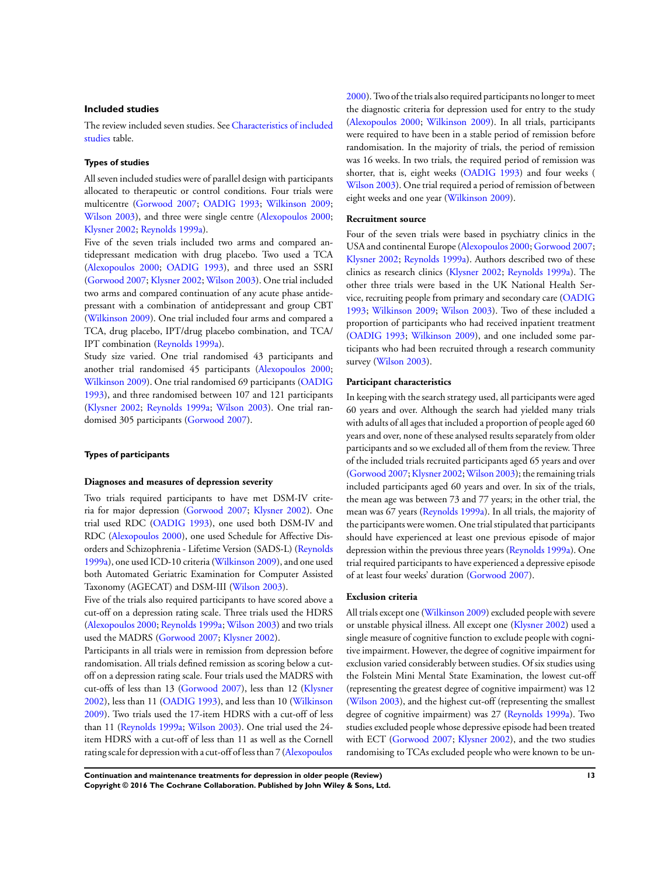### **Included studies**

The review included seven studies. See [Characteristics of included](#page-38-0) [studies](#page-38-0) table.

### **Types of studies**

All seven included studies were of parallel design with participants allocated to therapeutic or control conditions. Four trials were multicentre ([Gorwood 2007;](#page-34-0) [OADIG 1993;](#page-34-0) [Wilkinson 2009;](#page-34-0) [Wilson 2003](#page-34-0)), and three were single centre [\(Alexopoulos 2000;](#page-34-0) [Klysner 2002;](#page-34-0) [Reynolds 1999a](#page-34-0)).

Five of the seven trials included two arms and compared antidepressant medication with drug placebo. Two used a TCA [\(Alexopoulos 2000](#page-34-0); [OADIG 1993](#page-34-0)), and three used an SSRI [\(Gorwood 2007](#page-34-0); [Klysner 2002;](#page-34-0) [Wilson 2003](#page-34-0)). One trial included two arms and compared continuation of any acute phase antidepressant with a combination of antidepressant and group CBT [\(Wilkinson 2009\)](#page-34-0). One trial included four arms and compared a TCA, drug placebo, IPT/drug placebo combination, and TCA/ IPT combination ([Reynolds 1999a\)](#page-34-0).

Study size varied. One trial randomised 43 participants and another trial randomised 45 participants ([Alexopoulos 2000;](#page-34-0) [Wilkinson 2009\)](#page-34-0). One trial randomised 69 participants ([OADIG](#page-34-0) [1993](#page-34-0)), and three randomised between 107 and 121 participants [\(Klysner 2002;](#page-34-0) [Reynolds 1999a;](#page-34-0) [Wilson 2003](#page-34-0)). One trial randomised 305 participants ([Gorwood 2007](#page-34-0)).

#### **Types of participants**

#### **Diagnoses and measures of depression severity**

Two trials required participants to have met DSM-IV criteria for major depression ([Gorwood 2007;](#page-34-0) [Klysner 2002](#page-34-0)). One trial used RDC [\(OADIG 1993](#page-34-0)), one used both DSM-IV and RDC ([Alexopoulos 2000](#page-34-0)), one used Schedule for Affective Disorders and Schizophrenia - Lifetime Version (SADS-L) [\(Reynolds](#page-34-0) [1999a\)](#page-34-0), one used ICD-10 criteria [\(Wilkinson 2009](#page-34-0)), and one used both Automated Geriatric Examination for Computer Assisted Taxonomy (AGECAT) and DSM-III [\(Wilson 2003](#page-34-0)).

Five of the trials also required participants to have scored above a cut-off on a depression rating scale. Three trials used the HDRS [\(Alexopoulos 2000;](#page-34-0) [Reynolds 1999a](#page-34-0); [Wilson 2003](#page-34-0)) and two trials used the MADRS ([Gorwood 2007](#page-34-0); [Klysner 2002](#page-34-0)).

Participants in all trials were in remission from depression before randomisation. All trials defined remission as scoring below a cutoff on a depression rating scale. Four trials used the MADRS with cut-offs of less than 13 ([Gorwood 2007](#page-34-0)), less than 12 ([Klysner](#page-34-0) [2002](#page-34-0)), less than 11 [\(OADIG 1993\)](#page-34-0), and less than 10 ([Wilkinson](#page-34-0) [2009](#page-34-0)). Two trials used the 17-item HDRS with a cut-off of less than 11 ([Reynolds 1999a](#page-34-0); [Wilson 2003\)](#page-34-0). One trial used the 24 item HDRS with a cut-off of less than 11 as well as the Cornell rating scale for depression with a cut-off of less than 7 ([Alexopoulos](#page-34-0)

[2000](#page-34-0)). Two of the trials also required participants no longer to meet the diagnostic criteria for depression used for entry to the study [\(Alexopoulos 2000](#page-34-0); [Wilkinson 2009\)](#page-34-0). In all trials, participants were required to have been in a stable period of remission before randomisation. In the majority of trials, the period of remission was 16 weeks. In two trials, the required period of remission was shorter, that is, eight weeks [\(OADIG 1993](#page-34-0)) and four weeks ( [Wilson 2003\)](#page-34-0). One trial required a period of remission of between eight weeks and one year ([Wilkinson 2009](#page-34-0)).

#### **Recruitment source**

Four of the seven trials were based in psychiatry clinics in the USA and continental Europe ([Alexopoulos 2000](#page-34-0); [Gorwood 2007;](#page-34-0) [Klysner 2002](#page-34-0); [Reynolds 1999a\)](#page-34-0). Authors described two of these clinics as research clinics [\(Klysner 2002;](#page-34-0) [Reynolds 1999a\)](#page-34-0). The other three trials were based in the UK National Health Service, recruiting people from primary and secondary care ([OADIG](#page-34-0) [1993](#page-34-0); [Wilkinson 2009;](#page-34-0) [Wilson 2003](#page-34-0)). Two of these included a proportion of participants who had received inpatient treatment [\(OADIG 1993](#page-34-0); [Wilkinson 2009](#page-34-0)), and one included some participants who had been recruited through a research community survey [\(Wilson 2003\)](#page-34-0).

### **Participant characteristics**

In keeping with the search strategy used, all participants were aged 60 years and over. Although the search had yielded many trials with adults of all ages that included a proportion of people aged 60 years and over, none of these analysed results separately from older participants and so we excluded all of them from the review. Three of the included trials recruited participants aged 65 years and over (Gorwood 2007; Klysner 2002; [Wilson 2003](#page-34-0)); the remaining trials included participants aged 60 years and over. In six of the trials, the mean age was between 73 and 77 years; in the other trial, the mean was 67 years [\(Reynolds 1999a](#page-34-0)). In all trials, the majority of the participants were women. One trial stipulated that participants should have experienced at least one previous episode of major depression within the previous three years [\(Reynolds 1999a\)](#page-34-0). One trial required participants to have experienced a depressive episode of at least four weeks' duration ([Gorwood 2007](#page-34-0)).

#### **Exclusion criteria**

All trials except one ([Wilkinson 2009\)](#page-34-0) excluded people with severe or unstable physical illness. All except one ([Klysner 2002](#page-34-0)) used a single measure of cognitive function to exclude people with cognitive impairment. However, the degree of cognitive impairment for exclusion varied considerably between studies. Of six studies using the Folstein Mini Mental State Examination, the lowest cut-off (representing the greatest degree of cognitive impairment) was 12 [\(Wilson 2003](#page-34-0)), and the highest cut-off (representing the smallest degree of cognitive impairment) was 27 ([Reynolds 1999a](#page-34-0)). Two studies excluded people whose depressive episode had been treated with ECT ([Gorwood 2007](#page-34-0); [Klysner 2002](#page-34-0)), and the two studies randomising to TCAs excluded people who were known to be un-

**Continuation and maintenance treatments for depression in older people (Review) 13 Copyright © 2016 The Cochrane Collaboration. Published by John Wiley & Sons, Ltd.**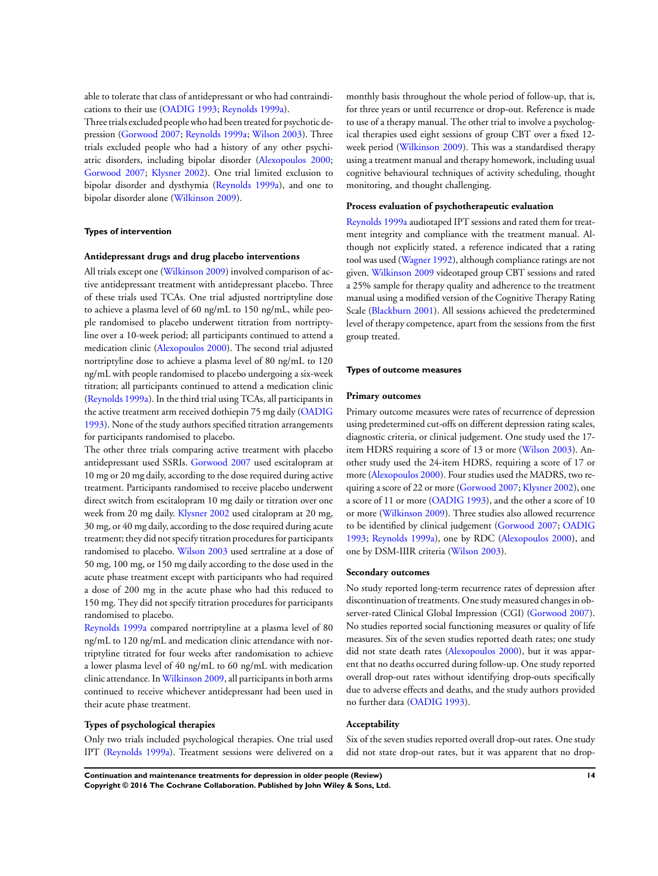able to tolerate that class of antidepressant or who had contraindications to their use ([OADIG 1993](#page-34-0); [Reynolds 1999a\)](#page-34-0).

Three trials excluded people who had been treated for psychotic depression ([Gorwood 2007](#page-34-0); [Reynolds 1999a](#page-34-0); [Wilson 2003](#page-34-0)). Three trials excluded people who had a history of any other psychiatric disorders, including bipolar disorder [\(Alexopoulos 2000;](#page-34-0) [Gorwood 2007](#page-34-0); [Klysner 2002\)](#page-34-0). One trial limited exclusion to bipolar disorder and dysthymia [\(Reynolds 1999a](#page-34-0)), and one to bipolar disorder alone [\(Wilkinson 2009\)](#page-34-0).

#### **Types of intervention**

### **Antidepressant drugs and drug placebo interventions**

All trials except one ([Wilkinson 2009](#page-34-0)) involved comparison of active antidepressant treatment with antidepressant placebo. Three of these trials used TCAs. One trial adjusted nortriptyline dose to achieve a plasma level of 60 ng/mL to 150 ng/mL, while people randomised to placebo underwent titration from nortriptyline over a 10-week period; all participants continued to attend a medication clinic ([Alexopoulos 2000](#page-34-0)). The second trial adjusted nortriptyline dose to achieve a plasma level of 80 ng/mL to 120 ng/mL with people randomised to placebo undergoing a six-week titration; all participants continued to attend a medication clinic [\(Reynolds 1999a](#page-34-0)). In the third trial using TCAs, all participants in the active treatment arm received dothiepin 75 mg daily ([OADIG](#page-34-0) [1993](#page-34-0)). None of the study authors specified titration arrangements for participants randomised to placebo.

The other three trials comparing active treatment with placebo antidepressant used SSRIs. [Gorwood 2007](#page-34-0) used escitalopram at 10 mg or 20 mg daily, according to the dose required during active treatment. Participants randomised to receive placebo underwent direct switch from escitalopram 10 mg daily or titration over one week from 20 mg daily. [Klysner 2002](#page-34-0) used citalopram at 20 mg, 30 mg, or 40 mg daily, according to the dose required during acute treatment; they did not specify titration procedures for participants randomised to placebo. [Wilson 2003](#page-34-0) used sertraline at a dose of 50 mg, 100 mg, or 150 mg daily according to the dose used in the acute phase treatment except with participants who had required a dose of 200 mg in the acute phase who had this reduced to 150 mg. They did not specify titration procedures for participants randomised to placebo.

[Reynolds 1999a](#page-34-0) compared nortriptyline at a plasma level of 80 ng/mL to 120 ng/mL and medication clinic attendance with nortriptyline titrated for four weeks after randomisation to achieve a lower plasma level of 40 ng/mL to 60 ng/mL with medication clinic attendance. In[Wilkinson 2009,](#page-34-0) all participants in both arms continued to receive whichever antidepressant had been used in their acute phase treatment.

### **Types of psychological therapies**

monthly basis throughout the whole period of follow-up, that is, for three years or until recurrence or drop-out. Reference is made to use of a therapy manual. The other trial to involve a psychological therapies used eight sessions of group CBT over a fixed 12 week period [\(Wilkinson 2009](#page-34-0)). This was a standardised therapy using a treatment manual and therapy homework, including usual cognitive behavioural techniques of activity scheduling, thought monitoring, and thought challenging.

#### **Process evaluation of psychotherapeutic evaluation**

[Reynolds 1999a](#page-34-0) audiotaped IPT sessions and rated them for treatment integrity and compliance with the treatment manual. Although not explicitly stated, a reference indicated that a rating tool was used ([Wagner 1992](#page-34-0)), although compliance ratings are not given. [Wilkinson 2009](#page-34-0) videotaped group CBT sessions and rated a 25% sample for therapy quality and adherence to the treatment manual using a modified version of the Cognitive Therapy Rating Scale ([Blackburn 2001](#page-34-0)). All sessions achieved the predetermined level of therapy competence, apart from the sessions from the first group treated.

#### **Types of outcome measures**

#### **Primary outcomes**

Primary outcome measures were rates of recurrence of depression using predetermined cut-offs on different depression rating scales, diagnostic criteria, or clinical judgement. One study used the 17 item HDRS requiring a score of 13 or more ([Wilson 2003](#page-34-0)). Another study used the 24-item HDRS, requiring a score of 17 or more ([Alexopoulos 2000](#page-34-0)). Four studies used the MADRS, two requiring a score of 22 or more ([Gorwood 2007;](#page-34-0) [Klysner 2002\)](#page-34-0), one a score of 11 or more [\(OADIG 1993\)](#page-34-0), and the other a score of 10 or more ([Wilkinson 2009](#page-34-0)). Three studies also allowed recurrence to be identified by clinical judgement ([Gorwood 2007](#page-34-0); [OADIG](#page-34-0) [1993](#page-34-0); [Reynolds 1999a](#page-34-0)), one by RDC [\(Alexopoulos 2000](#page-34-0)), and one by DSM-IIIR criteria ([Wilson 2003](#page-34-0)).

#### **Secondary outcomes**

No study reported long-term recurrence rates of depression after discontinuation of treatments. One study measured changes in ob-server-rated Clinical Global Impression (CGI) [\(Gorwood 2007](#page-34-0)). No studies reported social functioning measures or quality of life measures. Six of the seven studies reported death rates; one study did not state death rates [\(Alexopoulos 2000](#page-34-0)), but it was apparent that no deaths occurred during follow-up. One study reported overall drop-out rates without identifying drop-outs specifically due to adverse effects and deaths, and the study authors provided no further data ([OADIG 1993](#page-34-0)).

### **Acceptability**

Only two trials included psychological therapies. One trial used IPT [\(Reynolds 1999a\)](#page-34-0). Treatment sessions were delivered on a Six of the seven studies reported overall drop-out rates. One study did not state drop-out rates, but it was apparent that no drop-

**Continuation and maintenance treatments for depression in older people (Review) 14 Copyright © 2016 The Cochrane Collaboration. Published by John Wiley & Sons, Ltd.**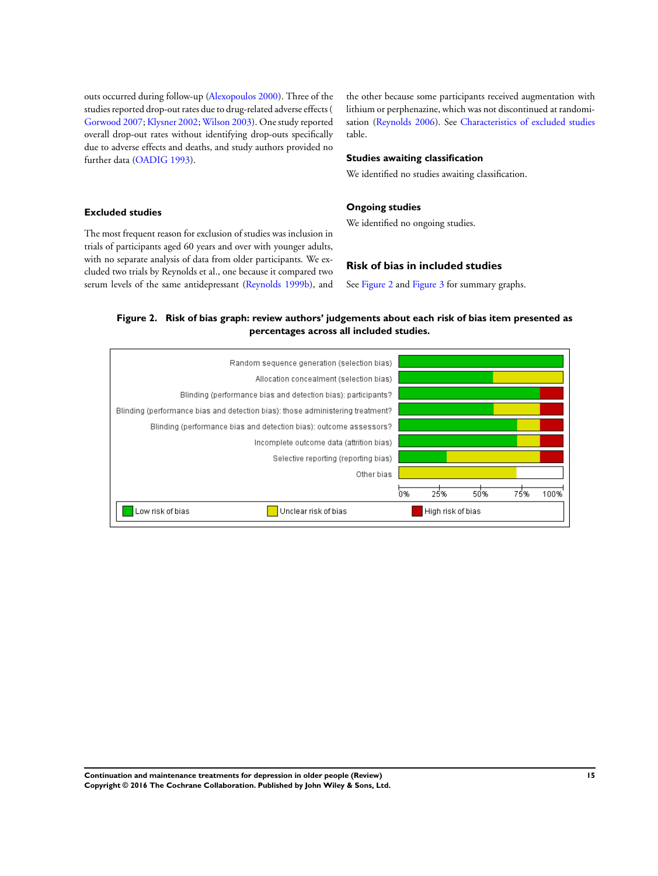outs occurred during follow-up ([Alexopoulos 2000\)](#page-34-0). Three of the studies reported drop-out rates due to drug-related adverse effects ( [Gorwood 2007](#page-34-0); [Klysner 2002](#page-34-0); [Wilson 2003\)](#page-34-0). One study reported overall drop-out rates without identifying drop-outs specifically due to adverse effects and deaths, and study authors provided no further data [\(OADIG 1993\)](#page-34-0).

the other because some participants received augmentation with lithium or perphenazine, which was not discontinued at randomisation [\(Reynolds 2006](#page-34-0)). See [Characteristics of excluded studies](#page-50-0) table.

### **Studies awaiting classification**

We identified no studies awaiting classification.

### **Ongoing studies**

We identified no ongoing studies.

The most frequent reason for exclusion of studies was inclusion in trials of participants aged 60 years and over with younger adults, with no separate analysis of data from older participants. We excluded two trials by Reynolds et al., one because it compared two serum levels of the same antidepressant [\(Reynolds 1999b\)](#page-34-0), and

**Excluded studies**

### **Risk of bias in included studies**

See Figure 2 and [Figure 3](#page-17-0) for summary graphs.

**Figure 2. Risk of bias graph: review authors' judgements about each risk of bias item presented as percentages across all included studies.**

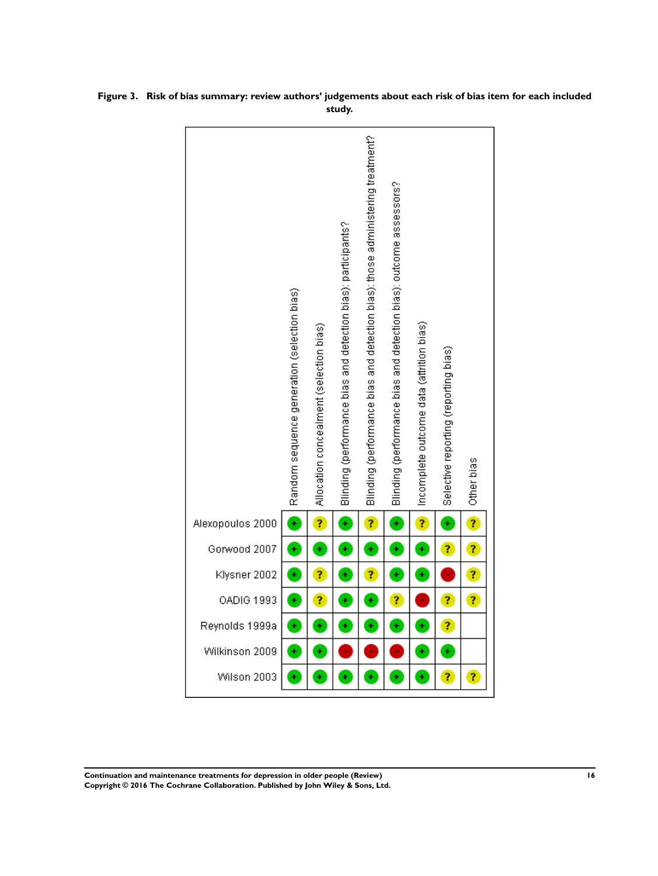|                  | Random sequence generation (selection bias) | Allocation concealment (selection bias) | Blinding (performance bias and detection bias): participants? | Blinding (performance bias and detection bias): those administering treatment? | Blinding (performance bias and detection bias): outcome assessors? | Incomplete outcome data (attrition bias) | Selective reporting (reporting bias) | Other bias |
|------------------|---------------------------------------------|-----------------------------------------|---------------------------------------------------------------|--------------------------------------------------------------------------------|--------------------------------------------------------------------|------------------------------------------|--------------------------------------|------------|
| Alexopoulos 2000 | ŧ                                           | ?                                       | Ŧ                                                             | ?                                                                              | Ŧ                                                                  | Î,                                       | 9                                    | ?          |
| Gorwood 2007     | Ŧ                                           | ÷                                       | ¥                                                             | ÷                                                                              | $\bullet$                                                          | Ŧ                                        | ?                                    | ?          |
| Klysner 2002     | Ŧ                                           | ?                                       | ٠                                                             | ?                                                                              | ÷                                                                  | ÷                                        | ÷                                    | Î,         |
| OADIG 1993       | Ŧ                                           | 7                                       | ¥                                                             | Ŧ                                                                              | 7                                                                  |                                          | 7                                    | ?          |
| Reynolds 1999a   | Ŧ                                           | Ŧ                                       | ÷                                                             | ŧ                                                                              | ŧ                                                                  | Ŧ                                        | ?                                    |            |
| Wilkinson 2009   | Ŧ                                           | Ŧ                                       | ۳                                                             | ÷                                                                              | ÷                                                                  | Ŧ                                        | Ŧ                                    |            |
| Wilson 2003      | Ŧ                                           | $\bullet$                               | ÷                                                             | ÷                                                                              | $\ddot{}$                                                          | ÷                                        | ?                                    | ?          |

<span id="page-17-0"></span>**Figure 3. Risk of bias summary: review authors' judgements about each risk of bias item for each included study.**

**Continuation and maintenance treatments for depression in older people (Review) 16 Copyright © 2016 The Cochrane Collaboration. Published by John Wiley & Sons, Ltd.**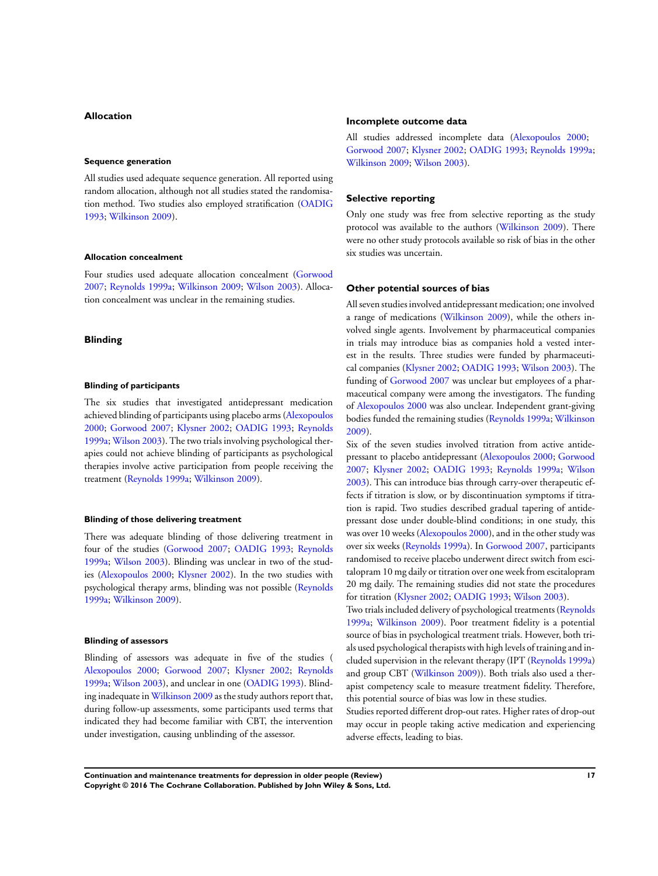### <span id="page-18-0"></span>**Allocation**

#### **Sequence generation**

All studies used adequate sequence generation. All reported using random allocation, although not all studies stated the randomisation method. Two studies also employed stratification ([OADIG](#page-34-0) [1993](#page-34-0); [Wilkinson 2009](#page-34-0)).

#### **Allocation concealment**

Four studies used adequate allocation concealment ([Gorwood](#page-34-0) [2007](#page-34-0); [Reynolds 1999a;](#page-34-0) [Wilkinson 2009;](#page-34-0) [Wilson 2003\)](#page-34-0). Allocation concealment was unclear in the remaining studies.

### **Blinding**

#### **Blinding of participants**

The six studies that investigated antidepressant medication achieved blinding of participants using placebo arms ([Alexopoulos](#page-34-0) [2000](#page-34-0); [Gorwood 2007](#page-34-0); [Klysner 2002;](#page-34-0) [OADIG 1993;](#page-34-0) [Reynolds](#page-34-0) [1999a;](#page-34-0) [Wilson 2003\)](#page-34-0). The two trials involving psychological therapies could not achieve blinding of participants as psychological therapies involve active participation from people receiving the treatment [\(Reynolds 1999a](#page-34-0); [Wilkinson 2009](#page-34-0)).

#### **Blinding of those delivering treatment**

There was adequate blinding of those delivering treatment in four of the studies ([Gorwood 2007;](#page-34-0) [OADIG 1993](#page-34-0); [Reynolds](#page-34-0) [1999a;](#page-34-0) [Wilson 2003](#page-34-0)). Blinding was unclear in two of the studies [\(Alexopoulos 2000](#page-34-0); [Klysner 2002](#page-34-0)). In the two studies with psychological therapy arms, blinding was not possible [\(Reynolds](#page-34-0) [1999a;](#page-34-0) [Wilkinson 2009](#page-34-0)).

#### **Blinding of assessors**

Blinding of assessors was adequate in five of the studies ( [Alexopoulos 2000;](#page-34-0) [Gorwood 2007](#page-34-0); [Klysner 2002;](#page-34-0) [Reynolds](#page-34-0) [1999a;](#page-34-0) [Wilson 2003](#page-34-0)), and unclear in one ([OADIG 1993](#page-34-0)). Blinding inadequate in [Wilkinson 2009](#page-34-0) as the study authors report that, during follow-up assessments, some participants used terms that indicated they had become familiar with CBT, the intervention under investigation, causing unblinding of the assessor.

#### **Incomplete outcome data**

All studies addressed incomplete data [\(Alexopoulos 2000](#page-34-0); [Gorwood 2007](#page-34-0); [Klysner 2002;](#page-34-0) [OADIG 1993;](#page-34-0) [Reynolds 1999a;](#page-34-0) [Wilkinson 2009;](#page-34-0) [Wilson 2003\)](#page-34-0).

#### **Selective reporting**

Only one study was free from selective reporting as the study protocol was available to the authors [\(Wilkinson 2009](#page-34-0)). There were no other study protocols available so risk of bias in the other six studies was uncertain.

#### **Other potential sources of bias**

All seven studies involved antidepressant medication; one involved a range of medications ([Wilkinson 2009\)](#page-34-0), while the others involved single agents. Involvement by pharmaceutical companies in trials may introduce bias as companies hold a vested interest in the results. Three studies were funded by pharmaceutical companies ([Klysner 2002](#page-34-0); [OADIG 1993](#page-34-0); [Wilson 2003\)](#page-34-0). The funding of [Gorwood 2007](#page-34-0) was unclear but employees of a pharmaceutical company were among the investigators. The funding of [Alexopoulos 2000](#page-34-0) was also unclear. Independent grant-giving bodies funded the remaining studies [\(Reynolds 1999a;](#page-34-0) [Wilkinson](#page-34-0) [2009](#page-34-0)).

Six of the seven studies involved titration from active antidepressant to placebo antidepressant ([Alexopoulos 2000](#page-34-0); [Gorwood](#page-34-0) [2007](#page-34-0); [Klysner 2002;](#page-34-0) [OADIG 1993](#page-34-0); [Reynolds 1999a;](#page-34-0) [Wilson](#page-34-0) [2003](#page-34-0)). This can introduce bias through carry-over therapeutic effects if titration is slow, or by discontinuation symptoms if titration is rapid. Two studies described gradual tapering of antidepressant dose under double-blind conditions; in one study, this was over 10 weeks ([Alexopoulos 2000\)](#page-34-0), and in the other study was over six weeks [\(Reynolds 1999a](#page-34-0)). In [Gorwood 2007,](#page-34-0) participants randomised to receive placebo underwent direct switch from escitalopram 10 mg daily or titration over one week from escitalopram 20 mg daily. The remaining studies did not state the procedures for titration [\(Klysner 2002;](#page-34-0) [OADIG 1993;](#page-34-0) [Wilson 2003\)](#page-34-0).

Two trials included delivery of psychological treatments [\(Reynolds](#page-34-0) [1999a;](#page-34-0) [Wilkinson 2009\)](#page-34-0). Poor treatment fidelity is a potential source of bias in psychological treatment trials. However, both trials used psychological therapists with high levels of training and included supervision in the relevant therapy (IPT ([Reynolds 1999a](#page-34-0)) and group CBT ([Wilkinson 2009\)](#page-34-0)). Both trials also used a therapist competency scale to measure treatment fidelity. Therefore, this potential source of bias was low in these studies.

Studies reported different drop-out rates. Higher rates of drop-out may occur in people taking active medication and experiencing adverse effects, leading to bias.

**Continuation and maintenance treatments for depression in older people (Review) 17 Copyright © 2016 The Cochrane Collaboration. Published by John Wiley & Sons, Ltd.**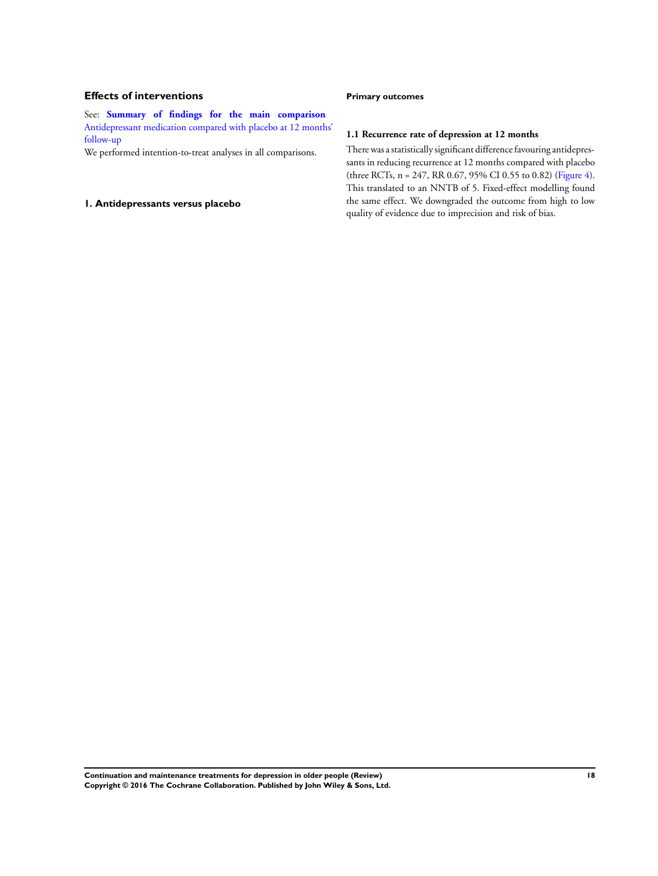### **Effects of interventions**

See: **[Summary of findings for the main comparison](#page-5-0)** [Antidepressant medication compared with placebo at 12 months'](#page-5-0) [follow-up](#page-5-0)

We performed intention-to-treat analyses in all comparisons.

### **1. Antidepressants versus placebo**

#### **Primary outcomes**

### **1.1 Recurrence rate of depression at 12 months**

There was a statistically significant difference favouring antidepressants in reducing recurrence at 12 months compared with placebo (three RCTs, n = 247, RR 0.67, 95% CI 0.55 to 0.82) ([Figure 4](#page-20-0)). This translated to an NNTB of 5. Fixed-effect modelling found the same effect. We downgraded the outcome from high to low quality of evidence due to imprecision and risk of bias.

**Continuation and maintenance treatments for depression in older people (Review) 18 Copyright © 2016 The Cochrane Collaboration. Published by John Wiley & Sons, Ltd.**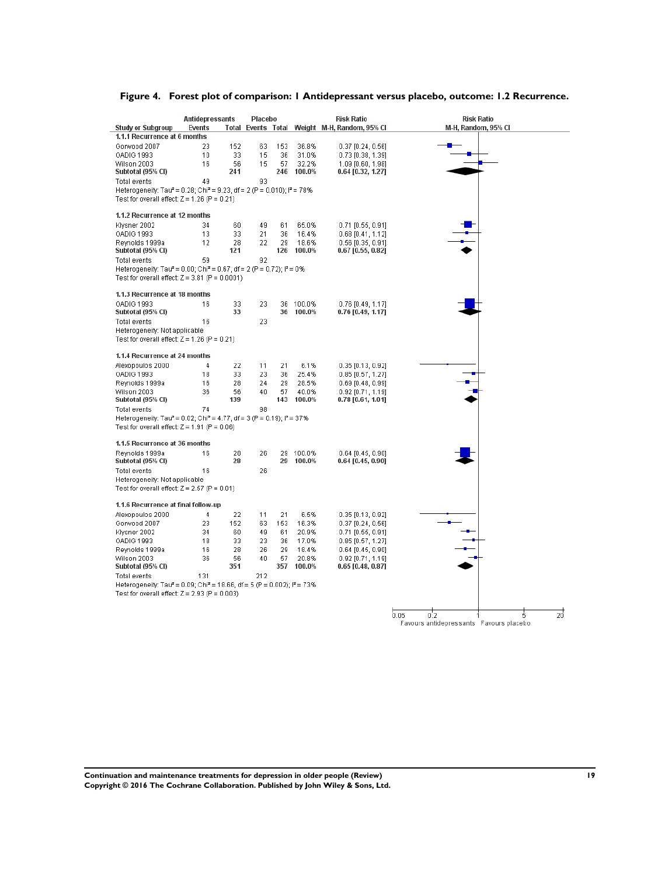|                                                                                                                                                     |                                         |           | Placebo                   |           |                 |                                                 |                                          |
|-----------------------------------------------------------------------------------------------------------------------------------------------------|-----------------------------------------|-----------|---------------------------|-----------|-----------------|-------------------------------------------------|------------------------------------------|
| <b>Study or Subgroup</b>                                                                                                                            | <b>Antidepressants</b><br><b>Events</b> |           | <b>Total Events Total</b> |           |                 | <b>Risk Ratio</b><br>Weight M-H, Random, 95% CI | <b>Risk Ratio</b><br>M-H, Random, 95% CI |
| 1.1.1 Recurrence at 6 months                                                                                                                        |                                         |           |                           |           |                 |                                                 |                                          |
| Gorwood 2007                                                                                                                                        | 23                                      | 152       | 63                        | 153       | 36.8%           | $0.37$ [0.24, 0.56]                             |                                          |
| OADIG 1993                                                                                                                                          | 10                                      | 33        | 15                        | 36        | 31.0%           | 0.73 [0.38, 1.39]                               |                                          |
| Wilson 2003                                                                                                                                         | 16                                      | 56        | 15                        | 57        | 32.2%           | 1.09 [0.60, 1.98]                               |                                          |
| Subtotal (95% CI)                                                                                                                                   |                                         | 241       |                           | 246       | 100.0%          | 0.64 [0.32, 1.27]                               |                                          |
| Total events                                                                                                                                        | 49                                      |           | 93                        |           |                 |                                                 |                                          |
| Heterogeneity: Tau <sup>2</sup> = 0.28; Chi <sup>2</sup> = 9.23, df = 2 (P = 0.010); $P = 78\%$                                                     |                                         |           |                           |           |                 |                                                 |                                          |
| Test for overall effect: $Z = 1.26$ (P = 0.21)                                                                                                      |                                         |           |                           |           |                 |                                                 |                                          |
|                                                                                                                                                     |                                         |           |                           |           |                 |                                                 |                                          |
| 1.1.2 Recurrence at 12 months                                                                                                                       |                                         |           |                           |           |                 |                                                 |                                          |
| Klysner 2002                                                                                                                                        | 34                                      | 60        | 49                        | 61        | 65.0%           | $0.71$ [0.55, 0.91]                             |                                          |
| OADIG 1993                                                                                                                                          | 13                                      | 33        | 21                        | 36        | 16.4%           | $0.68$ [0.41, 1.12]                             |                                          |
| Reynolds 1999a<br>Subtotal (95% CI)                                                                                                                 | 12                                      | 28<br>121 | 22                        | 29<br>126 | 18.6%<br>100.0% | $0.56$ [0.35, 0.91]<br>$0.67$ [0.55, 0.82]      |                                          |
| Total events                                                                                                                                        | 59                                      |           | 92                        |           |                 |                                                 |                                          |
| Heterogeneity: Tau <sup>2</sup> = 0.00; Chi <sup>2</sup> = 0.67, df = 2 (P = 0.72); $P = 0\%$                                                       |                                         |           |                           |           |                 |                                                 |                                          |
| Test for overall effect: $Z = 3.81$ (P = 0.0001)                                                                                                    |                                         |           |                           |           |                 |                                                 |                                          |
|                                                                                                                                                     |                                         |           |                           |           |                 |                                                 |                                          |
| 1.1.3 Recurrence at 18 months                                                                                                                       |                                         |           |                           |           |                 |                                                 |                                          |
| OADIG 1993                                                                                                                                          | 16                                      | 33        | 23                        |           | 36 100.0%       | 0.76 [0.49, 1.17]                               |                                          |
| Subtotal (95% CI)                                                                                                                                   |                                         | 33        |                           | 36        | 100.0%          | $0.76$ [0.49, 1.17]                             |                                          |
| Total events                                                                                                                                        | 16                                      |           | 23                        |           |                 |                                                 |                                          |
| Heterogeneity: Not applicable                                                                                                                       |                                         |           |                           |           |                 |                                                 |                                          |
| Test for overall effect: $Z = 1.26$ (P = 0.21)                                                                                                      |                                         |           |                           |           |                 |                                                 |                                          |
| 1.1.4 Recurrence at 24 months                                                                                                                       |                                         |           |                           |           |                 |                                                 |                                          |
| Alexopoulos 2000                                                                                                                                    | 4                                       | 22        | 11                        | 21        | 6.1%            |                                                 |                                          |
| OADIG 1993                                                                                                                                          | 18                                      | 33        | 23                        | 36        | 25.4%           | $0.35$ [0.13, 0.92]<br>$0.85$ [0.57, 1.27]      |                                          |
| Reynolds 1999a                                                                                                                                      | 16                                      | 28        | 24                        | 29        | 28.5%           | $0.69$ [0.48, 0.99]                             |                                          |
| Wilson 2003                                                                                                                                         | 36                                      | 56        | 40                        | 57        | 40.0%           | 0.92 [0.71, 1.19]                               |                                          |
| Subtotal (95% CI)                                                                                                                                   |                                         | 139       |                           | 143       | 100.0%          | $0.78$ [0.61, 1.01]                             |                                          |
| Total events                                                                                                                                        | 74                                      |           | 98                        |           |                 |                                                 |                                          |
| Heterogeneity: Tau <sup>2</sup> = 0.02; Chi <sup>2</sup> = 4.77, df = 3 (P = 0.19); $P = 37\%$                                                      |                                         |           |                           |           |                 |                                                 |                                          |
| Test for overall effect: $Z = 1.91$ (P = 0.06)                                                                                                      |                                         |           |                           |           |                 |                                                 |                                          |
| 1.1.5 Recurrence at 36 months                                                                                                                       |                                         |           |                           |           |                 |                                                 |                                          |
| Revnolds 1999a                                                                                                                                      | 16                                      | 28        | 26                        |           | 29 100.0%       | $0.64$ [0.45, 0.90]                             |                                          |
| Subtotal (95% CI)                                                                                                                                   |                                         | 28        |                           | 29        | 100.0%          | $0.64$ [0.45, 0.90]                             |                                          |
| Total events                                                                                                                                        | 16                                      |           | 26                        |           |                 |                                                 |                                          |
| Heterogeneity: Not applicable                                                                                                                       |                                         |           |                           |           |                 |                                                 |                                          |
| Test for overall effect: $Z = 2.57$ (P = 0.01)                                                                                                      |                                         |           |                           |           |                 |                                                 |                                          |
|                                                                                                                                                     |                                         |           |                           |           |                 |                                                 |                                          |
| 1.1.6 Recurrence at final follow-up                                                                                                                 |                                         |           |                           |           |                 |                                                 |                                          |
| Alexopoulos 2000                                                                                                                                    | 4                                       | 22        | 11                        | 21        | 6.5%            | $0.35$ [0.13, 0.92]                             |                                          |
| Gorwood 2007                                                                                                                                        | 23                                      | 152       | 63                        | 153       | 16.3%           | $0.37$ [0.24, 0.56]                             |                                          |
| Klysner 2002                                                                                                                                        | 34                                      | 60        | 49                        | 61        | 20.9%           | $0.71$ [0.55, 0.91]                             |                                          |
| OADIG 1993                                                                                                                                          | 18                                      | 33        | 23                        | 36        | 17.0%           | $0.85$ [0.57, 1.27]                             |                                          |
| Reynolds 1999a                                                                                                                                      | 16                                      | 28        | 26                        | 29        | 18.4%           | $0.64$ [0.45, 0.90]                             |                                          |
| Wilson 2003                                                                                                                                         | 36                                      | 56<br>351 | 40                        | 57        | 20.8%           | $0.92$ [0.71, 1.19]                             |                                          |
| Subtotal (95% CI)                                                                                                                                   |                                         |           |                           | 357       | 100.0%          | $0.65$ [0.48, 0.87]                             |                                          |
| Total events                                                                                                                                        | 131                                     |           | 212                       |           |                 |                                                 |                                          |
| Heterogeneity: Tau <sup>2</sup> = 0.09; Chi <sup>2</sup> = 18.66, df = 5 (P = 0.002); $P = 73\%$<br>Test for overall effect: $Z = 2.93$ (P = 0.003) |                                         |           |                           |           |                 |                                                 |                                          |
|                                                                                                                                                     |                                         |           |                           |           |                 |                                                 |                                          |
|                                                                                                                                                     |                                         |           |                           |           |                 |                                                 |                                          |
|                                                                                                                                                     |                                         |           |                           |           |                 |                                                 | Ò.05<br>0.2<br>20<br>6<br>1              |
|                                                                                                                                                     |                                         |           |                           |           |                 |                                                 | Favours antidepressants Favours placebo  |

### <span id="page-20-0"></span>**Figure 4. Forest plot of comparison: 1 Antidepressant versus placebo, outcome: 1.2 Recurrence.**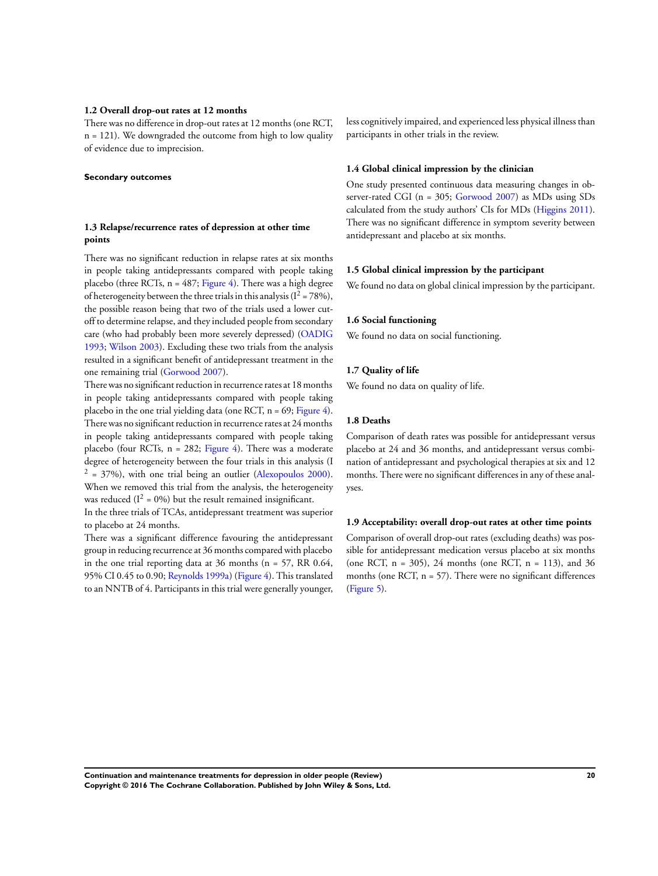#### **1.2 Overall drop-out rates at 12 months**

There was no difference in drop-out rates at 12 months (one RCT,  $n = 121$ ). We downgraded the outcome from high to low quality of evidence due to imprecision.

#### **Secondary outcomes**

### **1.3 Relapse/recurrence rates of depression at other time points**

There was no significant reduction in relapse rates at six months in people taking antidepressants compared with people taking placebo (three RCTs,  $n = 487$ ; [Figure 4](#page-20-0)). There was a high degree of heterogeneity between the three trials in this analysis ( $I^2 = 78\%$ ), the possible reason being that two of the trials used a lower cutoff to determine relapse, and they included people from secondary care (who had probably been more severely depressed) ([OADIG](#page-34-0) [1993](#page-34-0); [Wilson 2003](#page-34-0)). Excluding these two trials from the analysis resulted in a significant benefit of antidepressant treatment in the one remaining trial ([Gorwood 2007](#page-34-0)).

There was no significant reduction in recurrence rates at 18 months in people taking antidepressants compared with people taking placebo in the one trial yielding data (one RCT,  $n = 69$ ; [Figure 4](#page-20-0)). There was no significant reduction in recurrence rates at 24 months in people taking antidepressants compared with people taking placebo (four RCTs, n = 282; [Figure 4\)](#page-20-0). There was a moderate degree of heterogeneity between the four trials in this analysis (I  $2 = 37\%)$ , with one trial being an outlier [\(Alexopoulos 2000](#page-34-0)). When we removed this trial from the analysis, the heterogeneity was reduced  $(I^2 = 0\%)$  but the result remained insignificant.

In the three trials of TCAs, antidepressant treatment was superior to placebo at 24 months.

There was a significant difference favouring the antidepressant group in reducing recurrence at 36 months compared with placebo in the one trial reporting data at 36 months ( $n = 57$ , RR 0.64, 95% CI 0.45 to 0.90; [Reynolds 1999a](#page-34-0)) ([Figure 4](#page-20-0)). This translated to an NNTB of 4. Participants in this trial were generally younger, less cognitively impaired, and experienced less physical illness than participants in other trials in the review.

#### **1.4 Global clinical impression by the clinician**

One study presented continuous data measuring changes in observer-rated CGI (n = 305; [Gorwood 2007](#page-34-0)) as MDs using SDs calculated from the study authors' CIs for MDs [\(Higgins 2011](#page-34-0)). There was no significant difference in symptom severity between antidepressant and placebo at six months.

#### **1.5 Global clinical impression by the participant**

We found no data on global clinical impression by the participant.

#### **1.6 Social functioning**

We found no data on social functioning.

### **1.7 Quality of life**

We found no data on quality of life.

### **1.8 Deaths**

Comparison of death rates was possible for antidepressant versus placebo at 24 and 36 months, and antidepressant versus combination of antidepressant and psychological therapies at six and 12 months. There were no significant differences in any of these analyses.

#### **1.9 Acceptability: overall drop-out rates at other time points**

Comparison of overall drop-out rates (excluding deaths) was possible for antidepressant medication versus placebo at six months (one RCT, n = 305), 24 months (one RCT, n = 113), and 36 months (one RCT,  $n = 57$ ). There were no significant differences [\(Figure 5\)](#page-22-0).

**Continuation and maintenance treatments for depression in older people (Review) 20 Copyright © 2016 The Cochrane Collaboration. Published by John Wiley & Sons, Ltd.**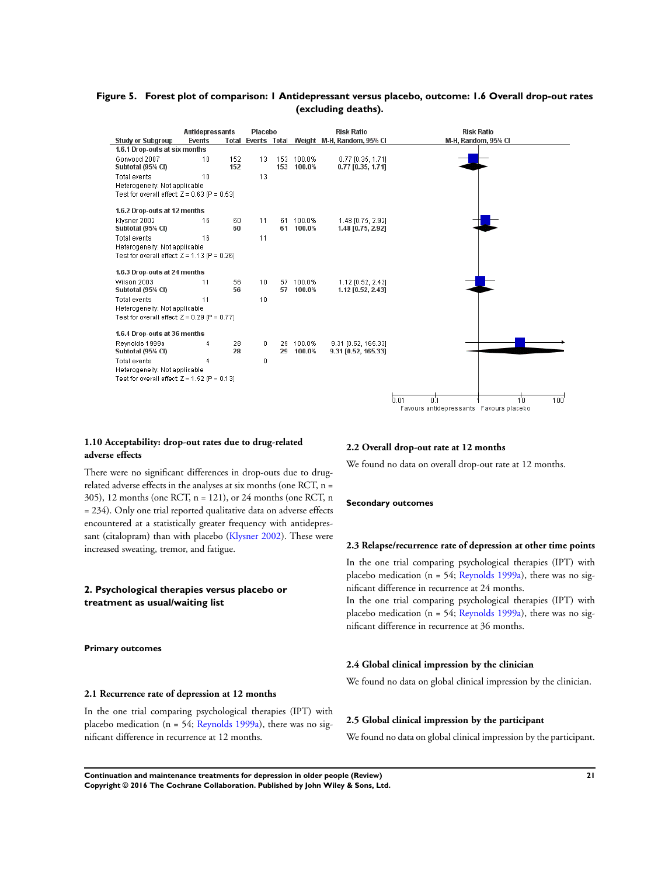### <span id="page-22-0"></span>**Figure 5. Forest plot of comparison: 1 Antidepressant versus placebo, outcome: 1.6 Overall drop-out rates (excluding deaths).**

|                                                | <b>Antidepressants</b> |     | Placebo                   |     |            | <b>Risk Ratio</b>          | <b>Risk Ratio</b>                       |  |
|------------------------------------------------|------------------------|-----|---------------------------|-----|------------|----------------------------|-----------------------------------------|--|
| <b>Study or Subgroup</b>                       | Events                 |     | <b>Total Events Total</b> |     |            | Weight M-H, Random, 95% CI | M-H, Random, 95% CI                     |  |
| 1.6.1 Drop-outs at six months                  |                        |     |                           |     |            |                            |                                         |  |
| Gorwood 2007                                   | 10                     | 152 | 13                        |     | 153 100.0% | 0.77 [0.35, 1.71]          |                                         |  |
| Subtotal (95% CI)                              |                        | 152 |                           | 153 | 100.0%     | $0.77$ [0.35, 1.71]        |                                         |  |
| Total events                                   | 10                     |     | 13                        |     |            |                            |                                         |  |
| Heterogeneity: Not applicable                  |                        |     |                           |     |            |                            |                                         |  |
| Test for overall effect: $Z = 0.63$ (P = 0.53) |                        |     |                           |     |            |                            |                                         |  |
| 1.6.2 Drop-outs at 12 months                   |                        |     |                           |     |            |                            |                                         |  |
| Klysner 2002                                   | 16                     | 60  | 11                        | 61. | 100.0%     | 1.48 [0.75, 2.92]          |                                         |  |
| Subtotal (95% CI)                              |                        | 60  |                           | 61  | 100.0%     | 1.48 [0.75, 2.92]          |                                         |  |
| Total events                                   | 16                     |     | 11                        |     |            |                            |                                         |  |
| Heterogeneity: Not applicable                  |                        |     |                           |     |            |                            |                                         |  |
| Test for overall effect: $Z = 1.13$ (P = 0.26) |                        |     |                           |     |            |                            |                                         |  |
|                                                |                        |     |                           |     |            |                            |                                         |  |
| 1.6.3 Drop-outs at 24 months                   |                        |     |                           |     |            |                            |                                         |  |
| Wilson 2003                                    | 11                     | 56  | 10                        |     | 57 100.0%  | 1.12 [0.52, 2.43]          |                                         |  |
| Subtotal (95% CI)                              |                        | 56  |                           | 57  | 100.0%     | 1.12 [0.52, 2.43]          |                                         |  |
| Total events                                   | 11                     |     | 10                        |     |            |                            |                                         |  |
| Heterogeneity: Not applicable                  |                        |     |                           |     |            |                            |                                         |  |
| Test for overall effect: $Z = 0.29$ (P = 0.77) |                        |     |                           |     |            |                            |                                         |  |
| 1.6.4 Drop-outs at 36 months                   |                        |     |                           |     |            |                            |                                         |  |
| Reynolds 1999a                                 | 4                      | 28  | 0                         | 29. | 100.0%     | 9.31 [0.52, 165.33]        |                                         |  |
| Subtotal (95% CI)                              |                        | 28  |                           | 29  | 100.0%     | 9.31 [0.52, 165.33]        |                                         |  |
| Total events                                   | 4                      |     | 0                         |     |            |                            |                                         |  |
| Heterogeneity: Not applicable                  |                        |     |                           |     |            |                            |                                         |  |
| Test for overall effect: $Z = 1.52$ (P = 0.13) |                        |     |                           |     |            |                            |                                         |  |
|                                                |                        |     |                           |     |            |                            |                                         |  |
|                                                |                        |     |                           |     |            |                            | 0.1<br>0.01<br>in.<br>$100^{\degree}$   |  |
|                                                |                        |     |                           |     |            |                            | Favours antidepressants Favours placebo |  |

### **1.10 Acceptability: drop-out rates due to drug-related adverse effects**

There were no significant differences in drop-outs due to drugrelated adverse effects in the analyses at six months (one RCT, n = 305), 12 months (one RCT, n = 121), or 24 months (one RCT, n = 234). Only one trial reported qualitative data on adverse effects encountered at a statistically greater frequency with antidepressant (citalopram) than with placebo [\(Klysner 2002](#page-34-0)). These were increased sweating, tremor, and fatigue.

### **2. Psychological therapies versus placebo or treatment as usual/waiting list**

**Primary outcomes**

### **2.2 Overall drop-out rate at 12 months**

We found no data on overall drop-out rate at 12 months.

#### **Secondary outcomes**

### **2.3 Relapse/recurrence rate of depression at other time points**

In the one trial comparing psychological therapies (IPT) with placebo medication ( $n = 54$ ; [Reynolds 1999a](#page-34-0)), there was no significant difference in recurrence at 24 months.

In the one trial comparing psychological therapies (IPT) with placebo medication (n = 54; [Reynolds 1999a](#page-34-0)), there was no significant difference in recurrence at 36 months.

### **2.4 Global clinical impression by the clinician**

We found no data on global clinical impression by the clinician.

### **2.1 Recurrence rate of depression at 12 months**

In the one trial comparing psychological therapies (IPT) with placebo medication ( $n = 54$ ; [Reynolds 1999a](#page-34-0)), there was no significant difference in recurrence at 12 months.

### **2.5 Global clinical impression by the participant**

We found no data on global clinical impression by the participant.

**Continuation and maintenance treatments for depression in older people (Review) 21 Copyright © 2016 The Cochrane Collaboration. Published by John Wiley & Sons, Ltd.**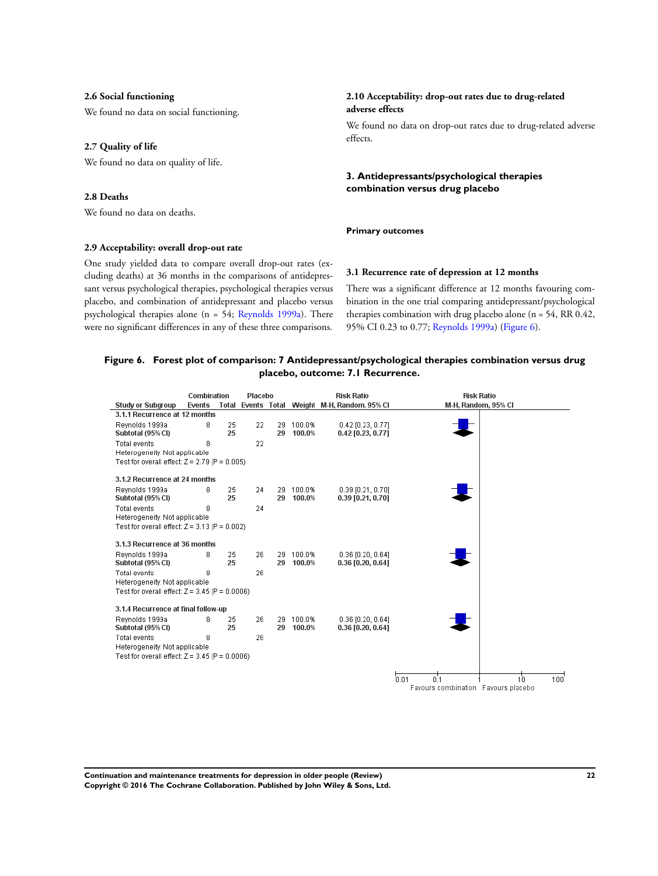### <span id="page-23-0"></span>**2.6 Social functioning**

We found no data on social functioning.

### **2.7 Quality of life**

We found no data on quality of life.

### **2.8 Deaths**

We found no data on deaths.

#### **2.9 Acceptability: overall drop-out rate**

One study yielded data to compare overall drop-out rates (excluding deaths) at 36 months in the comparisons of antidepressant versus psychological therapies, psychological therapies versus placebo, and combination of antidepressant and placebo versus psychological therapies alone (n = 54; [Reynolds 1999a](#page-34-0)). There were no significant differences in any of these three comparisons.

### **2.10 Acceptability: drop-out rates due to drug-related adverse effects**

We found no data on drop-out rates due to drug-related adverse effects.

### **3. Antidepressants/psychological therapies combination versus drug placebo**

**Primary outcomes**

### **3.1 Recurrence rate of depression at 12 months**

There was a significant difference at 12 months favouring combination in the one trial comparing antidepressant/psychological therapies combination with drug placebo alone (n = 54, RR 0.42, 95% CI 0.23 to 0.77; [Reynolds 1999a](#page-34-0)) (Figure 6).

### **Figure 6. Forest plot of comparison: 7 Antidepressant/psychological therapies combination versus drug placebo, outcome: 7.1 Recurrence.**

|                                                  | Combination |          | Placebo                   |          |                  | <b>Risk Ratio</b>                        | <b>Risk Ratio</b>                     |
|--------------------------------------------------|-------------|----------|---------------------------|----------|------------------|------------------------------------------|---------------------------------------|
| <b>Study or Subgroup</b>                         | Events      |          | <b>Total Events Total</b> |          |                  | Weight M-H, Random, 95% CI               | M-H, Random, 95% CI                   |
| 3.1.1 Recurrence at 12 months                    |             |          |                           |          |                  |                                          |                                       |
| Revnolds 1999a<br>Subtotal (95% CI)              | 8           | 25<br>25 | 22                        | 29<br>29 | 100.0%<br>100.0% | 0.42 [0.23, 0.77]<br>0.42 [0.23, 0.77]   |                                       |
| Total events                                     | 8           |          | 22                        |          |                  |                                          |                                       |
| Heterogeneity: Not applicable                    |             |          |                           |          |                  |                                          |                                       |
| Test for overall effect: $Z = 2.79$ (P = 0.005)  |             |          |                           |          |                  |                                          |                                       |
|                                                  |             |          |                           |          |                  |                                          |                                       |
| 3.1.2 Recurrence at 24 months                    |             |          |                           |          |                  |                                          |                                       |
| Revnolds 1999a<br>Subtotal (95% CI)              | 8           | 25<br>25 | 24                        | 29<br>29 | 100.0%<br>100.0% | $0.39$ [0.21, 0.70]<br>0.39 [0.21, 0.70] |                                       |
| Total events                                     | 8           |          | 24                        |          |                  |                                          |                                       |
| Heterogeneity: Not applicable                    |             |          |                           |          |                  |                                          |                                       |
| Test for overall effect: $Z = 3.13$ (P = 0.002)  |             |          |                           |          |                  |                                          |                                       |
|                                                  |             |          |                           |          |                  |                                          |                                       |
| 3.1.3 Recurrence at 36 months                    |             |          |                           |          |                  |                                          |                                       |
| Revnolds 1999a                                   | 8           | 25       | 26                        | 29       | 100.0%           | $0.36$ [0.20, 0.64]                      |                                       |
| Subtotal (95% CI)                                |             | 25       |                           | 29       | 100.0%           | $0.36$ [0.20, 0.64]                      |                                       |
| <b>Total events</b>                              | 8           |          | 26                        |          |                  |                                          |                                       |
| Heterogeneity: Not applicable                    |             |          |                           |          |                  |                                          |                                       |
| Test for overall effect: $Z = 3.45$ (P = 0.0006) |             |          |                           |          |                  |                                          |                                       |
|                                                  |             |          |                           |          |                  |                                          |                                       |
| 3.1.4 Recurrence at final follow-up              |             |          |                           |          |                  |                                          |                                       |
| Revnolds 1999a                                   | 8           | 25       | 26                        | 29       | 100.0%           | $0.36$ [0.20, 0.64]                      |                                       |
| Subtotal (95% CI)                                |             | 25       |                           | 29       | 100.0%           | $0.36$ [0.20, 0.64]                      |                                       |
| Total events                                     | 8           |          | 26                        |          |                  |                                          |                                       |
| Heterogeneity: Not applicable                    |             |          |                           |          |                  |                                          |                                       |
| Test for overall effect: $Z = 3.45$ (P = 0.0006) |             |          |                           |          |                  |                                          |                                       |
|                                                  |             |          |                           |          |                  |                                          |                                       |
|                                                  |             |          |                           |          |                  |                                          | 0.01<br>1'n<br>n'1<br>$100^{\degree}$ |
|                                                  |             |          |                           |          |                  |                                          | Favours combination Favours placebo   |

**Continuation and maintenance treatments for depression in older people (Review) 22 Copyright © 2016 The Cochrane Collaboration. Published by John Wiley & Sons, Ltd.**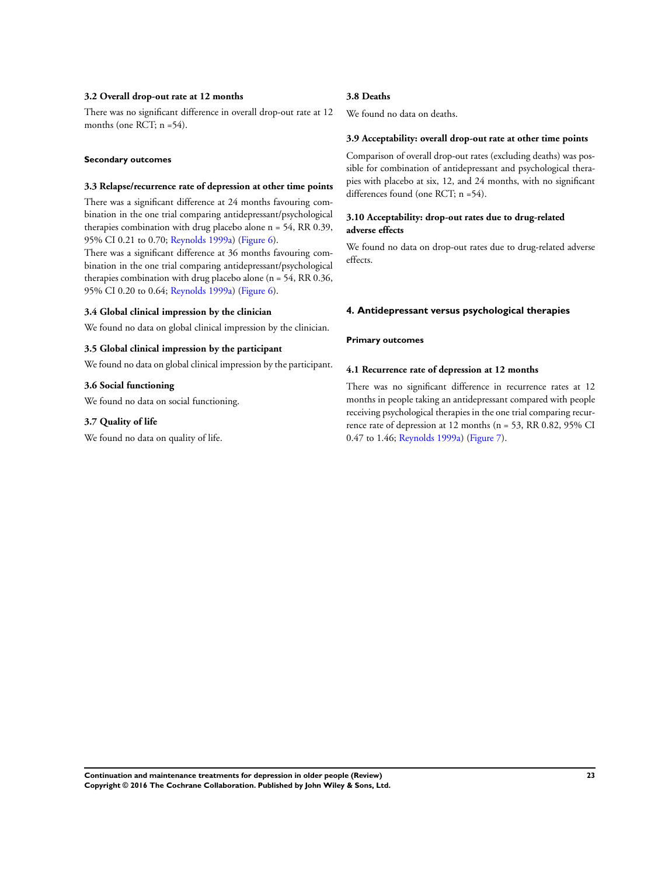### **3.2 Overall drop-out rate at 12 months**

There was no significant difference in overall drop-out rate at 12 months (one RCT;  $n = 54$ ).

#### **Secondary outcomes**

#### **3.3 Relapse/recurrence rate of depression at other time points**

There was a significant difference at 24 months favouring combination in the one trial comparing antidepressant/psychological therapies combination with drug placebo alone n = 54, RR 0.39, 95% CI 0.21 to 0.70; [Reynolds 1999a](#page-34-0)) [\(Figure 6\)](#page-23-0).

There was a significant difference at 36 months favouring combination in the one trial comparing antidepressant/psychological therapies combination with drug placebo alone (n = 54, RR 0.36, 95% CI 0.20 to 0.64; [Reynolds 1999a](#page-34-0)) [\(Figure 6\)](#page-23-0).

#### **3.4 Global clinical impression by the clinician**

We found no data on global clinical impression by the clinician.

#### **3.5 Global clinical impression by the participant**

We found no data on global clinical impression by the participant.

#### **3.6 Social functioning**

We found no data on social functioning.

#### **3.7 Quality of life**

We found no data on quality of life.

### **3.8 Deaths**

We found no data on deaths.

### **3.9 Acceptability: overall drop-out rate at other time points**

Comparison of overall drop-out rates (excluding deaths) was possible for combination of antidepressant and psychological therapies with placebo at six, 12, and 24 months, with no significant differences found (one RCT; n =54).

### **3.10 Acceptability: drop-out rates due to drug-related adverse effects**

We found no data on drop-out rates due to drug-related adverse effects.

### **4. Antidepressant versus psychological therapies**

#### **Primary outcomes**

#### **4.1 Recurrence rate of depression at 12 months**

There was no significant difference in recurrence rates at 12 months in people taking an antidepressant compared with people receiving psychological therapies in the one trial comparing recurrence rate of depression at 12 months (n = 53, RR 0.82, 95% CI 0.47 to 1.46; [Reynolds 1999a\)](#page-34-0) ([Figure 7](#page-25-0)).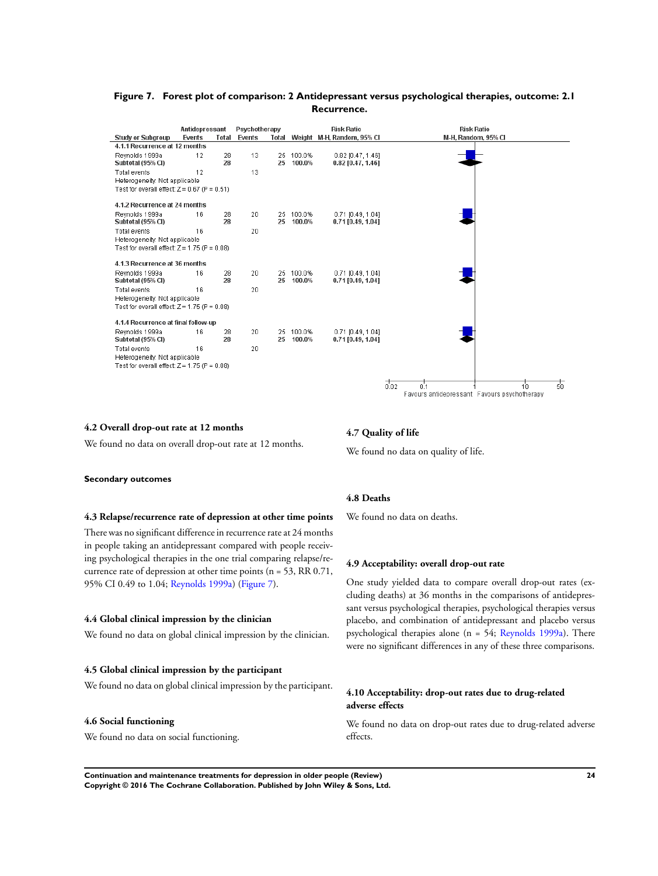### <span id="page-25-0"></span>**Figure 7. Forest plot of comparison: 2 Antidepressant versus psychological therapies, outcome: 2.1 Recurrence.**

| Events<br>Total<br>Events<br>Total Weight M-H, Random, 95% CI<br>M-H. Random, 95% CI<br><b>Study or Subgroup</b><br>4.1.1 Recurrence at 12 months<br>Revnolds 1999a<br>12<br>28<br>13<br>100.0%<br>25<br>$0.82$ [0.47, 1.46]<br>28<br>25<br>100.0%<br>Subtotal (95% CI) |   |
|-------------------------------------------------------------------------------------------------------------------------------------------------------------------------------------------------------------------------------------------------------------------------|---|
|                                                                                                                                                                                                                                                                         |   |
|                                                                                                                                                                                                                                                                         |   |
| 0.82 [0.47, 1.46]                                                                                                                                                                                                                                                       |   |
| 12<br>13<br>Total events                                                                                                                                                                                                                                                |   |
| Heterogeneity: Not applicable                                                                                                                                                                                                                                           |   |
| Test for overall effect: $Z = 0.67$ (P = 0.51)                                                                                                                                                                                                                          |   |
|                                                                                                                                                                                                                                                                         |   |
| 4.1.2 Recurrence at 24 months                                                                                                                                                                                                                                           |   |
| Revnolds 1999a<br>16<br>28<br>20<br>25 100.0%<br>0.71 [0.49, 1.04]<br>28<br>25<br>100.0%<br>Subtotal (95% CI)<br>0.71 [0.49, 1.04]                                                                                                                                      |   |
| Total events<br>16<br>20                                                                                                                                                                                                                                                |   |
| Heterogeneity: Not applicable                                                                                                                                                                                                                                           |   |
| Test for overall effect: $Z = 1.75$ (P = 0.08)                                                                                                                                                                                                                          |   |
| 4.1.3 Recurrence at 36 months                                                                                                                                                                                                                                           |   |
| Revnolds 1999a<br>28<br>20<br>25 100.0%<br>16<br>0.71 [0.49, 1.04]                                                                                                                                                                                                      |   |
| 28<br>25<br>Subtotal (95% CI)<br>100.0%<br>$0.71$ [0.49, 1.04]                                                                                                                                                                                                          |   |
| Total events<br>16<br>20                                                                                                                                                                                                                                                |   |
| Heterogeneity: Not applicable                                                                                                                                                                                                                                           |   |
| Test for overall effect: $Z = 1.75$ (P = 0.08)                                                                                                                                                                                                                          |   |
| 4.1.4 Recurrence at final follow-up                                                                                                                                                                                                                                     |   |
| 20<br>Revnolds 1999a<br>16<br>28<br>25 100.0%<br>$0.71$ [0.49, 1.04]                                                                                                                                                                                                    |   |
| Subtotal (95% CI)<br>28<br>25<br>100.0%<br>0.71 [0.49, 1.04]                                                                                                                                                                                                            |   |
| Total events<br>16<br>20                                                                                                                                                                                                                                                |   |
| Heterogeneity: Not applicable                                                                                                                                                                                                                                           |   |
| Test for overall effect: $Z = 1.75$ (P = 0.08)                                                                                                                                                                                                                          |   |
|                                                                                                                                                                                                                                                                         |   |
| $\frac{1}{0.02}$<br>n'1<br>1'n                                                                                                                                                                                                                                          | 盂 |
| Favours antidepressant Favours psychotherapy                                                                                                                                                                                                                            |   |

### **4.2 Overall drop-out rate at 12 months**

We found no data on overall drop-out rate at 12 months.

#### **Secondary outcomes**

#### **4.3 Relapse/recurrence rate of depression at other time points**

There was no significant difference in recurrence rate at 24 months in people taking an antidepressant compared with people receiving psychological therapies in the one trial comparing relapse/recurrence rate of depression at other time points (n = 53, RR 0.71, 95% CI 0.49 to 1.04; [Reynolds 1999a](#page-34-0)) (Figure 7).

### **4.4 Global clinical impression by the clinician**

We found no data on global clinical impression by the clinician.

### **4.5 Global clinical impression by the participant**

We found no data on global clinical impression by the participant.

#### **4.6 Social functioning**

We found no data on social functioning.

### **4.7 Quality of life**

We found no data on quality of life.

### **4.8 Deaths**

We found no data on deaths.

#### **4.9 Acceptability: overall drop-out rate**

One study yielded data to compare overall drop-out rates (excluding deaths) at 36 months in the comparisons of antidepressant versus psychological therapies, psychological therapies versus placebo, and combination of antidepressant and placebo versus psychological therapies alone (n = 54; [Reynolds 1999a](#page-34-0)). There were no significant differences in any of these three comparisons.

### **4.10 Acceptability: drop-out rates due to drug-related adverse effects**

We found no data on drop-out rates due to drug-related adverse effects.

**Continuation and maintenance treatments for depression in older people (Review) 24 Copyright © 2016 The Cochrane Collaboration. Published by John Wiley & Sons, Ltd.**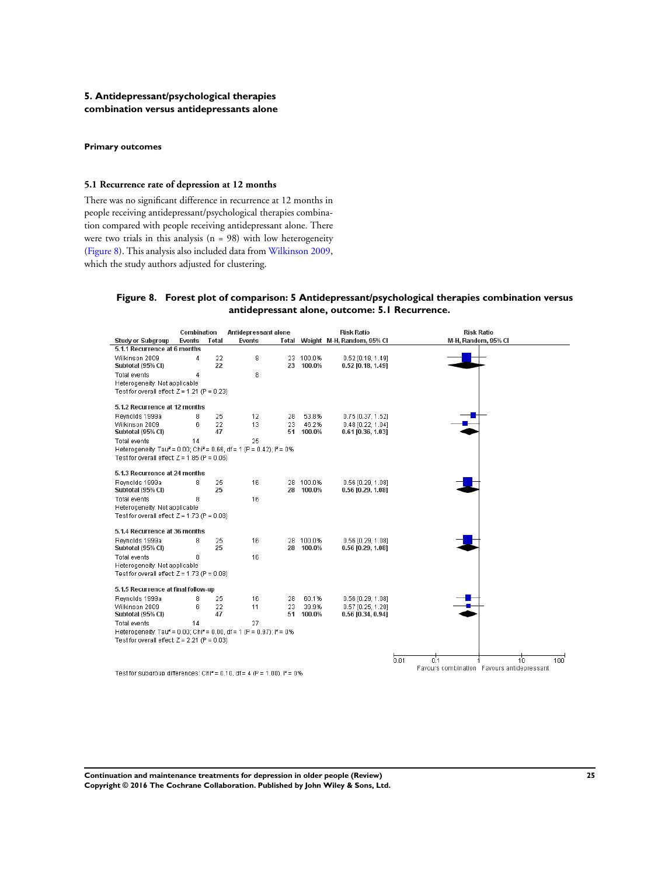### <span id="page-26-0"></span>**5. Antidepressant/psychological therapies combination versus antidepressants alone**

#### **Primary outcomes**

#### **5.1 Recurrence rate of depression at 12 months**

There was no significant difference in recurrence at 12 months in people receiving antidepressant/psychological therapies combination compared with people receiving antidepressant alone. There were two trials in this analysis ( $n = 98$ ) with low heterogeneity (Figure 8). This analysis also included data from [Wilkinson 2009,](#page-34-0) which the study authors adjusted for clustering.

### **Figure 8. Forest plot of comparison: 5 Antidepressant/psychological therapies combination versus antidepressant alone, outcome: 5.1 Recurrence.**

|                                                                                                         | Combination |          | Antidepressant alone |       |                     | <b>Risk Ratio</b>                      | <b>Risk Ratio</b>                          |
|---------------------------------------------------------------------------------------------------------|-------------|----------|----------------------|-------|---------------------|----------------------------------------|--------------------------------------------|
| <b>Study or Subgroup</b>                                                                                | Events      | Total    | Events               | Total |                     | Weight M-H, Random, 95% CI             | M-H, Random, 95% CI                        |
| 5.1.1 Recurrence at 6 months                                                                            |             |          |                      |       |                     |                                        |                                            |
| Wilkinson 2009<br>Subtotal (95% CI)                                                                     | 4           | 22<br>22 | 8                    | 23    | 23 100.0%<br>100.0% | 0.52 [0.18, 1.49]<br>0.52 [0.18, 1.49] |                                            |
| Total events                                                                                            | 4           |          | 8                    |       |                     |                                        |                                            |
| Heterogeneity: Not applicable                                                                           |             |          |                      |       |                     |                                        |                                            |
| Test for overall effect: $Z = 1.21$ (P = 0.23)                                                          |             |          |                      |       |                     |                                        |                                            |
| 5.1.2 Recurrence at 12 months                                                                           |             |          |                      |       |                     |                                        |                                            |
| Reynolds 1999a                                                                                          | 8           | 25       | 12                   | 28    | 53.8%               | 0.75 [0.37, 1.52]                      |                                            |
| Wilkinson 2009                                                                                          | 6           | 22       | 13                   | 23    | 46.2%               | 0.48 [0.22, 1.04]                      |                                            |
| Subtotal (95% CI)                                                                                       |             | 47       |                      | 51    | 100.0%              | 0.61 [0.36, 1.03]                      |                                            |
| Total events                                                                                            | 14          |          | 25                   |       |                     |                                        |                                            |
| Heterogeneity: Tau <sup>2</sup> = 0.00; Chi <sup>2</sup> = 0.66, df = 1 (P = 0.42); i <sup>2</sup> = 0% |             |          |                      |       |                     |                                        |                                            |
| Test for overall effect: $Z = 1.85$ (P = 0.06)                                                          |             |          |                      |       |                     |                                        |                                            |
| 5.1.3 Recurrence at 24 months                                                                           |             |          |                      |       |                     |                                        |                                            |
| Revnolds 1999a                                                                                          | 8           | 25       | 16                   |       | 28 100.0%           | 0.56 [0.29, 1.08]                      |                                            |
| Subtotal (95% CI)                                                                                       |             | 25       |                      |       | 28 100.0%           | 0.56 [0.29, 1.08]                      |                                            |
| <b>Total events</b>                                                                                     | 8           |          | 16                   |       |                     |                                        |                                            |
| Heterogeneity: Not applicable                                                                           |             |          |                      |       |                     |                                        |                                            |
| Test for overall effect: $Z = 1.73$ (P = 0.08)                                                          |             |          |                      |       |                     |                                        |                                            |
| 5.1.4 Recurrence at 36 months                                                                           |             |          |                      |       |                     |                                        |                                            |
| Reynolds 1999a                                                                                          | 8           | 25       | 16                   |       | 28 100.0%           | 0.56 [0.29, 1.08]                      |                                            |
| Subtotal (95% CI)                                                                                       |             | 25       |                      | 28    | 100.0%              | 0.56 [0.29, 1.08]                      |                                            |
| Total events                                                                                            | 8           |          | 16                   |       |                     |                                        |                                            |
| Heterogeneity: Not applicable                                                                           |             |          |                      |       |                     |                                        |                                            |
| Test for overall effect: $Z = 1.73$ (P = 0.08)                                                          |             |          |                      |       |                     |                                        |                                            |
|                                                                                                         |             |          |                      |       |                     |                                        |                                            |
| 5.1.5 Recurrence at final follow-up                                                                     |             |          |                      |       |                     |                                        |                                            |
| Reynolds 1999a                                                                                          | 8           | 25       | 16                   | 28    | 60.1%               | 0.56 [0.29, 1.08]                      |                                            |
| Wilkinson 2009                                                                                          | 6           | 22       | 11                   | 23    | 39.9%               | 0.57 [0.25, 1.28]                      |                                            |
| Subtotal (95% CI)                                                                                       |             | 47       |                      | 51    | 100.0%              | $0.56$ [0.34, 0.94]                    |                                            |
| Total events                                                                                            | 14          |          | 27                   |       |                     |                                        |                                            |
| Heterogeneity: Tau <sup>2</sup> = 0.00; Chi <sup>2</sup> = 0.00, df = 1 (P = 0.97); $P = 0\%$           |             |          |                      |       |                     |                                        |                                            |
| Test for overall effect: $Z = 2.21$ (P = 0.03)                                                          |             |          |                      |       |                     |                                        |                                            |
|                                                                                                         |             |          |                      |       |                     |                                        |                                            |
|                                                                                                         |             |          |                      |       |                     |                                        | 0.01<br>n'1<br>1'n<br>100'                 |
| Test for subgroup differences: Chi <sup>2</sup> = 0.10, df = 4 (P = 1.00), $I^2 = 0\%$                  |             |          |                      |       |                     |                                        | Favours combination Favours antidepressant |

**Continuation and maintenance treatments for depression in older people (Review) 25 Copyright © 2016 The Cochrane Collaboration. Published by John Wiley & Sons, Ltd.**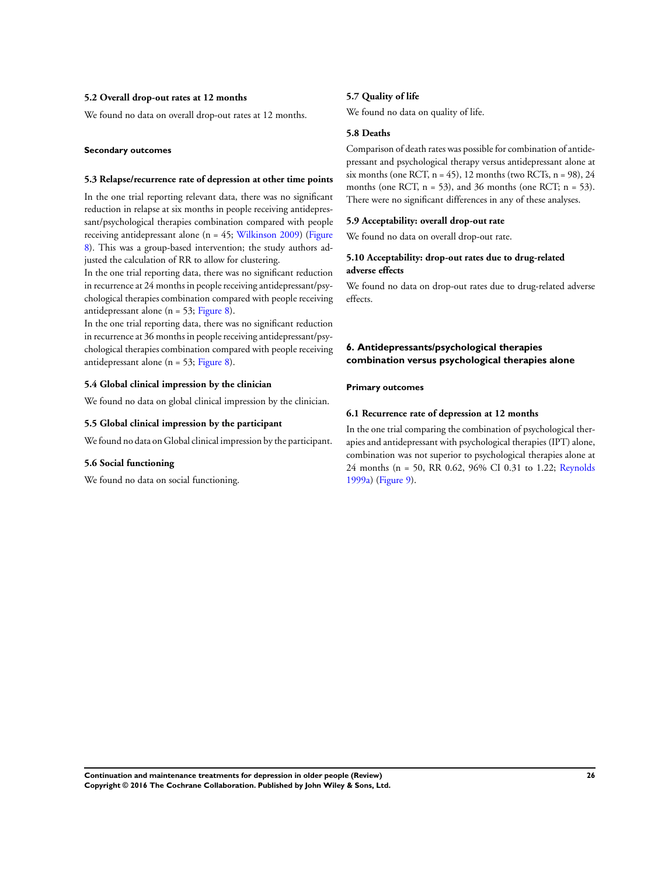### **5.2 Overall drop-out rates at 12 months**

We found no data on overall drop-out rates at 12 months.

#### **Secondary outcomes**

#### **5.3 Relapse/recurrence rate of depression at other time points**

In the one trial reporting relevant data, there was no significant reduction in relapse at six months in people receiving antidepressant/psychological therapies combination compared with people receiving antidepressant alone (n = 45; [Wilkinson 2009\)](#page-34-0) [\(Figure](#page-26-0) [8\)](#page-26-0). This was a group-based intervention; the study authors adjusted the calculation of RR to allow for clustering.

In the one trial reporting data, there was no significant reduction in recurrence at 24 months in people receiving antidepressant/psychological therapies combination compared with people receiving antidepressant alone (n = 53; [Figure 8\)](#page-26-0).

In the one trial reporting data, there was no significant reduction in recurrence at 36 months in people receiving antidepressant/psychological therapies combination compared with people receiving antidepressant alone (n = 53; [Figure 8\)](#page-26-0).

### **5.4 Global clinical impression by the clinician**

We found no data on global clinical impression by the clinician.

#### **5.5 Global clinical impression by the participant**

We found no data on Global clinical impression by the participant.

#### **5.6 Social functioning**

We found no data on social functioning.

### **5.7 Quality of life**

We found no data on quality of life.

#### **5.8 Deaths**

Comparison of death rates was possible for combination of antidepressant and psychological therapy versus antidepressant alone at six months (one RCT,  $n = 45$ ), 12 months (two RCTs,  $n = 98$ ), 24 months (one RCT,  $n = 53$ ), and 36 months (one RCT;  $n = 53$ ). There were no significant differences in any of these analyses.

#### **5.9 Acceptability: overall drop-out rate**

We found no data on overall drop-out rate.

### **5.10 Acceptability: drop-out rates due to drug-related adverse effects**

We found no data on drop-out rates due to drug-related adverse effects.

### **6. Antidepressants/psychological therapies combination versus psychological therapies alone**

#### **Primary outcomes**

#### **6.1 Recurrence rate of depression at 12 months**

In the one trial comparing the combination of psychological therapies and antidepressant with psychological therapies (IPT) alone, combination was not superior to psychological therapies alone at 24 months (n = 50, RR 0.62, 96% CI 0.31 to 1.22; [Reynolds](#page-34-0) [1999a\)](#page-34-0) ([Figure 9\)](#page-28-0).

**Continuation and maintenance treatments for depression in older people (Review) 26 Copyright © 2016 The Cochrane Collaboration. Published by John Wiley & Sons, Ltd.**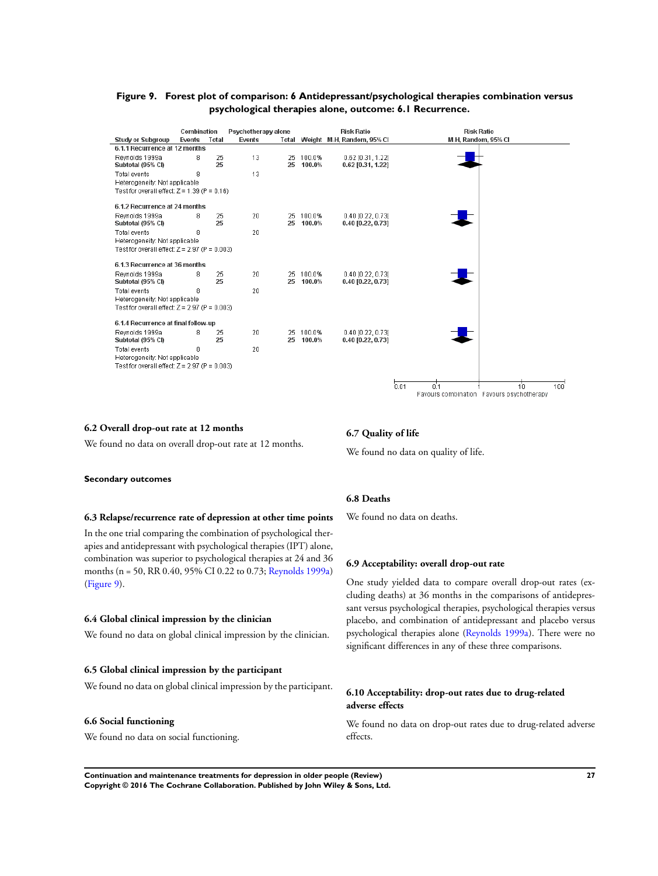### <span id="page-28-0"></span>**Figure 9. Forest plot of comparison: 6 Antidepressant/psychological therapies combination versus psychological therapies alone, outcome: 6.1 Recurrence.**

|                                                 | Combination   |          | Psychotherapy alone |          |                  | <b>Risk Ratio</b>                      |      | <b>Risk Ratio</b>                         |
|-------------------------------------------------|---------------|----------|---------------------|----------|------------------|----------------------------------------|------|-------------------------------------------|
| <b>Study or Subgroup</b>                        | <b>Events</b> | Total    | <b>Events</b>       | Total    |                  | Weight M-H, Random, 95% CI             |      | M-H, Random, 95% CI                       |
| 6.1.1 Recurrence at 12 months                   |               |          |                     |          |                  |                                        |      |                                           |
| Revnolds 1999a<br>Subtotal (95% CI)             | 8             | 25<br>25 | 13                  | 25<br>25 | 100.0%<br>100.0% | 0.62 [0.31, 1.22]<br>0.62 [0.31, 1.22] |      |                                           |
| Total events                                    | 8             |          | 13                  |          |                  |                                        |      |                                           |
| Heterogeneity: Not applicable                   |               |          |                     |          |                  |                                        |      |                                           |
| Test for overall effect: $Z = 1.39$ (P = 0.16)  |               |          |                     |          |                  |                                        |      |                                           |
|                                                 |               |          |                     |          |                  |                                        |      |                                           |
| 6.1.2 Recurrence at 24 months                   |               |          |                     |          |                  |                                        |      |                                           |
| Revnolds 1999a                                  | 8             | 25       | 20                  | 25       | 100.0%           | $0.40$ [0.22, 0.73]                    |      |                                           |
| Subtotal (95% CI)                               |               | 25       |                     | 25       | 100.0%           | $0.40$ [0.22, 0.73]                    |      |                                           |
| Total events                                    | 8             |          | 20                  |          |                  |                                        |      |                                           |
| Heterogeneity: Not applicable                   |               |          |                     |          |                  |                                        |      |                                           |
| Test for overall effect: $Z = 2.97$ (P = 0.003) |               |          |                     |          |                  |                                        |      |                                           |
|                                                 |               |          |                     |          |                  |                                        |      |                                           |
| 6.1.3 Recurrence at 36 months                   |               |          |                     |          |                  |                                        |      |                                           |
| Revnolds 1999a                                  | 8             | 25       | 20                  | 25       | 100.0%           | $0.40$ [0.22, 0.73]                    |      |                                           |
| Subtotal (95% CI)                               |               | 25       |                     | 25       | 100.0%           | $0.40$ [0.22, 0.73]                    |      |                                           |
| Total events                                    | 8             |          | 20                  |          |                  |                                        |      |                                           |
| Heterogeneity: Not applicable                   |               |          |                     |          |                  |                                        |      |                                           |
| Test for overall effect: $Z = 2.97$ (P = 0.003) |               |          |                     |          |                  |                                        |      |                                           |
|                                                 |               |          |                     |          |                  |                                        |      |                                           |
| 6.1.4 Recurrence at final follow-up             |               |          |                     |          |                  |                                        |      |                                           |
| Revnolds 1999a                                  | 8             | 25       | 20                  | 25       | 100.0%           | $0.40$ [0.22, 0.73]                    |      | J                                         |
| Subtotal (95% CI)                               |               | 25       |                     | 25       | 100.0%           | $0.40$ [0.22, 0.73]                    |      |                                           |
| Total events                                    | 8             |          | 20                  |          |                  |                                        |      |                                           |
| Heterogeneity: Not applicable                   |               |          |                     |          |                  |                                        |      |                                           |
| Test for overall effect: $Z = 2.97$ (P = 0.003) |               |          |                     |          |                  |                                        |      |                                           |
|                                                 |               |          |                     |          |                  |                                        |      |                                           |
|                                                 |               |          |                     |          |                  |                                        | 0.01 | 1'n<br>0 <sup>1</sup><br>$100^{\degree}$  |
|                                                 |               |          |                     |          |                  |                                        |      | Favours combination Favours psychotherapy |

#### **6.2 Overall drop-out rate at 12 months**

We found no data on overall drop-out rate at 12 months.

#### **Secondary outcomes**

#### **6.3 Relapse/recurrence rate of depression at other time points**

In the one trial comparing the combination of psychological therapies and antidepressant with psychological therapies (IPT) alone, combination was superior to psychological therapies at 24 and 36 months (n = 50, RR 0.40, 95% CI 0.22 to 0.73; [Reynolds 1999a](#page-34-0)) (Figure 9).

### **6.4 Global clinical impression by the clinician**

We found no data on global clinical impression by the clinician.

#### **6.5 Global clinical impression by the participant**

We found no data on global clinical impression by the participant.

### **6.6 Social functioning**

We found no data on social functioning.

### **6.7 Quality of life**

We found no data on quality of life.

### **6.8 Deaths**

We found no data on deaths.

#### **6.9 Acceptability: overall drop-out rate**

One study yielded data to compare overall drop-out rates (excluding deaths) at 36 months in the comparisons of antidepressant versus psychological therapies, psychological therapies versus placebo, and combination of antidepressant and placebo versus psychological therapies alone [\(Reynolds 1999a](#page-34-0)). There were no significant differences in any of these three comparisons.

### **6.10 Acceptability: drop-out rates due to drug-related adverse effects**

We found no data on drop-out rates due to drug-related adverse effects.

**Continuation and maintenance treatments for depression in older people (Review) 27 Copyright © 2016 The Cochrane Collaboration. Published by John Wiley & Sons, Ltd.**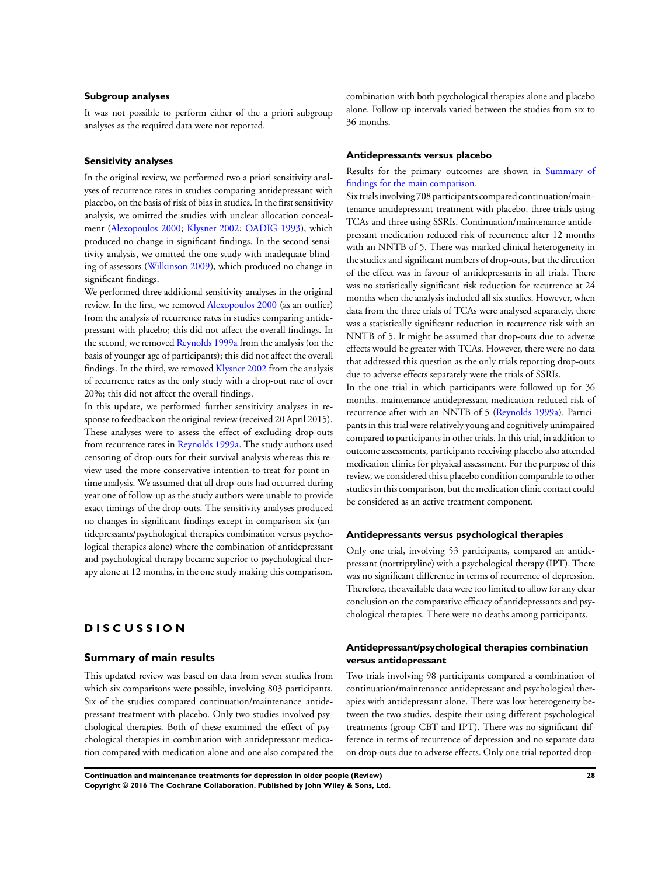### **Subgroup analyses**

It was not possible to perform either of the a priori subgroup analyses as the required data were not reported.

#### **Sensitivity analyses**

In the original review, we performed two a priori sensitivity analyses of recurrence rates in studies comparing antidepressant with placebo, on the basis of risk of bias in studies. In the first sensitivity analysis, we omitted the studies with unclear allocation concealment [\(Alexopoulos 2000;](#page-34-0) [Klysner 2002](#page-34-0); [OADIG 1993\)](#page-34-0), which produced no change in significant findings. In the second sensitivity analysis, we omitted the one study with inadequate blinding of assessors [\(Wilkinson 2009](#page-34-0)), which produced no change in significant findings.

We performed three additional sensitivity analyses in the original review. In the first, we removed [Alexopoulos 2000](#page-34-0) (as an outlier) from the analysis of recurrence rates in studies comparing antidepressant with placebo; this did not affect the overall findings. In the second, we removed [Reynolds 1999a](#page-34-0) from the analysis (on the basis of younger age of participants); this did not affect the overall findings. In the third, we removed [Klysner 2002](#page-34-0) from the analysis of recurrence rates as the only study with a drop-out rate of over 20%; this did not affect the overall findings.

In this update, we performed further sensitivity analyses in response to feedback on the original review (received 20 April 2015). These analyses were to assess the effect of excluding drop-outs from recurrence rates in [Reynolds 1999a](#page-34-0). The study authors used censoring of drop-outs for their survival analysis whereas this review used the more conservative intention-to-treat for point-intime analysis. We assumed that all drop-outs had occurred during year one of follow-up as the study authors were unable to provide exact timings of the drop-outs. The sensitivity analyses produced no changes in significant findings except in comparison six (antidepressants/psychological therapies combination versus psychological therapies alone) where the combination of antidepressant and psychological therapy became superior to psychological therapy alone at 12 months, in the one study making this comparison.

## **D I S C U S S I O N**

### **Summary of main results**

This updated review was based on data from seven studies from which six comparisons were possible, involving 803 participants. Six of the studies compared continuation/maintenance antidepressant treatment with placebo. Only two studies involved psychological therapies. Both of these examined the effect of psychological therapies in combination with antidepressant medication compared with medication alone and one also compared the combination with both psychological therapies alone and placebo alone. Follow-up intervals varied between the studies from six to 36 months.

#### **Antidepressants versus placebo**

Results for the primary outcomes are shown in [Summary of](#page-5-0) [findings for the main comparison](#page-5-0).

Six trials involving 708 participants compared continuation/maintenance antidepressant treatment with placebo, three trials using TCAs and three using SSRIs. Continuation/maintenance antidepressant medication reduced risk of recurrence after 12 months with an NNTB of 5. There was marked clinical heterogeneity in the studies and significant numbers of drop-outs, but the direction of the effect was in favour of antidepressants in all trials. There was no statistically significant risk reduction for recurrence at 24 months when the analysis included all six studies. However, when data from the three trials of TCAs were analysed separately, there was a statistically significant reduction in recurrence risk with an NNTB of 5. It might be assumed that drop-outs due to adverse effects would be greater with TCAs. However, there were no data that addressed this question as the only trials reporting drop-outs due to adverse effects separately were the trials of SSRIs.

In the one trial in which participants were followed up for 36 months, maintenance antidepressant medication reduced risk of recurrence after with an NNTB of 5 ([Reynolds 1999a](#page-34-0)). Participants in this trial were relatively young and cognitively unimpaired compared to participants in other trials. In this trial, in addition to outcome assessments, participants receiving placebo also attended medication clinics for physical assessment. For the purpose of this review, we considered this a placebo condition comparable to other studies in this comparison, but the medication clinic contact could be considered as an active treatment component.

### **Antidepressants versus psychological therapies**

Only one trial, involving 53 participants, compared an antidepressant (nortriptyline) with a psychological therapy (IPT). There was no significant difference in terms of recurrence of depression. Therefore, the available data were too limited to allow for any clear conclusion on the comparative efficacy of antidepressants and psychological therapies. There were no deaths among participants.

### **Antidepressant/psychological therapies combination versus antidepressant**

Two trials involving 98 participants compared a combination of continuation/maintenance antidepressant and psychological therapies with antidepressant alone. There was low heterogeneity between the two studies, despite their using different psychological treatments (group CBT and IPT). There was no significant difference in terms of recurrence of depression and no separate data on drop-outs due to adverse effects. Only one trial reported drop-

**Continuation and maintenance treatments for depression in older people (Review) 28 Copyright © 2016 The Cochrane Collaboration. Published by John Wiley & Sons, Ltd.**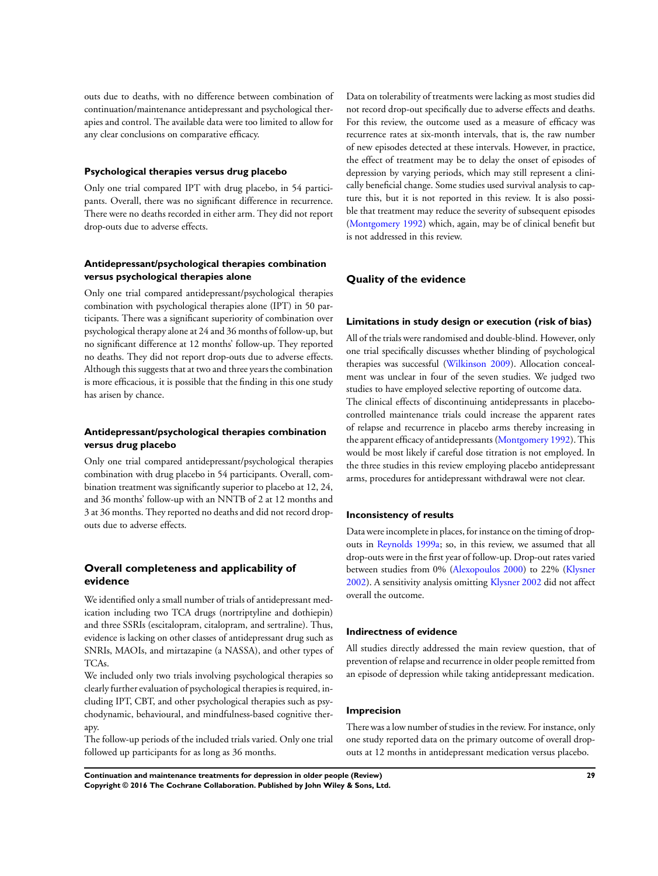outs due to deaths, with no difference between combination of continuation/maintenance antidepressant and psychological therapies and control. The available data were too limited to allow for any clear conclusions on comparative efficacy.

#### **Psychological therapies versus drug placebo**

Only one trial compared IPT with drug placebo, in 54 participants. Overall, there was no significant difference in recurrence. There were no deaths recorded in either arm. They did not report drop-outs due to adverse effects.

### **Antidepressant/psychological therapies combination versus psychological therapies alone**

Only one trial compared antidepressant/psychological therapies combination with psychological therapies alone (IPT) in 50 participants. There was a significant superiority of combination over psychological therapy alone at 24 and 36 months of follow-up, but no significant difference at 12 months' follow-up. They reported no deaths. They did not report drop-outs due to adverse effects. Although this suggests that at two and three years the combination is more efficacious, it is possible that the finding in this one study has arisen by chance.

### **Antidepressant/psychological therapies combination versus drug placebo**

Only one trial compared antidepressant/psychological therapies combination with drug placebo in 54 participants. Overall, combination treatment was significantly superior to placebo at 12, 24, and 36 months' follow-up with an NNTB of 2 at 12 months and 3 at 36 months. They reported no deaths and did not record dropouts due to adverse effects.

### **Overall completeness and applicability of evidence**

We identified only a small number of trials of antidepressant medication including two TCA drugs (nortriptyline and dothiepin) and three SSRIs (escitalopram, citalopram, and sertraline). Thus, evidence is lacking on other classes of antidepressant drug such as SNRIs, MAOIs, and mirtazapine (a NASSA), and other types of TCAs.

We included only two trials involving psychological therapies so clearly further evaluation of psychological therapies is required, including IPT, CBT, and other psychological therapies such as psychodynamic, behavioural, and mindfulness-based cognitive therapy.

The follow-up periods of the included trials varied. Only one trial followed up participants for as long as 36 months.

Data on tolerability of treatments were lacking as most studies did not record drop-out specifically due to adverse effects and deaths. For this review, the outcome used as a measure of efficacy was recurrence rates at six-month intervals, that is, the raw number of new episodes detected at these intervals. However, in practice, the effect of treatment may be to delay the onset of episodes of depression by varying periods, which may still represent a clinically beneficial change. Some studies used survival analysis to capture this, but it is not reported in this review. It is also possible that treatment may reduce the severity of subsequent episodes [\(Montgomery 1992](#page-34-0)) which, again, may be of clinical benefit but is not addressed in this review.

### **Quality of the evidence**

#### **Limitations in study design or execution (risk of bias)**

All of the trials were randomised and double-blind. However, only one trial specifically discusses whether blinding of psychological therapies was successful ([Wilkinson 2009\)](#page-34-0). Allocation concealment was unclear in four of the seven studies. We judged two studies to have employed selective reporting of outcome data. The clinical effects of discontinuing antidepressants in placebocontrolled maintenance trials could increase the apparent rates of relapse and recurrence in placebo arms thereby increasing in the apparent efficacy of antidepressants [\(Montgomery 1992\)](#page-34-0). This would be most likely if careful dose titration is not employed. In the three studies in this review employing placebo antidepressant arms, procedures for antidepressant withdrawal were not clear.

### **Inconsistency of results**

Data were incomplete in places, for instance on the timing of dropouts in [Reynolds 1999a;](#page-34-0) so, in this review, we assumed that all drop-outs were in the first year of follow-up. Drop-out rates varied between studies from 0% ([Alexopoulos 2000](#page-34-0)) to 22% ([Klysner](#page-34-0) [2002](#page-34-0)). A sensitivity analysis omitting [Klysner 2002](#page-34-0) did not affect overall the outcome.

### **Indirectness of evidence**

All studies directly addressed the main review question, that of prevention of relapse and recurrence in older people remitted from an episode of depression while taking antidepressant medication.

### **Imprecision**

There was a low number of studies in the review. For instance, only one study reported data on the primary outcome of overall dropouts at 12 months in antidepressant medication versus placebo.

**Continuation and maintenance treatments for depression in older people (Review) 29 Copyright © 2016 The Cochrane Collaboration. Published by John Wiley & Sons, Ltd.**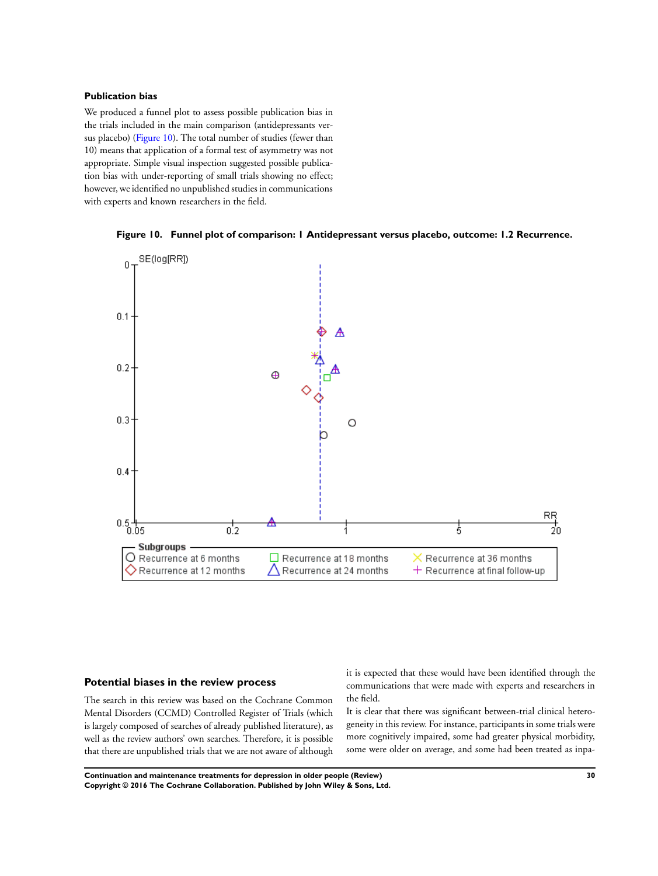### <span id="page-31-0"></span>**Publication bias**

We produced a funnel plot to assess possible publication bias in the trials included in the main comparison (antidepressants versus placebo) (Figure 10). The total number of studies (fewer than 10) means that application of a formal test of asymmetry was not appropriate. Simple visual inspection suggested possible publication bias with under-reporting of small trials showing no effect; however, we identified no unpublished studies in communications with experts and known researchers in the field.





### **Potential biases in the review process**

The search in this review was based on the Cochrane Common Mental Disorders (CCMD) Controlled Register of Trials (which is largely composed of searches of already published literature), as well as the review authors' own searches. Therefore, it is possible that there are unpublished trials that we are not aware of although it is expected that these would have been identified through the communications that were made with experts and researchers in the field.

It is clear that there was significant between-trial clinical heterogeneity in this review. For instance, participants in some trials were more cognitively impaired, some had greater physical morbidity, some were older on average, and some had been treated as inpa-

**Continuation and maintenance treatments for depression in older people (Review) 30 Copyright © 2016 The Cochrane Collaboration. Published by John Wiley & Sons, Ltd.**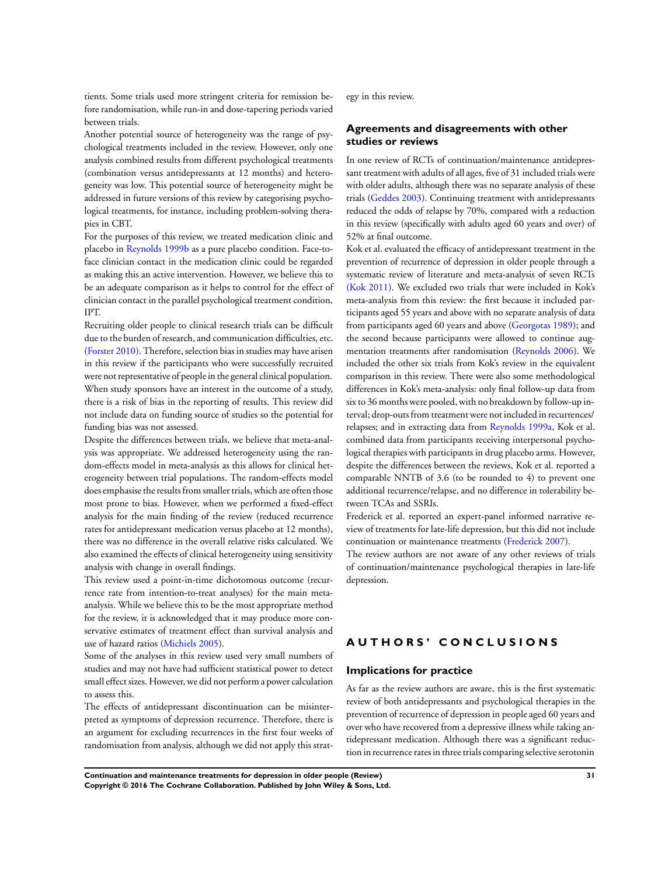tients. Some trials used more stringent criteria for remission before randomisation, while run-in and dose-tapering periods varied between trials.

Another potential source of heterogeneity was the range of psychological treatments included in the review. However, only one analysis combined results from different psychological treatments (combination versus antidepressants at 12 months) and heterogeneity was low. This potential source of heterogeneity might be addressed in future versions of this review by categorising psychological treatments, for instance, including problem-solving therapies in CBT.

For the purposes of this review, we treated medication clinic and placebo in [Reynolds 1999b](#page-34-0) as a pure placebo condition. Face-toface clinician contact in the medication clinic could be regarded as making this an active intervention. However, we believe this to be an adequate comparison as it helps to control for the effect of clinician contact in the parallel psychological treatment condition, IPT.

Recruiting older people to clinical research trials can be difficult due to the burden of research, and communication difficulties, etc. [\(Forster 2010\)](#page-34-0). Therefore, selection bias in studies may have arisen in this review if the participants who were successfully recruited were not representative of people in the general clinical population. When study sponsors have an interest in the outcome of a study, there is a risk of bias in the reporting of results. This review did not include data on funding source of studies so the potential for funding bias was not assessed.

Despite the differences between trials, we believe that meta-analysis was appropriate. We addressed heterogeneity using the random-effects model in meta-analysis as this allows for clinical heterogeneity between trial populations. The random-effects model does emphasise the results from smaller trials, which are often those most prone to bias. However, when we performed a fixed-effect analysis for the main finding of the review (reduced recurrence rates for antidepressant medication versus placebo at 12 months), there was no difference in the overall relative risks calculated. We also examined the effects of clinical heterogeneity using sensitivity analysis with change in overall findings.

This review used a point-in-time dichotomous outcome (recurrence rate from intention-to-treat analyses) for the main metaanalysis. While we believe this to be the most appropriate method for the review, it is acknowledged that it may produce more conservative estimates of treatment effect than survival analysis and use of hazard ratios ([Michiels 2005\)](#page-34-0).

Some of the analyses in this review used very small numbers of studies and may not have had sufficient statistical power to detect small effect sizes. However, we did not perform a power calculation to assess this.

The effects of antidepressant discontinuation can be misinterpreted as symptoms of depression recurrence. Therefore, there is an argument for excluding recurrences in the first four weeks of randomisation from analysis, although we did not apply this strategy in this review.

### **Agreements and disagreements with other studies or reviews**

In one review of RCTs of continuation/maintenance antidepressant treatment with adults of all ages, five of 31 included trials were with older adults, although there was no separate analysis of these trials [\(Geddes 2003](#page-34-0)). Continuing treatment with antidepressants reduced the odds of relapse by 70%, compared with a reduction in this review (specifically with adults aged 60 years and over) of 52% at final outcome.

Kok et al. evaluated the efficacy of antidepressant treatment in the prevention of recurrence of depression in older people through a systematic review of literature and meta-analysis of seven RCTs [\(Kok 2011](#page-34-0)). We excluded two trials that were included in Kok's meta-analysis from this review: the first because it included participants aged 55 years and above with no separate analysis of data from participants aged 60 years and above ([Georgotas 1989](#page-34-0)); and the second because participants were allowed to continue augmentation treatments after randomisation ([Reynolds 2006\)](#page-34-0). We included the other six trials from Kok's review in the equivalent comparison in this review. There were also some methodological differences in Kok's meta-analysis: only final follow-up data from six to 36 months were pooled, with no breakdown by follow-up interval; drop-outs from treatment were not included in recurrences/ relapses; and in extracting data from [Reynolds 1999a](#page-34-0), Kok et al. combined data from participants receiving interpersonal psychological therapies with participants in drug placebo arms. However, despite the differences between the reviews, Kok et al. reported a comparable NNTB of 3.6 (to be rounded to 4) to prevent one additional recurrence/relapse, and no difference in tolerability between TCAs and SSRIs.

Frederick et al. reported an expert-panel informed narrative review of treatments for late-life depression, but this did not include continuation or maintenance treatments [\(Frederick 2007\)](#page-34-0).

The review authors are not aware of any other reviews of trials of continuation/maintenance psychological therapies in late-life depression.

# **A U T H O R S ' C O N C L U S I O N S**

### **Implications for practice**

As far as the review authors are aware, this is the first systematic review of both antidepressants and psychological therapies in the prevention of recurrence of depression in people aged 60 years and over who have recovered from a depressive illness while taking antidepressant medication. Although there was a significant reduction in recurrence rates in three trials comparing selective serotonin

**Continuation and maintenance treatments for depression in older people (Review) 31 Copyright © 2016 The Cochrane Collaboration. Published by John Wiley & Sons, Ltd.**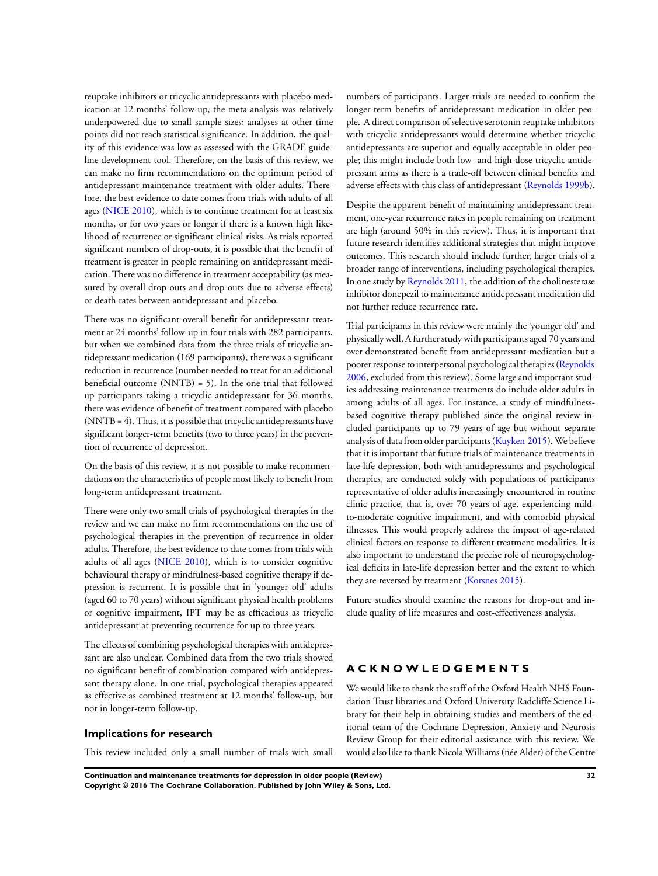reuptake inhibitors or tricyclic antidepressants with placebo medication at 12 months' follow-up, the meta-analysis was relatively underpowered due to small sample sizes; analyses at other time points did not reach statistical significance. In addition, the quality of this evidence was low as assessed with the GRADE guideline development tool. Therefore, on the basis of this review, we can make no firm recommendations on the optimum period of antidepressant maintenance treatment with older adults. Therefore, the best evidence to date comes from trials with adults of all ages [\(NICE 2010](#page-34-0)), which is to continue treatment for at least six months, or for two years or longer if there is a known high likelihood of recurrence or significant clinical risks. As trials reported significant numbers of drop-outs, it is possible that the benefit of treatment is greater in people remaining on antidepressant medication. There was no difference in treatment acceptability (as measured by overall drop-outs and drop-outs due to adverse effects) or death rates between antidepressant and placebo.

There was no significant overall benefit for antidepressant treatment at 24 months' follow-up in four trials with 282 participants, but when we combined data from the three trials of tricyclic antidepressant medication (169 participants), there was a significant reduction in recurrence (number needed to treat for an additional beneficial outcome (NNTB) = 5). In the one trial that followed up participants taking a tricyclic antidepressant for 36 months, there was evidence of benefit of treatment compared with placebo (NNTB = 4). Thus, it is possible that tricyclic antidepressants have significant longer-term benefits (two to three years) in the prevention of recurrence of depression.

On the basis of this review, it is not possible to make recommendations on the characteristics of people most likely to benefit from long-term antidepressant treatment.

There were only two small trials of psychological therapies in the review and we can make no firm recommendations on the use of psychological therapies in the prevention of recurrence in older adults. Therefore, the best evidence to date comes from trials with adults of all ages [\(NICE 2010](#page-34-0)), which is to consider cognitive behavioural therapy or mindfulness-based cognitive therapy if depression is recurrent. It is possible that in 'younger old' adults (aged 60 to 70 years) without significant physical health problems or cognitive impairment, IPT may be as efficacious as tricyclic antidepressant at preventing recurrence for up to three years.

The effects of combining psychological therapies with antidepressant are also unclear. Combined data from the two trials showed no significant benefit of combination compared with antidepressant therapy alone. In one trial, psychological therapies appeared as effective as combined treatment at 12 months' follow-up, but not in longer-term follow-up.

#### **Implications for research**

This review included only a small number of trials with small

numbers of participants. Larger trials are needed to confirm the longer-term benefits of antidepressant medication in older people. A direct comparison of selective serotonin reuptake inhibitors with tricyclic antidepressants would determine whether tricyclic antidepressants are superior and equally acceptable in older people; this might include both low- and high-dose tricyclic antidepressant arms as there is a trade-off between clinical benefits and adverse effects with this class of antidepressant ([Reynolds 1999b](#page-34-0)).

Despite the apparent benefit of maintaining antidepressant treatment, one-year recurrence rates in people remaining on treatment are high (around 50% in this review). Thus, it is important that future research identifies additional strategies that might improve outcomes. This research should include further, larger trials of a broader range of interventions, including psychological therapies. In one study by [Reynolds 2011](#page-34-0), the addition of the cholinesterase inhibitor donepezil to maintenance antidepressant medication did not further reduce recurrence rate.

Trial participants in this review were mainly the 'younger old' and physically well. A further study with participants aged 70 years and over demonstrated benefit from antidepressant medication but a poorer response to interpersonal psychological therapies ([Reynolds](#page-34-0) [2006](#page-34-0), excluded from this review). Some large and important studies addressing maintenance treatments do include older adults in among adults of all ages. For instance, a study of mindfulnessbased cognitive therapy published since the original review included participants up to 79 years of age but without separate analysis of data from older participants ([Kuyken 2015](#page-34-0)). We believe that it is important that future trials of maintenance treatments in late-life depression, both with antidepressants and psychological therapies, are conducted solely with populations of participants representative of older adults increasingly encountered in routine clinic practice, that is, over 70 years of age, experiencing mildto-moderate cognitive impairment, and with comorbid physical illnesses. This would properly address the impact of age-related clinical factors on response to different treatment modalities. It is also important to understand the precise role of neuropsychological deficits in late-life depression better and the extent to which they are reversed by treatment [\(Korsnes 2015](#page-34-0)).

Future studies should examine the reasons for drop-out and include quality of life measures and cost-effectiveness analysis.

# **A C K N O W L E D G E M E N T S**

We would like to thank the staff of the Oxford Health NHS Foundation Trust libraries and Oxford University Radcliffe Science Library for their help in obtaining studies and members of the editorial team of the Cochrane Depression, Anxiety and Neurosis Review Group for their editorial assistance with this review. We would also like to thank Nicola Williams (née Alder) of the Centre

**Continuation and maintenance treatments for depression in older people (Review) 32 Copyright © 2016 The Cochrane Collaboration. Published by John Wiley & Sons, Ltd.**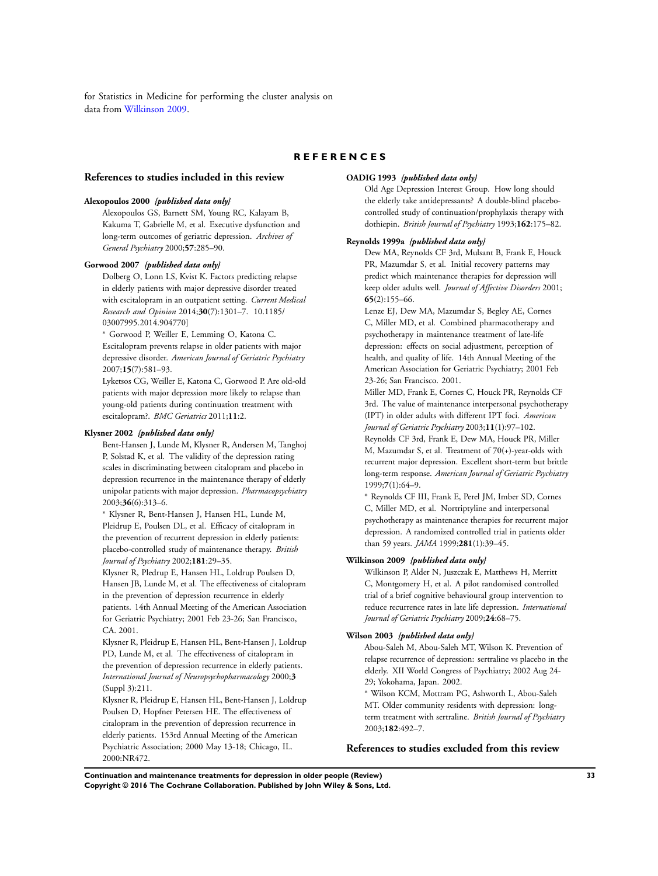<span id="page-34-0"></span>for Statistics in Medicine for performing the cluster analysis on data from Wilkinson 2009.

### **R E F E R E N C E S**

#### **References to studies included in this review**

#### **Alexopoulos 2000** *{published data only}*

Alexopoulos GS, Barnett SM, Young RC, Kalayam B, Kakuma T, Gabrielle M, et al. Executive dysfunction and long-term outcomes of geriatric depression. *Archives of General Psychiatry* 2000;**57**:285–90.

#### **Gorwood 2007** *{published data only}*

Dolberg O, Lonn LS, Kvist K. Factors predicting relapse in elderly patients with major depressive disorder treated with escitalopram in an outpatient setting. *Current Medical Research and Opinion* 2014;**30**(7):1301–7. 10.1185/ 03007995.2014.904770]

<sup>∗</sup> Gorwood P, Weiller E, Lemming O, Katona C. Escitalopram prevents relapse in older patients with major depressive disorder. *American Journal of Geriatric Psychiatry* 2007;**15**(7):581–93.

Lyketsos CG, Weiller E, Katona C, Gorwood P. Are old-old patients with major depression more likely to relapse than young-old patients during continuation treatment with escitalopram?. *BMC Geriatrics* 2011;**11**:2.

### **Klysner 2002** *{published data only}*

Bent-Hansen J, Lunde M, Klysner R, Andersen M, Tanghoj P, Solstad K, et al. The validity of the depression rating scales in discriminating between citalopram and placebo in depression recurrence in the maintenance therapy of elderly unipolar patients with major depression. *Pharmacopsychiatry* 2003;**36**(6):313–6.

<sup>∗</sup> Klysner R, Bent-Hansen J, Hansen HL, Lunde M, Pleidrup E, Poulsen DL, et al. Efficacy of citalopram in the prevention of recurrent depression in elderly patients: placebo-controlled study of maintenance therapy. *British Journal of Psychiatry* 2002;**181**:29–35.

Klysner R, Pledrup E, Hansen HL, Loldrup Poulsen D, Hansen JB, Lunde M, et al. The effectiveness of citalopram in the prevention of depression recurrence in elderly patients. 14th Annual Meeting of the American Association for Geriatric Psychiatry; 2001 Feb 23-26; San Francisco, CA. 2001.

Klysner R, Pleidrup E, Hansen HL, Bent-Hansen J, Loldrup PD, Lunde M, et al. The effectiveness of citalopram in the prevention of depression recurrence in elderly patients. *International Journal of Neuropsychopharmacology* 2000;**3** (Suppl 3):211.

Klysner R, Pleidrup E, Hansen HL, Bent-Hansen J, Loldrup Poulsen D, Hopfner Petersen HE. The effectiveness of citalopram in the prevention of depression recurrence in elderly patients. 153rd Annual Meeting of the American Psychiatric Association; 2000 May 13-18; Chicago, IL. 2000:NR472.

#### **OADIG 1993** *{published data only}*

Old Age Depression Interest Group. How long should the elderly take antidepressants? A double-blind placebocontrolled study of continuation/prophylaxis therapy with dothiepin. *British Journal of Psychiatry* 1993;**162**:175–82.

#### **Reynolds 1999a** *{published data only}*

Dew MA, Reynolds CF 3rd, Mulsant B, Frank E, Houck PR, Mazumdar S, et al. Initial recovery patterns may predict which maintenance therapies for depression will keep older adults well. *Journal of Affective Disorders* 2001; **65**(2):155–66.

Lenze EJ, Dew MA, Mazumdar S, Begley AE, Cornes C, Miller MD, et al. Combined pharmacotherapy and psychotherapy in maintenance treatment of late-life depression: effects on social adjustment, perception of health, and quality of life. 14th Annual Meeting of the American Association for Geriatric Psychiatry; 2001 Feb 23-26; San Francisco. 2001.

Miller MD, Frank E, Cornes C, Houck PR, Reynolds CF 3rd. The value of maintenance interpersonal psychotherapy (IPT) in older adults with different IPT foci. *American Journal of Geriatric Psychiatry* 2003;**11**(1):97–102. Reynolds CF 3rd, Frank E, Dew MA, Houck PR, Miller M, Mazumdar S, et al. Treatment of 70(+)-year-olds with recurrent major depression. Excellent short-term but brittle long-term response. *American Journal of Geriatric Psychiatry* 1999;**7**(1):64–9.

<sup>∗</sup> Reynolds CF III, Frank E, Perel JM, Imber SD, Cornes C, Miller MD, et al. Nortriptyline and interpersonal psychotherapy as maintenance therapies for recurrent major depression. A randomized controlled trial in patients older than 59 years. *JAMA* 1999;**281**(1):39–45.

#### **Wilkinson 2009** *{published data only}*

Wilkinson P, Alder N, Juszczak E, Matthews H, Merritt C, Montgomery H, et al. A pilot randomised controlled trial of a brief cognitive behavioural group intervention to reduce recurrence rates in late life depression. *International Journal of Geriatric Psychiatry* 2009;**24**:68–75.

#### **Wilson 2003** *{published data only}*

Abou-Saleh M, Abou-Saleh MT, Wilson K. Prevention of relapse recurrence of depression: sertraline vs placebo in the elderly. XII World Congress of Psychiatry; 2002 Aug 24- 29; Yokohama, Japan. 2002.

<sup>∗</sup> Wilson KCM, Mottram PG, Ashworth L, Abou-Saleh MT. Older community residents with depression: longterm treatment with sertraline. *British Journal of Psychiatry* 2003;**182**:492–7.

### **References to studies excluded from this review**

**Continuation and maintenance treatments for depression in older people (Review) 33 Copyright © 2016 The Cochrane Collaboration. Published by John Wiley & Sons, Ltd.**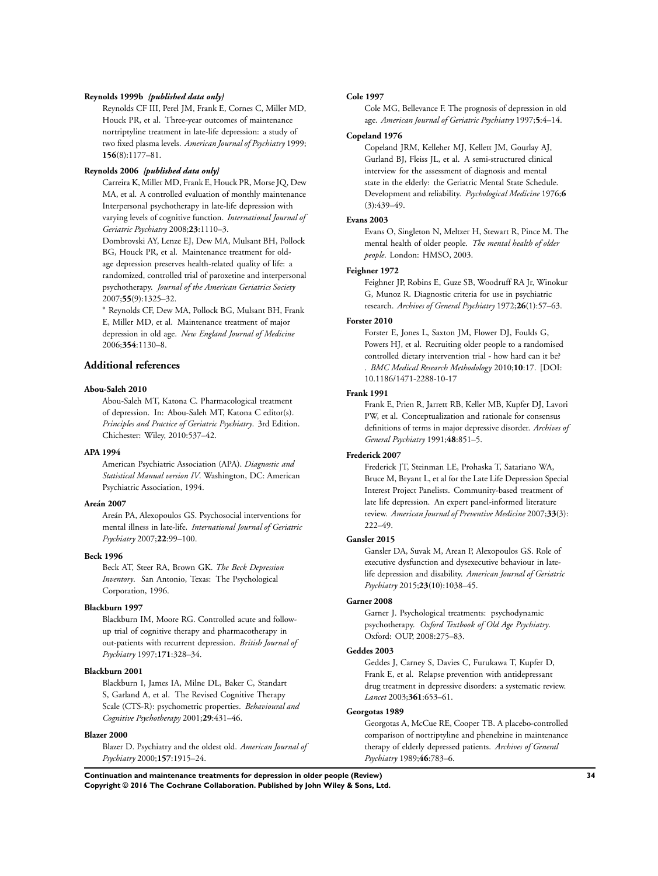#### **Reynolds 1999b** *{published data only}*

Reynolds CF III, Perel JM, Frank E, Cornes C, Miller MD, Houck PR, et al. Three-year outcomes of maintenance nortriptyline treatment in late-life depression: a study of two fixed plasma levels. *American Journal of Psychiatry* 1999; **156**(8):1177–81.

### **Reynolds 2006** *{published data only}*

Carreira K, Miller MD, Frank E, Houck PR, Morse JQ, Dew MA, et al. A controlled evaluation of monthly maintenance Interpersonal psychotherapy in late-life depression with varying levels of cognitive function. *International Journal of Geriatric Psychiatry* 2008;**23**:1110–3.

Dombrovski AY, Lenze EJ, Dew MA, Mulsant BH, Pollock BG, Houck PR, et al. Maintenance treatment for oldage depression preserves health-related quality of life: a randomized, controlled trial of paroxetine and interpersonal psychotherapy. *Journal of the American Geriatrics Society* 2007;**55**(9):1325–32.

<sup>∗</sup> Reynolds CF, Dew MA, Pollock BG, Mulsant BH, Frank E, Miller MD, et al. Maintenance treatment of major depression in old age. *New England Journal of Medicine* 2006;**354**:1130–8.

### **Additional references**

### **Abou-Saleh 2010**

Abou-Saleh MT, Katona C. Pharmacological treatment of depression. In: Abou-Saleh MT, Katona C editor(s). *Principles and Practice of Geriatric Psychiatry*. 3rd Edition. Chichester: Wiley, 2010:537–42.

#### **APA 1994**

American Psychiatric Association (APA). *Diagnostic and Statistical Manual version IV*. Washington, DC: American Psychiatric Association, 1994.

### **Areán 2007**

Areán PA, Alexopoulos GS. Psychosocial interventions for mental illness in late-life. *International Journal of Geriatric Psychiatry* 2007;**22**:99–100.

#### **Beck 1996**

Beck AT, Steer RA, Brown GK. *The Beck Depression Inventory*. San Antonio, Texas: The Psychological Corporation, 1996.

#### **Blackburn 1997**

Blackburn IM, Moore RG. Controlled acute and followup trial of cognitive therapy and pharmacotherapy in out-patients with recurrent depression. *British Journal of Psychiatry* 1997;**171**:328–34.

### **Blackburn 2001**

Blackburn I, James IA, Milne DL, Baker C, Standart S, Garland A, et al. The Revised Cognitive Therapy Scale (CTS-R): psychometric properties. *Behavioural and Cognitive Psychotherapy* 2001;**29**:431–46.

#### **Blazer 2000**

Blazer D. Psychiatry and the oldest old. *American Journal of Psychiatry* 2000;**157**:1915–24.

#### **Cole 1997**

Cole MG, Bellevance F. The prognosis of depression in old age. *American Journal of Geriatric Psychiatry* 1997;**5**:4–14.

### **Copeland 1976**

Copeland JRM, Kelleher MJ, Kellett JM, Gourlay AJ, Gurland BJ, Fleiss JL, et al. A semi-structured clinical interview for the assessment of diagnosis and mental state in the elderly: the Geriatric Mental State Schedule. Development and reliability. *Psychological Medicine* 1976;**6** (3):439–49.

### **Evans 2003**

Evans O, Singleton N, Meltzer H, Stewart R, Pince M. The mental health of older people. *The mental health of older people*. London: HMSO, 2003.

#### **Feighner 1972**

Feighner JP, Robins E, Guze SB, Woodruff RA Jr, Winokur G, Munoz R. Diagnostic criteria for use in psychiatric research. *Archives of General Psychiatry* 1972;**26**(1):57–63.

#### **Forster 2010**

Forster E, Jones L, Saxton JM, Flower DJ, Foulds G, Powers HJ, et al. Recruiting older people to a randomised controlled dietary intervention trial - how hard can it be? . *BMC Medical Research Methodology* 2010;**10**:17. [DOI: 10.1186/1471-2288-10-17

#### **Frank 1991**

Frank E, Prien R, Jarrett RB, Keller MB, Kupfer DJ, Lavori PW, et al. Conceptualization and rationale for consensus definitions of terms in major depressive disorder. *Archives of General Psychiatry* 1991;**48**:851–5.

### **Frederick 2007**

Frederick JT, Steinman LE, Prohaska T, Satariano WA, Bruce M, Bryant L, et al for the Late Life Depression Special Interest Project Panelists. Community-based treatment of late life depression. An expert panel-informed literature review. *American Journal of Preventive Medicine* 2007;**33**(3): 222–49.

#### **Gansler 2015**

Gansler DA, Suvak M, Arean P, Alexopoulos GS. Role of executive dysfunction and dysexecutive behaviour in latelife depression and disability. *American Journal of Geriatric Psychiatry* 2015;**23**(10):1038–45.

#### **Garner 2008**

Garner J. Psychological treatments: psychodynamic psychotherapy. *Oxford Textbook of Old Age Psychiatry*. Oxford: OUP, 2008:275–83.

#### **Geddes 2003**

Geddes J, Carney S, Davies C, Furukawa T, Kupfer D, Frank E, et al. Relapse prevention with antidepressant drug treatment in depressive disorders: a systematic review. *Lancet* 2003;**361**:653–61.

### **Georgotas 1989**

Georgotas A, McCue RE, Cooper TB. A placebo-controlled comparison of nortriptyline and phenelzine in maintenance therapy of elderly depressed patients. *Archives of General Psychiatry* 1989;**46**:783–6.

**Continuation and maintenance treatments for depression in older people (Review) 34 Copyright © 2016 The Cochrane Collaboration. Published by John Wiley & Sons, Ltd.**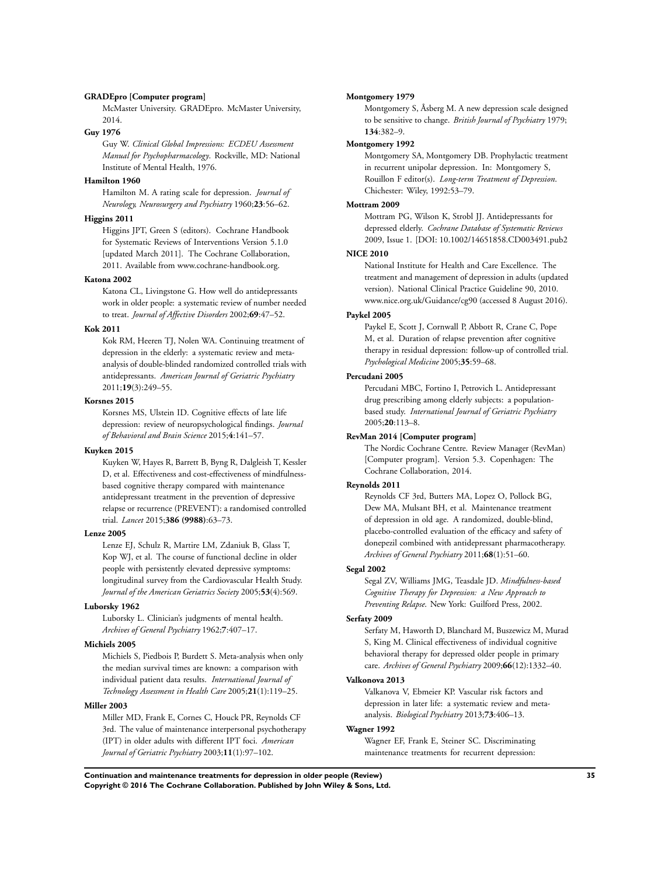### **GRADEpro [Computer program]**

McMaster University. GRADEpro. McMaster University, 2014.

### **Guy 1976**

Guy W. *Clinical Global Impressions: ECDEU Assessment Manual for Psychopharmacology*. Rockville, MD: National Institute of Mental Health, 1976.

### **Hamilton 1960**

Hamilton M. A rating scale for depression. *Journal of Neurology, Neurosurgery and Psychiatry* 1960;**23**:56–62.

#### **Higgins 2011**

Higgins JPT, Green S (editors). Cochrane Handbook for Systematic Reviews of Interventions Version 5.1.0 [updated March 2011]. The Cochrane Collaboration, 2011. Available from www.cochrane-handbook.org.

#### **Katona 2002**

Katona CL, Livingstone G. How well do antidepressants work in older people: a systematic review of number needed to treat. *Journal of Affective Disorders* 2002;**69**:47–52.

#### **Kok 2011**

Kok RM, Heeren TJ, Nolen WA. Continuing treatment of depression in the elderly: a systematic review and metaanalysis of double-blinded randomized controlled trials with antidepressants. *American Journal of Geriatric Psychiatry* 2011;**19**(3):249–55.

### **Korsnes 2015**

Korsnes MS, Ulstein ID. Cognitive effects of late life depression: review of neuropsychological findings. *Journal of Behavioral and Brain Science* 2015;**4**:141–57.

#### **Kuyken 2015**

Kuyken W, Hayes R, Barrett B, Byng R, Dalgleish T, Kessler D, et al. Effectiveness and cost-effectiveness of mindfulnessbased cognitive therapy compared with maintenance antidepressant treatment in the prevention of depressive relapse or recurrence (PREVENT): a randomised controlled trial. *Lancet* 2015;**386 (9988)**:63–73.

#### **Lenze 2005**

Lenze EJ, Schulz R, Martire LM, Zdaniuk B, Glass T, Kop WJ, et al. The course of functional decline in older people with persistently elevated depressive symptoms: longitudinal survey from the Cardiovascular Health Study. *Journal of the American Geriatrics Society* 2005;**53**(4):569.

### **Luborsky 1962**

Luborsky L. Clinician's judgments of mental health. *Archives of General Psychiatry* 1962;**7**:407–17.

### **Michiels 2005**

Michiels S, Piedbois P, Burdett S. Meta-analysis when only the median survival times are known: a comparison with individual patient data results. *International Journal of Technology Assessment in Health Care* 2005;**21**(1):119–25.

#### **Miller 2003**

Miller MD, Frank E, Cornes C, Houck PR, Reynolds CF 3rd. The value of maintenance interpersonal psychotherapy (IPT) in older adults with different IPT foci. *American Journal of Geriatric Psychiatry* 2003;**11**(1):97–102.

#### **Montgomery 1979**

Montgomery S, Åsberg M. A new depression scale designed to be sensitive to change. *British Journal of Psychiatry* 1979; **134**:382–9.

#### **Montgomery 1992**

Montgomery SA, Montgomery DB. Prophylactic treatment in recurrent unipolar depression. In: Montgomery S, Rouillon F editor(s). *Long-term Treatment of Depression*. Chichester: Wiley, 1992:53–79.

#### **Mottram 2009**

Mottram PG, Wilson K, Strobl JJ. Antidepressants for depressed elderly. *Cochrane Database of Systematic Reviews* 2009, Issue 1. [DOI: 10.1002/14651858.CD003491.pub2

### **NICE 2010**

National Institute for Health and Care Excellence. The treatment and management of depression in adults (updated version). National Clinical Practice Guideline 90, 2010. www.nice.org.uk/Guidance/cg90 (accessed 8 August 2016).

### **Paykel 2005**

Paykel E, Scott J, Cornwall P, Abbott R, Crane C, Pope M, et al. Duration of relapse prevention after cognitive therapy in residual depression: follow-up of controlled trial. *Psychological Medicine* 2005;**35**:59–68.

#### **Percudani 2005**

Percudani MBC, Fortino I, Petrovich L. Antidepressant drug prescribing among elderly subjects: a populationbased study. *International Journal of Geriatric Psychiatry* 2005;**20**:113–8.

### **RevMan 2014 [Computer program]**

The Nordic Cochrane Centre. Review Manager (RevMan) [Computer program]. Version 5.3. Copenhagen: The Cochrane Collaboration, 2014.

#### **Reynolds 2011**

Reynolds CF 3rd, Butters MA, Lopez O, Pollock BG, Dew MA, Mulsant BH, et al. Maintenance treatment of depression in old age. A randomized, double-blind, placebo-controlled evaluation of the efficacy and safety of donepezil combined with antidepressant pharmacotherapy. *Archives of General Psychiatry* 2011;**68**(1):51–60.

### **Segal 2002**

Segal ZV, Williams JMG, Teasdale JD. *Mindfulness-based Cognitive Therapy for Depression: a New Approach to Preventing Relapse*. New York: Guilford Press, 2002.

#### **Serfaty 2009**

Serfaty M, Haworth D, Blanchard M, Buszewicz M, Murad S, King M. Clinical effectiveness of individual cognitive behavioral therapy for depressed older people in primary care. *Archives of General Psychiatry* 2009;**66**(12):1332–40.

#### **Valkonova 2013**

Valkanova V, Ebmeier KP. Vascular risk factors and depression in later life: a systematic review and metaanalysis. *Biological Psychiatry* 2013;**73**:406–13.

### **Wagner 1992**

Wagner EF, Frank E, Steiner SC. Discriminating maintenance treatments for recurrent depression:

**Continuation and maintenance treatments for depression in older people (Review) 35 Copyright © 2016 The Cochrane Collaboration. Published by John Wiley & Sons, Ltd.**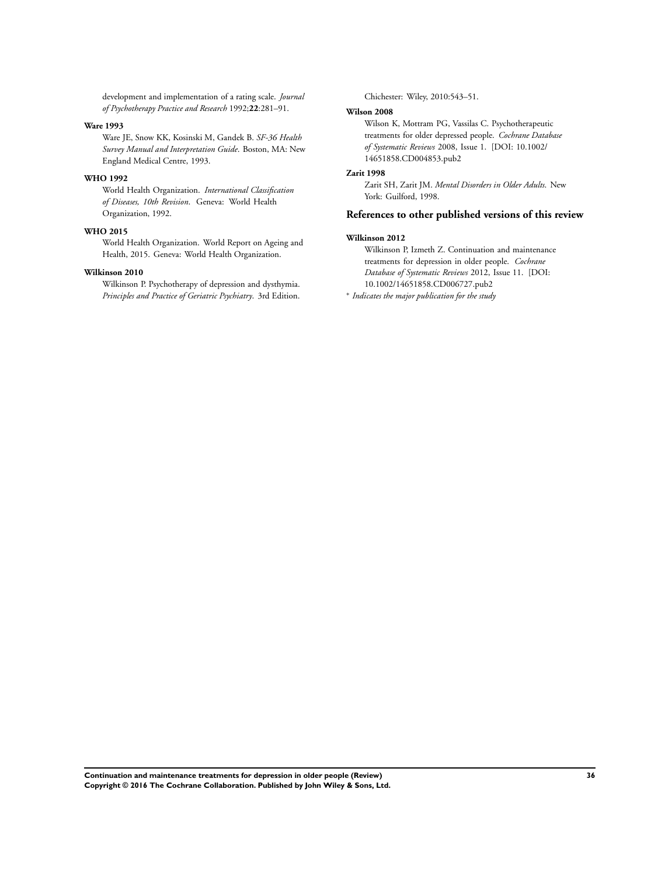development and implementation of a rating scale. *Journal of Psychotherapy Practice and Research* 1992;**22**:281–91.

#### **Ware 1993**

Ware JE, Snow KK, Kosinski M, Gandek B. *SF-36 Health Survey Manual and Interpretation Guide*. Boston, MA: New England Medical Centre, 1993.

### **WHO 1992**

World Health Organization. *International Classification of Diseases, 10th Revision*. Geneva: World Health Organization, 1992.

### **WHO 2015**

World Health Organization. World Report on Ageing and Health, 2015. Geneva: World Health Organization.

### **Wilkinson 2010**

Wilkinson P. Psychotherapy of depression and dysthymia. *Principles and Practice of Geriatric Psychiatry*. 3rd Edition. Chichester: Wiley, 2010:543–51.

#### **Wilson 2008**

Wilson K, Mottram PG, Vassilas C. Psychotherapeutic treatments for older depressed people. *Cochrane Database of Systematic Reviews* 2008, Issue 1. [DOI: 10.1002/ 14651858.CD004853.pub2

#### **Zarit 1998**

Zarit SH, Zarit JM. *Mental Disorders in Older Adults*. New York: Guilford, 1998.

### **References to other published versions of this review**

### **Wilkinson 2012**

Wilkinson P, Izmeth Z. Continuation and maintenance treatments for depression in older people. *Cochrane Database of Systematic Reviews* 2012, Issue 11. [DOI: 10.1002/14651858.CD006727.pub2

∗ *Indicates the major publication for the study*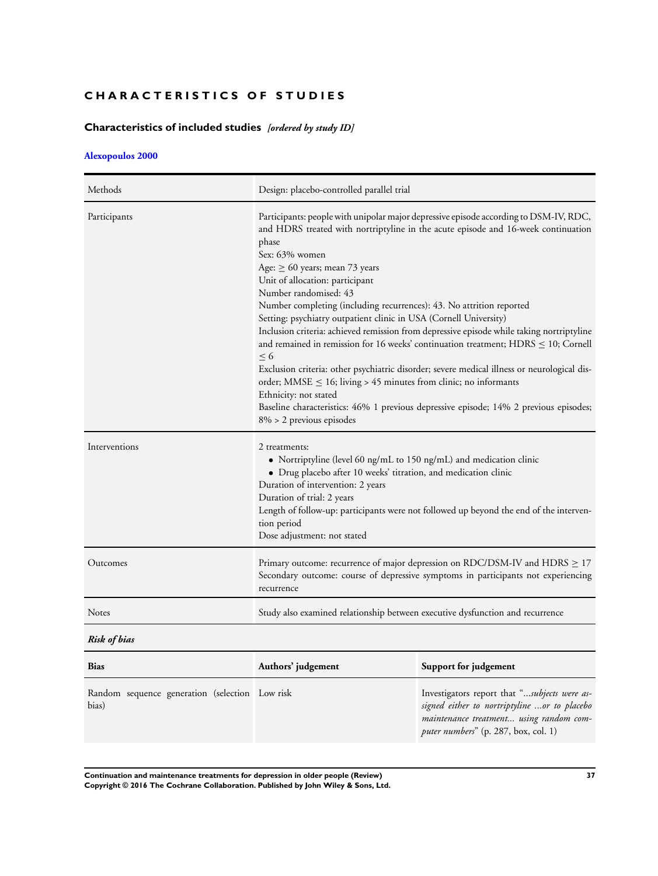# <span id="page-38-0"></span>**CHARACTERISTICS OF STUDIES**

# **Characteristics of included studies** *[ordered by study ID]*

### **[Alexopoulos 2000](#page-34-0)**

| Methods             | Design: placebo-controlled parallel trial                                                                                                                                                                                                                                                                                                                                                                                                                                                                                                                                                                                                                                                                                                                                                                                                                                                                                                                                           |
|---------------------|-------------------------------------------------------------------------------------------------------------------------------------------------------------------------------------------------------------------------------------------------------------------------------------------------------------------------------------------------------------------------------------------------------------------------------------------------------------------------------------------------------------------------------------------------------------------------------------------------------------------------------------------------------------------------------------------------------------------------------------------------------------------------------------------------------------------------------------------------------------------------------------------------------------------------------------------------------------------------------------|
| Participants        | Participants: people with unipolar major depressive episode according to DSM-IV, RDC,<br>and HDRS treated with nortriptyline in the acute episode and 16-week continuation<br>phase<br>Sex: 63% women<br>Age: $\geq 60$ years; mean 73 years<br>Unit of allocation: participant<br>Number randomised: 43<br>Number completing (including recurrences): 43. No attrition reported<br>Setting: psychiatry outpatient clinic in USA (Cornell University)<br>Inclusion criteria: achieved remission from depressive episode while taking nortriptyline<br>and remained in remission for 16 weeks' continuation treatment; $HDRS \leq 10$ ; Cornell<br>$\leq 6$<br>Exclusion criteria: other psychiatric disorder; severe medical illness or neurological dis-<br>order; MMSE $\leq$ 16; living > 45 minutes from clinic; no informants<br>Ethnicity: not stated<br>Baseline characteristics: 46% 1 previous depressive episode; 14% 2 previous episodes;<br>$8\%$ > 2 previous episodes |
| Interventions       | 2 treatments:<br>• Nortriptyline (level 60 ng/mL to 150 ng/mL) and medication clinic<br>• Drug placebo after 10 weeks' titration, and medication clinic<br>Duration of intervention: 2 years<br>Duration of trial: 2 years<br>Length of follow-up: participants were not followed up beyond the end of the interven-<br>tion period<br>Dose adjustment: not stated                                                                                                                                                                                                                                                                                                                                                                                                                                                                                                                                                                                                                  |
| Outcomes            | Primary outcome: recurrence of major depression on RDC/DSM-IV and HDRS $\geq$ 17<br>Secondary outcome: course of depressive symptoms in participants not experiencing<br>recurrence                                                                                                                                                                                                                                                                                                                                                                                                                                                                                                                                                                                                                                                                                                                                                                                                 |
| <b>Notes</b>        | Study also examined relationship between executive dysfunction and recurrence                                                                                                                                                                                                                                                                                                                                                                                                                                                                                                                                                                                                                                                                                                                                                                                                                                                                                                       |
| <b>Risk of bias</b> |                                                                                                                                                                                                                                                                                                                                                                                                                                                                                                                                                                                                                                                                                                                                                                                                                                                                                                                                                                                     |
|                     |                                                                                                                                                                                                                                                                                                                                                                                                                                                                                                                                                                                                                                                                                                                                                                                                                                                                                                                                                                                     |

| <b>Bias</b>                                             | Authors' judgement | Support for judgement                                                                                                                                                             |
|---------------------------------------------------------|--------------------|-----------------------------------------------------------------------------------------------------------------------------------------------------------------------------------|
| Random sequence generation (selection Low risk<br>bias) |                    | Investigators report that "subjects were as-<br>signed either to nortriptyline or to placebo<br>maintenance treatment using random com-<br>puter numbers" $(p. 287, box, col. 1)$ |

**Continuation and maintenance treatments for depression in older people (Review) 37 Copyright © 2016 The Cochrane Collaboration. Published by John Wiley & Sons, Ltd.**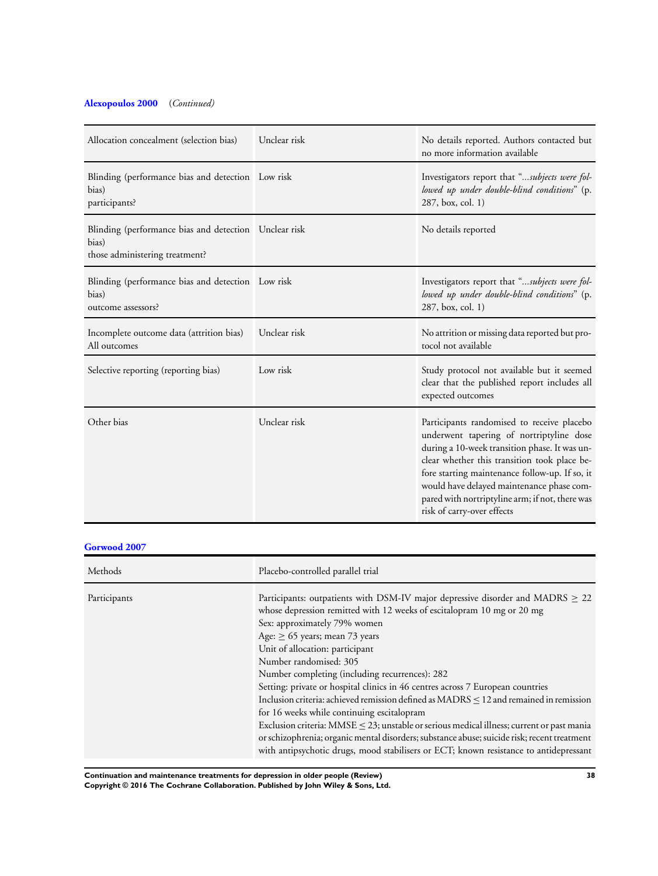# **[Alexopoulos 2000](#page-34-0)** (*Continued)*

| Allocation concealment (selection bias)                                                          | Unclear risk | No details reported. Authors contacted but<br>no more information available                                                                                                                                                                                                                                                                                             |
|--------------------------------------------------------------------------------------------------|--------------|-------------------------------------------------------------------------------------------------------------------------------------------------------------------------------------------------------------------------------------------------------------------------------------------------------------------------------------------------------------------------|
| Blinding (performance bias and detection Low risk<br>bias)<br>participants?                      |              | Investigators report that "subjects were fol-<br>lowed up under double-blind conditions" (p.<br>287, box, col. 1)                                                                                                                                                                                                                                                       |
| Blinding (performance bias and detection Unclear risk<br>bias)<br>those administering treatment? |              | No details reported                                                                                                                                                                                                                                                                                                                                                     |
| Blinding (performance bias and detection Low risk<br>bias)<br>outcome assessors?                 |              | Investigators report that "subjects were fol-<br>lowed up under double-blind conditions" (p.<br>287, box, col. 1)                                                                                                                                                                                                                                                       |
| Incomplete outcome data (attrition bias)<br>All outcomes                                         | Unclear risk | No attrition or missing data reported but pro-<br>tocol not available                                                                                                                                                                                                                                                                                                   |
| Selective reporting (reporting bias)                                                             | Low risk     | Study protocol not available but it seemed<br>clear that the published report includes all<br>expected outcomes                                                                                                                                                                                                                                                         |
| Other bias                                                                                       | Unclear risk | Participants randomised to receive placebo<br>underwent tapering of nortriptyline dose<br>during a 10-week transition phase. It was un-<br>clear whether this transition took place be-<br>fore starting maintenance follow-up. If so, it<br>would have delayed maintenance phase com-<br>pared with nortriptyline arm; if not, there was<br>risk of carry-over effects |

# **[Gorwood 2007](#page-34-0)**

| Methods      | Placebo-controlled parallel trial                                                                                                                                                                                                                                                                                                                                                                                                                                                                                                                                                                                                                                                                                                                                                                                                                                            |
|--------------|------------------------------------------------------------------------------------------------------------------------------------------------------------------------------------------------------------------------------------------------------------------------------------------------------------------------------------------------------------------------------------------------------------------------------------------------------------------------------------------------------------------------------------------------------------------------------------------------------------------------------------------------------------------------------------------------------------------------------------------------------------------------------------------------------------------------------------------------------------------------------|
| Participants | Participants: outpatients with DSM-IV major depressive disorder and MADRS $\geq 22$<br>whose depression remitted with 12 weeks of escitalopram 10 mg or 20 mg<br>Sex: approximately 79% women<br>Age: $\geq$ 65 years; mean 73 years<br>Unit of allocation: participant<br>Number randomised: 305<br>Number completing (including recurrences): 282<br>Setting: private or hospital clinics in 46 centres across 7 European countries<br>Inclusion criteria: achieved remission defined as $MADRS \leq 12$ and remained in remission<br>for 16 weeks while continuing escitalopram<br>Exclusion criteria: MMSE $\leq$ 23; unstable or serious medical illness; current or past mania<br>or schizophrenia; organic mental disorders; substance abuse; suicide risk; recent treatment<br>with antipsychotic drugs, mood stabilisers or ECT; known resistance to antidepressant |

**Continuation and maintenance treatments for depression in older people (Review) 38**

**Copyright © 2016 The Cochrane Collaboration. Published by John Wiley & Sons, Ltd.**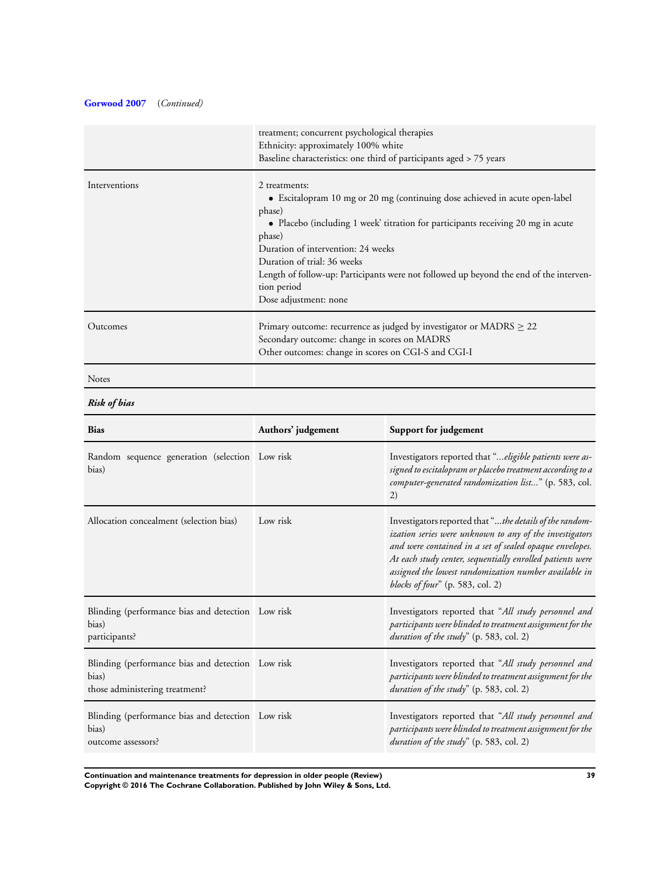# **[Gorwood 2007](#page-34-0)** (*Continued)*

|               | treatment; concurrent psychological therapies<br>Ethnicity: approximately 100% white<br>Baseline characteristics: one third of participants aged > 75 years                                                                                                                                                                                                                                                 |
|---------------|-------------------------------------------------------------------------------------------------------------------------------------------------------------------------------------------------------------------------------------------------------------------------------------------------------------------------------------------------------------------------------------------------------------|
| Interventions | 2 treatments:<br>• Escitalopram 10 mg or 20 mg (continuing dose achieved in acute open-label<br>phase)<br>• Placebo (including 1 week' titration for participants receiving 20 mg in acute<br>phase)<br>Duration of intervention: 24 weeks<br>Duration of trial: 36 weeks<br>Length of follow-up: Participants were not followed up beyond the end of the interven-<br>tion period<br>Dose adjustment: none |
| Outcomes      | Primary outcome: recurrence as judged by investigator or MADRS $\geq 22$<br>Secondary outcome: change in scores on MADRS<br>Other outcomes: change in scores on CGI-S and CGI-I                                                                                                                                                                                                                             |
|               |                                                                                                                                                                                                                                                                                                                                                                                                             |

Notes

*Risk of bias*

| <b>Bias</b>                                                                                  | Authors' judgement | Support for judgement                                                                                                                                                                                                                                                                                                                   |
|----------------------------------------------------------------------------------------------|--------------------|-----------------------------------------------------------------------------------------------------------------------------------------------------------------------------------------------------------------------------------------------------------------------------------------------------------------------------------------|
| Random sequence generation (selection Low risk<br>bias)                                      |                    | Investigators reported that "eligible patients were as-<br>signed to escitalopram or placebo treatment according to a<br>computer-generated randomization list" (p. 583, col.<br>2)                                                                                                                                                     |
| Allocation concealment (selection bias)                                                      | Low risk           | Investigators reported that "the details of the random-<br>ization series were unknown to any of the investigators<br>and were contained in a set of sealed opaque envelopes.<br>At each study center, sequentially enrolled patients were<br>assigned the lowest randomization number available in<br>blocks of four" (p. 583, col. 2) |
| Blinding (performance bias and detection Low risk<br>bias)<br>participants?                  |                    | Investigators reported that "All study personnel and<br>participants were blinded to treatment assignment for the<br>duration of the study" (p. 583, col. 2)                                                                                                                                                                            |
| Blinding (performance bias and detection Low risk<br>bias)<br>those administering treatment? |                    | Investigators reported that "All study personnel and<br>participants were blinded to treatment assignment for the<br>duration of the study" (p. 583, col. 2)                                                                                                                                                                            |
| Blinding (performance bias and detection Low risk<br>bias)<br>outcome assessors?             |                    | Investigators reported that "All study personnel and<br>participants were blinded to treatment assignment for the<br>duration of the study" (p. 583, col. 2)                                                                                                                                                                            |

**Continuation and maintenance treatments for depression in older people (Review) 39 Copyright © 2016 The Cochrane Collaboration. Published by John Wiley & Sons, Ltd.**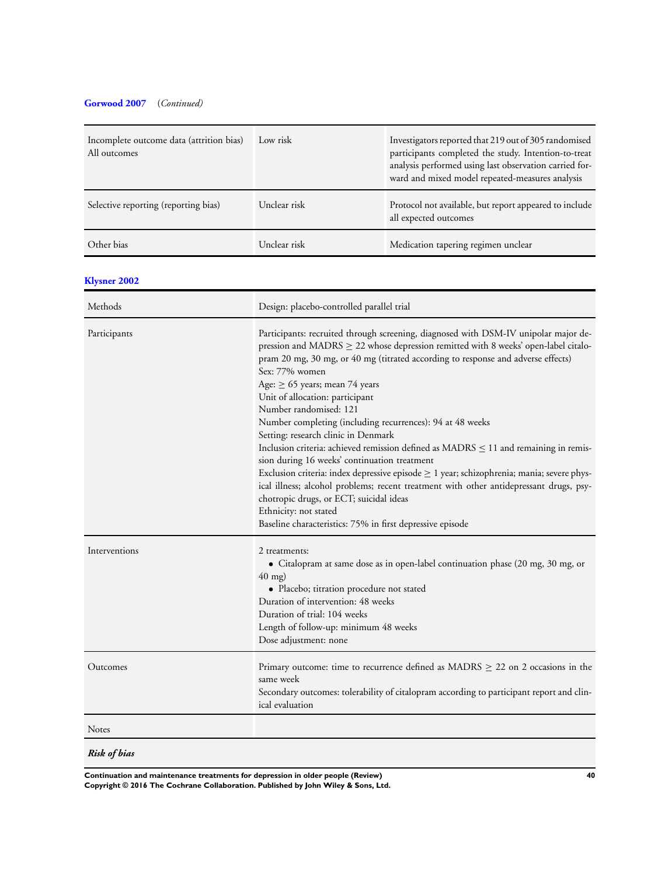# **[Gorwood 2007](#page-34-0)** (*Continued)*

| Incomplete outcome data (attrition bias)<br>All outcomes | Low risk      | Investigators reported that 219 out of 305 randomised<br>participants completed the study. Intention-to-treat<br>analysis performed using last observation carried for-<br>ward and mixed model repeated-measures analysis |
|----------------------------------------------------------|---------------|----------------------------------------------------------------------------------------------------------------------------------------------------------------------------------------------------------------------------|
| Selective reporting (reporting bias)                     | Unclear risk  | Protocol not available, but report appeared to include<br>all expected outcomes                                                                                                                                            |
| Other bias                                               | Unclear risk- | Medication tapering regimen unclear                                                                                                                                                                                        |

# **[Klysner 2002](#page-34-0)**

| Methods       | Design: placebo-controlled parallel trial                                                                                                                                                                                                                                                                                                                                                                                                                                                                                                                                                                                                                                                                                                                                                                                                                                                                                                                              |
|---------------|------------------------------------------------------------------------------------------------------------------------------------------------------------------------------------------------------------------------------------------------------------------------------------------------------------------------------------------------------------------------------------------------------------------------------------------------------------------------------------------------------------------------------------------------------------------------------------------------------------------------------------------------------------------------------------------------------------------------------------------------------------------------------------------------------------------------------------------------------------------------------------------------------------------------------------------------------------------------|
| Participants  | Participants: recruited through screening, diagnosed with DSM-IV unipolar major de-<br>pression and MADRS $\geq$ 22 whose depression remitted with 8 weeks' open-label citalo-<br>pram 20 mg, 30 mg, or 40 mg (titrated according to response and adverse effects)<br>Sex: 77% women<br>Age: $\geq$ 65 years; mean 74 years<br>Unit of allocation: participant<br>Number randomised: 121<br>Number completing (including recurrences): 94 at 48 weeks<br>Setting: research clinic in Denmark<br>Inclusion criteria: achieved remission defined as $MADRS \leq 11$ and remaining in remis-<br>sion during 16 weeks' continuation treatment<br>Exclusion criteria: index depressive episode $\geq 1$ year; schizophrenia; mania; severe phys-<br>ical illness; alcohol problems; recent treatment with other antidepressant drugs, psy-<br>chotropic drugs, or ECT; suicidal ideas<br>Ethnicity: not stated<br>Baseline characteristics: 75% in first depressive episode |
| Interventions | 2 treatments:<br>• Citalopram at same dose as in open-label continuation phase (20 mg, 30 mg, or<br>$40 \text{ mg}$<br>· Placebo; titration procedure not stated<br>Duration of intervention: 48 weeks<br>Duration of trial: 104 weeks<br>Length of follow-up: minimum 48 weeks<br>Dose adjustment: none                                                                                                                                                                                                                                                                                                                                                                                                                                                                                                                                                                                                                                                               |
| Outcomes      | Primary outcome: time to recurrence defined as MADRS $\geq$ 22 on 2 occasions in the<br>same week<br>Secondary outcomes: tolerability of citalopram according to participant report and clin-<br>ical evaluation                                                                                                                                                                                                                                                                                                                                                                                                                                                                                                                                                                                                                                                                                                                                                       |
| <b>Notes</b>  |                                                                                                                                                                                                                                                                                                                                                                                                                                                                                                                                                                                                                                                                                                                                                                                                                                                                                                                                                                        |

*Risk of bias*

**Continuation and maintenance treatments for depression in older people (Review) 40 Copyright © 2016 The Cochrane Collaboration. Published by John Wiley & Sons, Ltd.**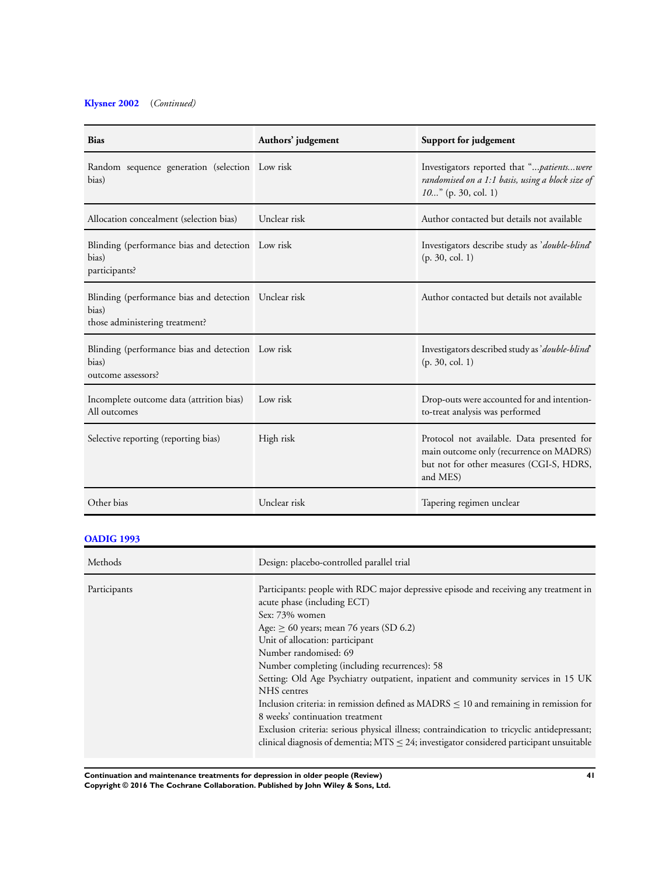# **[Klysner 2002](#page-34-0)** (*Continued)*

| <b>Bias</b>                                                                                      | Authors' judgement | Support for judgement                                                                                                                         |
|--------------------------------------------------------------------------------------------------|--------------------|-----------------------------------------------------------------------------------------------------------------------------------------------|
| Random sequence generation (selection Low risk<br>bias)                                          |                    | Investigators reported that "patientswere<br>randomised on a 1:1 basis, using a block size of<br>10" (p. 30, col. 1)                          |
| Allocation concealment (selection bias)                                                          | Unclear risk       | Author contacted but details not available                                                                                                    |
| Blinding (performance bias and detection Low risk<br>bias)<br>participants?                      |                    | Investigators describe study as ' <i>double-blind</i> '<br>(p. 30, col. 1)                                                                    |
| Blinding (performance bias and detection Unclear risk<br>bias)<br>those administering treatment? |                    | Author contacted but details not available                                                                                                    |
| Blinding (performance bias and detection Low risk<br>bias)<br>outcome assessors?                 |                    | Investigators described study as ' <i>double-blind</i> '<br>(p. 30, col. 1)                                                                   |
| Incomplete outcome data (attrition bias)<br>All outcomes                                         | Low risk           | Drop-outs were accounted for and intention-<br>to-treat analysis was performed                                                                |
| Selective reporting (reporting bias)                                                             | High risk          | Protocol not available. Data presented for<br>main outcome only (recurrence on MADRS)<br>but not for other measures (CGI-S, HDRS,<br>and MES) |
| Other bias                                                                                       | Unclear risk       | Tapering regimen unclear                                                                                                                      |

# **[OADIG 1993](#page-34-0)**

| Methods      | Design: placebo-controlled parallel trial                                                                                                                                                                                                                                                                                                                                                                                                                                                                                                                                                                                                                                                                                                        |
|--------------|--------------------------------------------------------------------------------------------------------------------------------------------------------------------------------------------------------------------------------------------------------------------------------------------------------------------------------------------------------------------------------------------------------------------------------------------------------------------------------------------------------------------------------------------------------------------------------------------------------------------------------------------------------------------------------------------------------------------------------------------------|
| Participants | Participants: people with RDC major depressive episode and receiving any treatment in<br>acute phase (including ECT)<br>Sex: 73% women<br>Age: $\geq 60$ years; mean 76 years (SD 6.2)<br>Unit of allocation: participant<br>Number randomised: 69<br>Number completing (including recurrences): 58<br>Setting: Old Age Psychiatry outpatient, inpatient and community services in 15 UK<br>NHS centres<br>Inclusion criteria: in remission defined as $\text{MADRS} \leq 10$ and remaining in remission for<br>8 weeks' continuation treatment<br>Exclusion criteria: serious physical illness; contraindication to tricyclic antidepressant;<br>clinical diagnosis of dementia; $MTS \leq 24$ ; investigator considered participant unsuitable |

**Continuation and maintenance treatments for depression in older people (Review) 41**

**Copyright © 2016 The Cochrane Collaboration. Published by John Wiley & Sons, Ltd.**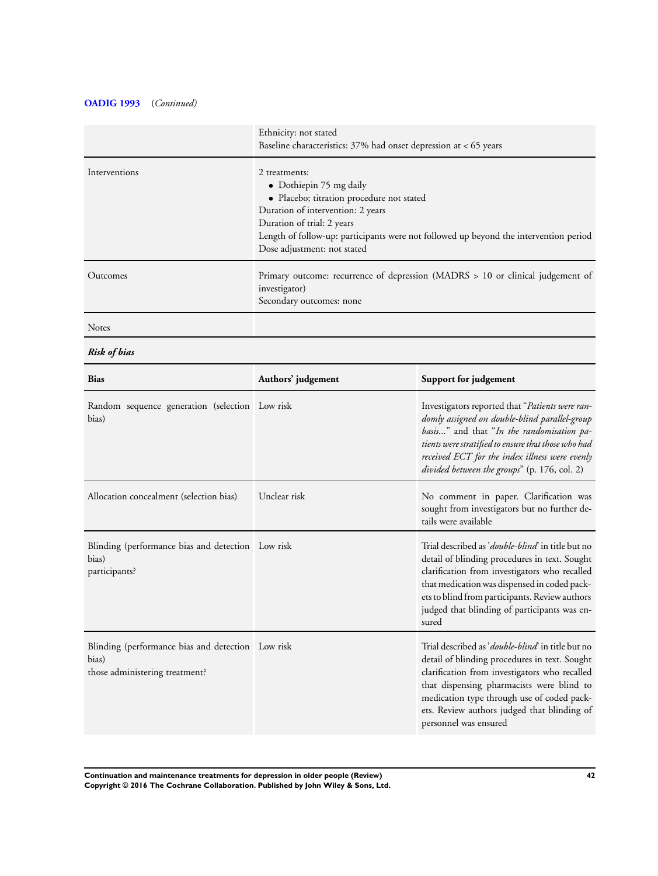# **[OADIG 1993](#page-34-0)** (*Continued)*

|               | Ethnicity: not stated<br>Baseline characteristics: $37\%$ had onset depression at < 65 years                                                                                                                                                                                     |
|---------------|----------------------------------------------------------------------------------------------------------------------------------------------------------------------------------------------------------------------------------------------------------------------------------|
| Interventions | 2 treatments:<br>• Dothiepin 75 mg daily<br>• Placebo; titration procedure not stated<br>Duration of intervention: 2 years<br>Duration of trial: 2 years<br>Length of follow-up: participants were not followed up beyond the intervention period<br>Dose adjustment: not stated |
| Outcomes      | Primary outcome: recurrence of depression (MADRS > 10 or clinical judgement of<br>investigator)<br>Secondary outcomes: none                                                                                                                                                      |

Notes

*Risk of bias*

| <b>Bias</b>                                                                                  | Authors' judgement | Support for judgement                                                                                                                                                                                                                                                                                                           |
|----------------------------------------------------------------------------------------------|--------------------|---------------------------------------------------------------------------------------------------------------------------------------------------------------------------------------------------------------------------------------------------------------------------------------------------------------------------------|
| Random sequence generation (selection Low risk<br>bias)                                      |                    | Investigators reported that "Patients were ran-<br>domly assigned on double-blind parallel-group<br>basis" and that "In the randomisation pa-<br>tients were stratified to ensure that those who had<br>received ECT for the index illness were evenly<br>divided between the groups" (p. 176, col. 2)                          |
| Allocation concealment (selection bias)                                                      | Unclear risk       | No comment in paper. Clarification was<br>sought from investigators but no further de-<br>tails were available                                                                                                                                                                                                                  |
| Blinding (performance bias and detection Low risk<br>bias)<br>participants?                  |                    | Trial described as 'double-blind' in title but no<br>detail of blinding procedures in text. Sought<br>clarification from investigators who recalled<br>that medication was dispensed in coded pack-<br>ets to blind from participants. Review authors<br>judged that blinding of participants was en-<br>sured                  |
| Blinding (performance bias and detection Low risk<br>bias)<br>those administering treatment? |                    | Trial described as ' <i>double-blind</i> ' in title but no<br>detail of blinding procedures in text. Sought<br>clarification from investigators who recalled<br>that dispensing pharmacists were blind to<br>medication type through use of coded pack-<br>ets. Review authors judged that blinding of<br>personnel was ensured |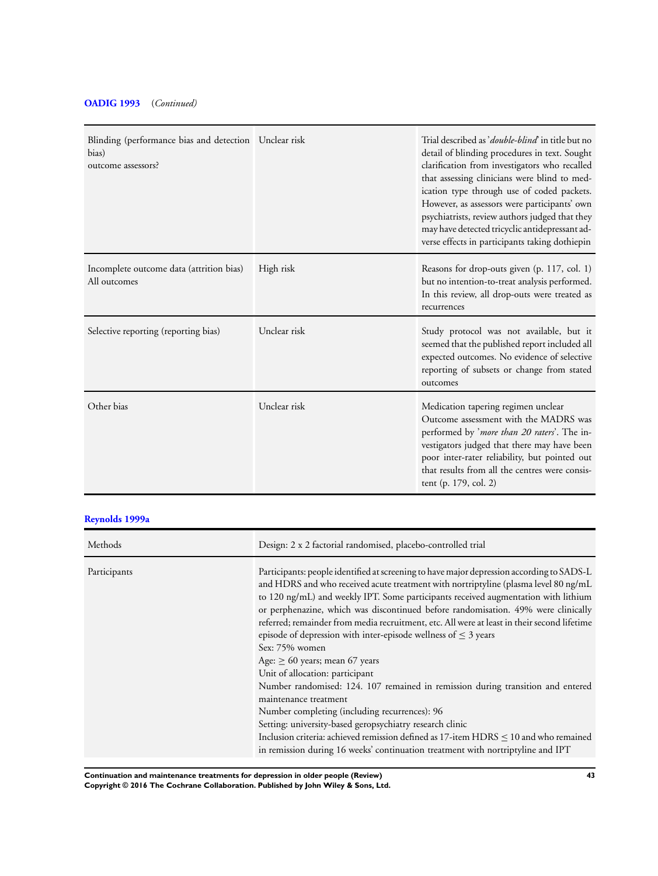# **[OADIG 1993](#page-34-0)** (*Continued)*

| Blinding (performance bias and detection Unclear risk<br>bias)<br>outcome assessors? |              | Trial described as ' <i>double-blind</i> ' in title but no<br>detail of blinding procedures in text. Sought<br>clarification from investigators who recalled<br>that assessing clinicians were blind to med-<br>ication type through use of coded packets.<br>However, as assessors were participants' own<br>psychiatrists, review authors judged that they<br>may have detected tricyclic antidepressant ad-<br>verse effects in participants taking dothiepin |
|--------------------------------------------------------------------------------------|--------------|------------------------------------------------------------------------------------------------------------------------------------------------------------------------------------------------------------------------------------------------------------------------------------------------------------------------------------------------------------------------------------------------------------------------------------------------------------------|
| Incomplete outcome data (attrition bias)<br>All outcomes                             | High risk    | Reasons for drop-outs given (p. 117, col. 1)<br>but no intention-to-treat analysis performed.<br>In this review, all drop-outs were treated as<br>recurrences                                                                                                                                                                                                                                                                                                    |
| Selective reporting (reporting bias)                                                 | Unclear risk | Study protocol was not available, but it<br>seemed that the published report included all<br>expected outcomes. No evidence of selective<br>reporting of subsets or change from stated<br>outcomes                                                                                                                                                                                                                                                               |
| Other bias                                                                           | Unclear risk | Medication tapering regimen unclear<br>Outcome assessment with the MADRS was<br>performed by 'more than 20 raters'. The in-<br>vestigators judged that there may have been<br>poor inter-rater reliability, but pointed out<br>that results from all the centres were consis-<br>tent (p. 179, col. 2)                                                                                                                                                           |

# **[Reynolds 1999a](#page-34-0)**

| Methods      | Design: 2 x 2 factorial randomised, placebo-controlled trial                                                                                                                                                                                                                                                                                                                                                                                                                                                                                                                                                                                                                                                                                                                                                                                                                                                                                                                                                                           |
|--------------|----------------------------------------------------------------------------------------------------------------------------------------------------------------------------------------------------------------------------------------------------------------------------------------------------------------------------------------------------------------------------------------------------------------------------------------------------------------------------------------------------------------------------------------------------------------------------------------------------------------------------------------------------------------------------------------------------------------------------------------------------------------------------------------------------------------------------------------------------------------------------------------------------------------------------------------------------------------------------------------------------------------------------------------|
| Participants | Participants: people identified at screening to have major depression according to SADS-L<br>and HDRS and who received acute treatment with nortriptyline (plasma level 80 ng/mL<br>to 120 ng/mL) and weekly IPT. Some participants received augmentation with lithium<br>or perphenazine, which was discontinued before randomisation. 49% were clinically<br>referred; remainder from media recruitment, etc. All were at least in their second lifetime<br>episode of depression with inter-episode wellness of $\leq$ 3 years<br>Sex: 75% women<br>Age: $\geq 60$ years; mean 67 years<br>Unit of allocation: participant<br>Number randomised: 124. 107 remained in remission during transition and entered<br>maintenance treatment<br>Number completing (including recurrences): 96<br>Setting: university-based geropsychiatry research clinic<br>Inclusion criteria: achieved remission defined as 17-item HDRS $\leq$ 10 and who remained<br>in remission during 16 weeks' continuation treatment with nortriptyline and IPT |

**Continuation and maintenance treatments for depression in older people (Review) 43**

**Copyright © 2016 The Cochrane Collaboration. Published by John Wiley & Sons, Ltd.**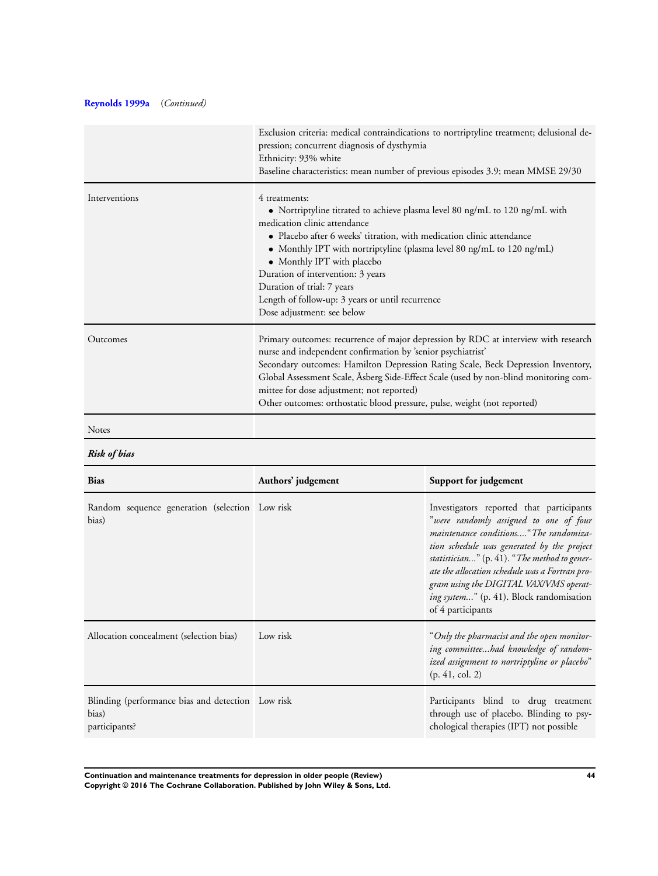# **[Reynolds 1999a](#page-34-0)** (*Continued)*

|               | Exclusion criteria: medical contraindications to nortriptyline treatment; delusional de-<br>pression; concurrent diagnosis of dysthymia<br>Ethnicity: 93% white<br>Baseline characteristics: mean number of previous episodes 3.9; mean MMSE 29/30                                                                                                                                                                                                                |
|---------------|-------------------------------------------------------------------------------------------------------------------------------------------------------------------------------------------------------------------------------------------------------------------------------------------------------------------------------------------------------------------------------------------------------------------------------------------------------------------|
| Interventions | 4 treatments:<br>• Nortriptyline titrated to achieve plasma level 80 ng/mL to 120 ng/mL with<br>medication clinic attendance<br>• Placebo after 6 weeks' titration, with medication clinic attendance<br>• Monthly IPT with nortriptyline (plasma level 80 ng/mL to 120 ng/mL)<br>• Monthly IPT with placebo<br>Duration of intervention: 3 years<br>Duration of trial: 7 years<br>Length of follow-up: 3 years or until recurrence<br>Dose adjustment: see below |
| Outcomes      | Primary outcomes: recurrence of major depression by RDC at interview with research<br>nurse and independent confirmation by 'senior psychiatrist'<br>Secondary outcomes: Hamilton Depression Rating Scale, Beck Depression Inventory,<br>Global Assessment Scale, Åsberg Side-Effect Scale (used by non-blind monitoring com-<br>mittee for dose adjustment; not reported)<br>Other outcomes: orthostatic blood pressure, pulse, weight (not reported)            |
|               |                                                                                                                                                                                                                                                                                                                                                                                                                                                                   |

Notes

| <b>Risk of bias</b> |  |
|---------------------|--|
|                     |  |

| <b>Bias</b>                                                                 | Authors' judgement | Support for judgement                                                                                                                                                                                                                                                                                                                                                                   |  |
|-----------------------------------------------------------------------------|--------------------|-----------------------------------------------------------------------------------------------------------------------------------------------------------------------------------------------------------------------------------------------------------------------------------------------------------------------------------------------------------------------------------------|--|
| Random sequence generation (selection Low risk<br>bias)                     |                    | Investigators reported that participants<br>"were randomly assigned to one of four<br>maintenance conditions "The randomiza-<br>tion schedule was generated by the project<br>statistician" (p. 41). "The method to gener-<br>ate the allocation schedule was a Fortran pro-<br>gram using the DIGITAL VAX/VMS operat-<br>ing system" (p. 41). Block randomisation<br>of 4 participants |  |
| Allocation concealment (selection bias)                                     | Low risk           | "Only the pharmacist and the open monitor-<br>ing committeehad knowledge of random-<br>ized assignment to nortriptyline or placebo"<br>(p. 41, col. 2)                                                                                                                                                                                                                                  |  |
| Blinding (performance bias and detection Low risk<br>bias)<br>participants? |                    | Participants blind to drug treatment<br>through use of placebo. Blinding to psy-<br>chological therapies (IPT) not possible                                                                                                                                                                                                                                                             |  |

**Continuation and maintenance treatments for depression in older people (Review) 44 Copyright © 2016 The Cochrane Collaboration. Published by John Wiley & Sons, Ltd.**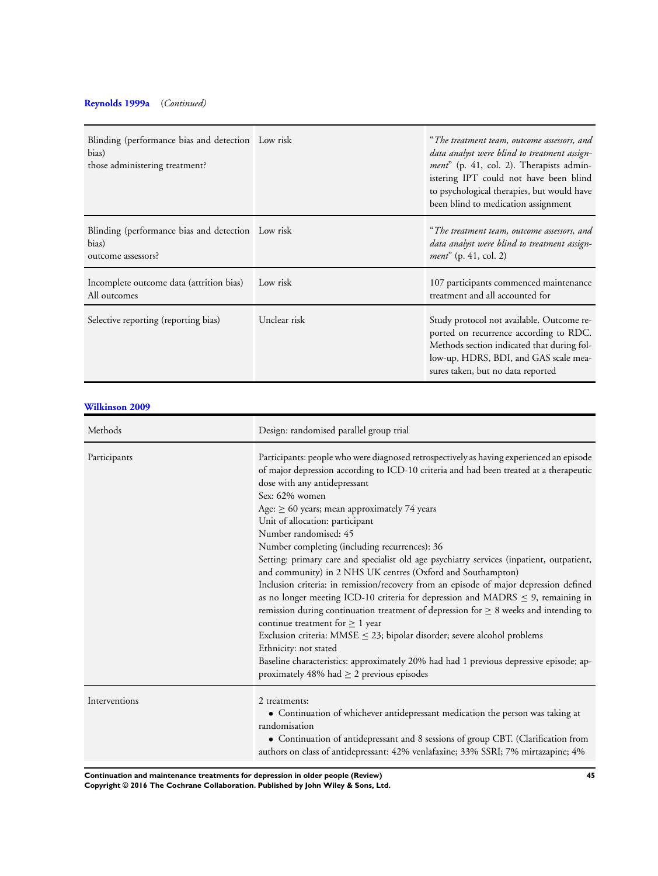# **[Reynolds 1999a](#page-34-0)** (*Continued)*

| Blinding (performance bias and detection Low risk<br>bias)<br>those administering treatment? |              | "The treatment team, outcome assessors, and<br>data analyst were blind to treatment assign-<br>ment" (p. 41, col. 2). Therapists admin-<br>istering IPT could not have been blind<br>to psychological therapies, but would have<br>been blind to medication assignment |
|----------------------------------------------------------------------------------------------|--------------|------------------------------------------------------------------------------------------------------------------------------------------------------------------------------------------------------------------------------------------------------------------------|
| Blinding (performance bias and detection Low risk<br>bias)<br>outcome assessors?             |              | "The treatment team, outcome assessors, and<br>data analyst were blind to treatment assign-<br><i>ment</i> " (p. 41, col. 2)                                                                                                                                           |
| Incomplete outcome data (attrition bias)<br>All outcomes                                     | Low risk     | 107 participants commenced maintenance<br>treatment and all accounted for                                                                                                                                                                                              |
| Selective reporting (reporting bias)                                                         | Unclear risk | Study protocol not available. Outcome re-<br>ported on recurrence according to RDC.<br>Methods section indicated that during fol-<br>low-up, HDRS, BDI, and GAS scale mea-<br>sures taken, but no data reported                                                        |

# **[Wilkinson 2009](#page-34-0)**

| Methods       | Design: randomised parallel group trial                                                                                                                                                                                                                                                                                                                                                                                                                                                                                                                                                                                                                                                                                                                                                                                                                                                                                                                                                                                                                                                                                                        |  |
|---------------|------------------------------------------------------------------------------------------------------------------------------------------------------------------------------------------------------------------------------------------------------------------------------------------------------------------------------------------------------------------------------------------------------------------------------------------------------------------------------------------------------------------------------------------------------------------------------------------------------------------------------------------------------------------------------------------------------------------------------------------------------------------------------------------------------------------------------------------------------------------------------------------------------------------------------------------------------------------------------------------------------------------------------------------------------------------------------------------------------------------------------------------------|--|
| Participants  | Participants: people who were diagnosed retrospectively as having experienced an episode<br>of major depression according to ICD-10 criteria and had been treated at a therapeutic<br>dose with any antidepressant<br>Sex: 62% women<br>Age: $\geq 60$ years; mean approximately 74 years<br>Unit of allocation: participant<br>Number randomised: 45<br>Number completing (including recurrences): 36<br>Setting: primary care and specialist old age psychiatry services (inpatient, outpatient,<br>and community) in 2 NHS UK centres (Oxford and Southampton)<br>Inclusion criteria: in remission/recovery from an episode of major depression defined<br>as no longer meeting ICD-10 criteria for depression and MADRS $\leq$ 9, remaining in<br>remission during continuation treatment of depression for $\geq 8$ weeks and intending to<br>continue treatment for $\geq 1$ year<br>Exclusion criteria: $MMSE \leq 23$ ; bipolar disorder; severe alcohol problems<br>Ethnicity: not stated<br>Baseline characteristics: approximately 20% had had 1 previous depressive episode; ap-<br>proximately 48% had $\geq$ 2 previous episodes |  |
| Interventions | 2 treatments:<br>• Continuation of whichever antidepressant medication the person was taking at<br>randomisation<br>• Continuation of antidepressant and 8 sessions of group CBT. (Clarification from<br>authors on class of antidepressant: 42% venlafaxine; 33% SSRI; 7% mirtazapine; 4%                                                                                                                                                                                                                                                                                                                                                                                                                                                                                                                                                                                                                                                                                                                                                                                                                                                     |  |

**Continuation and maintenance treatments for depression in older people (Review) 45**

**Copyright © 2016 The Cochrane Collaboration. Published by John Wiley & Sons, Ltd.**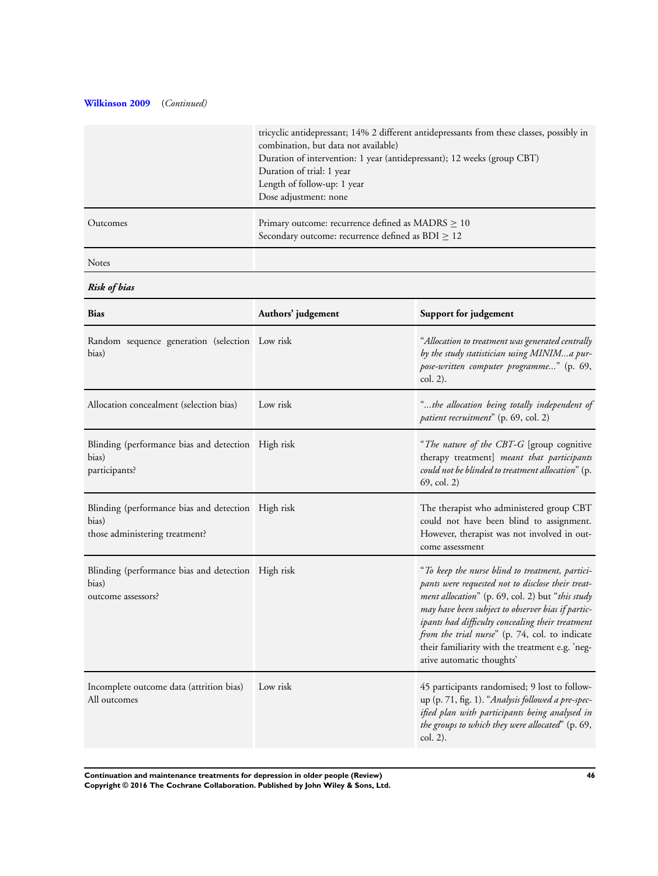# **[Wilkinson 2009](#page-34-0)** (*Continued)*

|                 | tricyclic antidepressant; 14% 2 different antidepressants from these classes, possibly in<br>combination, but data not available)<br>Duration of intervention: 1 year (antidepressant); 12 weeks (group CBT)<br>Duration of trial: 1 year<br>Length of follow-up: 1 year<br>Dose adjustment: none |
|-----------------|---------------------------------------------------------------------------------------------------------------------------------------------------------------------------------------------------------------------------------------------------------------------------------------------------|
| <b>Outcomes</b> | Primary outcome: recurrence defined as $MADS \ge 10$<br>Secondary outcome: recurrence defined as $BDI \ge 12$                                                                                                                                                                                     |

Notes

*Risk of bias*

| <b>Bias</b>                                                                                   | Authors' judgement<br>Support for judgement                                                                                                             |                                                                                                                                                                                                                                                                                                                                                                                                     |
|-----------------------------------------------------------------------------------------------|---------------------------------------------------------------------------------------------------------------------------------------------------------|-----------------------------------------------------------------------------------------------------------------------------------------------------------------------------------------------------------------------------------------------------------------------------------------------------------------------------------------------------------------------------------------------------|
| Random sequence generation (selection Low risk<br>bias)                                       | "Allocation to treatment was generated centrally<br>by the study statistician using MINIMa pur-<br>pose-written computer programme" (p. 69,<br>col. 2). |                                                                                                                                                                                                                                                                                                                                                                                                     |
| Allocation concealment (selection bias)                                                       | Low risk                                                                                                                                                | "the allocation being totally independent of<br>patient recruitment" (p. 69, col. 2)                                                                                                                                                                                                                                                                                                                |
| Blinding (performance bias and detection High risk<br>bias)<br>participants?                  |                                                                                                                                                         | "The nature of the CBT-G [group cognitive<br>therapy treatment] meant that participants<br>could not be blinded to treatment allocation" (p.<br>69, col. 2)                                                                                                                                                                                                                                         |
| Blinding (performance bias and detection High risk<br>bias)<br>those administering treatment? |                                                                                                                                                         | The therapist who administered group CBT<br>could not have been blind to assignment.<br>However, therapist was not involved in out-<br>come assessment                                                                                                                                                                                                                                              |
| Blinding (performance bias and detection High risk<br>bias)<br>outcome assessors?             |                                                                                                                                                         | "To keep the nurse blind to treatment, partici-<br>pants were requested not to disclose their treat-<br>ment allocation" (p. 69, col. 2) but "this study<br>may have been subject to observer bias if partic-<br>ipants had difficulty concealing their treatment<br>from the trial nurse" (p. 74, col. to indicate<br>their familiarity with the treatment e.g. 'neg-<br>ative automatic thoughts' |
| Incomplete outcome data (attrition bias)<br>All outcomes                                      | Low risk                                                                                                                                                | 45 participants randomised; 9 lost to follow-<br>up (p. 71, fig. 1). "Analysis followed a pre-spec-<br>ified plan with participants being analysed in<br>the groups to which they were allocated" (p. 69,<br>col. 2).                                                                                                                                                                               |

**Continuation and maintenance treatments for depression in older people (Review) 46 Copyright © 2016 The Cochrane Collaboration. Published by John Wiley & Sons, Ltd.**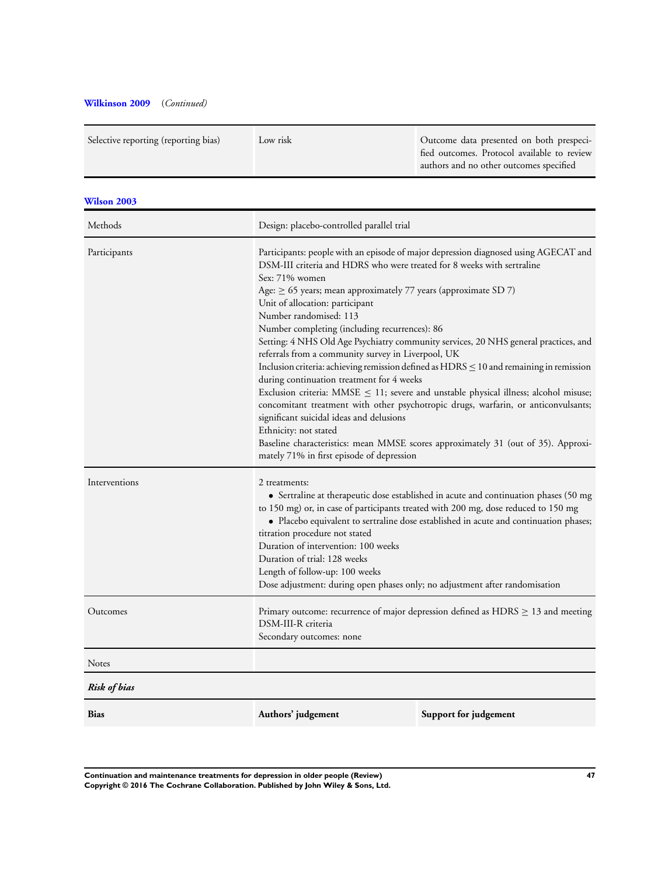# **[Wilkinson 2009](#page-34-0)** (*Continued)*

| Selective reporting (reporting bias) | Low risk | Outcome data presented on both prespeci-<br>fied outcomes. Protocol available to review |
|--------------------------------------|----------|-----------------------------------------------------------------------------------------|
|                                      |          | authors and no other outcomes specified                                                 |

# **[Wilson 2003](#page-34-0)**

| Methods             | Design: placebo-controlled parallel trial                                                                                                                                                                                                                                                                                                                                                                                                                                                                                                                                                                                                                                                                                                                                                                                                                                                                                                                                                                                                                 |                       |  |
|---------------------|-----------------------------------------------------------------------------------------------------------------------------------------------------------------------------------------------------------------------------------------------------------------------------------------------------------------------------------------------------------------------------------------------------------------------------------------------------------------------------------------------------------------------------------------------------------------------------------------------------------------------------------------------------------------------------------------------------------------------------------------------------------------------------------------------------------------------------------------------------------------------------------------------------------------------------------------------------------------------------------------------------------------------------------------------------------|-----------------------|--|
| Participants        | Participants: people with an episode of major depression diagnosed using AGECAT and<br>DSM-III criteria and HDRS who were treated for 8 weeks with sertraline<br>Sex: 71% women<br>Age: $\geq$ 65 years; mean approximately 77 years (approximate SD 7)<br>Unit of allocation: participant<br>Number randomised: 113<br>Number completing (including recurrences): 86<br>Setting: 4 NHS Old Age Psychiatry community services, 20 NHS general practices, and<br>referrals from a community survey in Liverpool, UK<br>Inclusion criteria: achieving remission defined as $HDRS \leq 10$ and remaining in remission<br>during continuation treatment for 4 weeks<br>Exclusion criteria: MMSE $\leq$ 11; severe and unstable physical illness; alcohol misuse;<br>concomitant treatment with other psychotropic drugs, warfarin, or anticonvulsants;<br>significant suicidal ideas and delusions<br>Ethnicity: not stated<br>Baseline characteristics: mean MMSE scores approximately 31 (out of 35). Approxi-<br>mately 71% in first episode of depression |                       |  |
| Interventions       | 2 treatments:<br>• Sertraline at therapeutic dose established in acute and continuation phases (50 mg<br>to 150 mg) or, in case of participants treated with 200 mg, dose reduced to 150 mg<br>• Placebo equivalent to sertraline dose established in acute and continuation phases;<br>titration procedure not stated<br>Duration of intervention: 100 weeks<br>Duration of trial: 128 weeks<br>Length of follow-up: 100 weeks<br>Dose adjustment: during open phases only; no adjustment after randomisation                                                                                                                                                                                                                                                                                                                                                                                                                                                                                                                                            |                       |  |
| Outcomes            | Primary outcome: recurrence of major depression defined as $HDRS \ge 13$ and meeting<br>DSM-III-R criteria<br>Secondary outcomes: none                                                                                                                                                                                                                                                                                                                                                                                                                                                                                                                                                                                                                                                                                                                                                                                                                                                                                                                    |                       |  |
| <b>Notes</b>        |                                                                                                                                                                                                                                                                                                                                                                                                                                                                                                                                                                                                                                                                                                                                                                                                                                                                                                                                                                                                                                                           |                       |  |
| <b>Risk of bias</b> |                                                                                                                                                                                                                                                                                                                                                                                                                                                                                                                                                                                                                                                                                                                                                                                                                                                                                                                                                                                                                                                           |                       |  |
| <b>Bias</b>         | Authors' judgement                                                                                                                                                                                                                                                                                                                                                                                                                                                                                                                                                                                                                                                                                                                                                                                                                                                                                                                                                                                                                                        | Support for judgement |  |

**Continuation and maintenance treatments for depression in older people (Review) 47 Copyright © 2016 The Cochrane Collaboration. Published by John Wiley & Sons, Ltd.**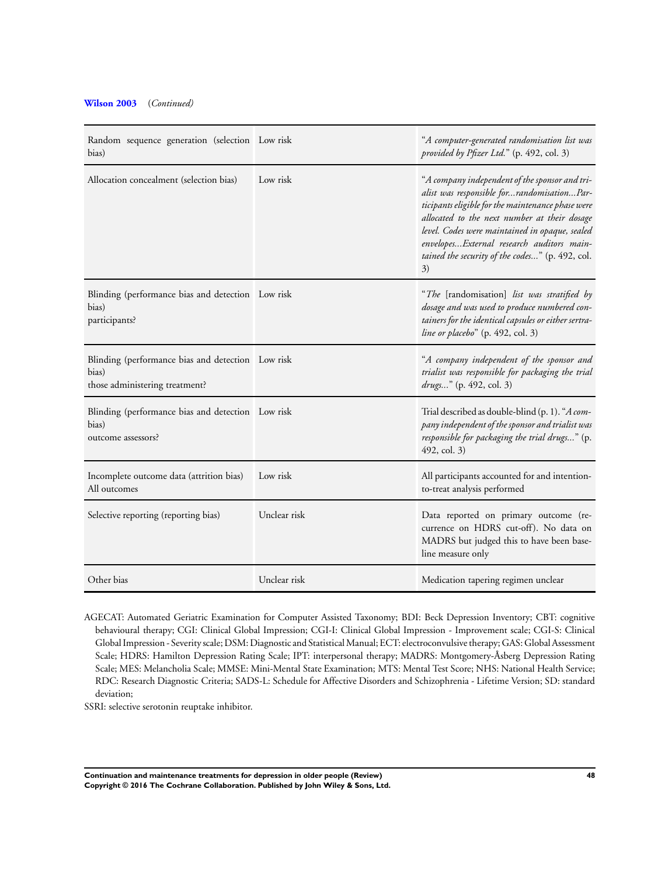### **[Wilson 2003](#page-34-0)** (*Continued)*

| Random sequence generation (selection Low risk<br>bias)                                      |              | "A computer-generated randomisation list was<br>provided by Pfizer Ltd." (p. 492, col. 3)                                                                                                                                                                                                                                                                 |
|----------------------------------------------------------------------------------------------|--------------|-----------------------------------------------------------------------------------------------------------------------------------------------------------------------------------------------------------------------------------------------------------------------------------------------------------------------------------------------------------|
| Allocation concealment (selection bias)                                                      | Low risk     | "A company independent of the sponsor and tri-<br>alist was responsible forrandomisationPar-<br>ticipants eligible for the maintenance phase were<br>allocated to the next number at their dosage<br>level. Codes were maintained in opaque, sealed<br>envelopesExternal research auditors main-<br>tained the security of the codes" (p. 492, col.<br>3) |
| Blinding (performance bias and detection Low risk<br>bias)<br>participants?                  |              | "The [randomisation] list was stratified by<br>dosage and was used to produce numbered con-<br>tainers for the identical capsules or either sertra-<br>line or placebo" (p. 492, col. 3)                                                                                                                                                                  |
| Blinding (performance bias and detection Low risk<br>bias)<br>those administering treatment? |              | "A company independent of the sponsor and<br>trialist was responsible for packaging the trial<br>drugs" (p. 492, col. 3)                                                                                                                                                                                                                                  |
| Blinding (performance bias and detection Low risk<br>bias)<br>outcome assessors?             |              | Trial described as double-blind (p. 1). "A com-<br>pany independent of the sponsor and trialist was<br>responsible for packaging the trial drugs" (p.<br>492, col. 3)                                                                                                                                                                                     |
| Incomplete outcome data (attrition bias)<br>All outcomes                                     | Low risk     | All participants accounted for and intention-<br>to-treat analysis performed                                                                                                                                                                                                                                                                              |
| Selective reporting (reporting bias)                                                         | Unclear risk | Data reported on primary outcome (re-<br>currence on HDRS cut-off). No data on<br>MADRS but judged this to have been base-<br>line measure only                                                                                                                                                                                                           |
| Other bias                                                                                   | Unclear risk | Medication tapering regimen unclear                                                                                                                                                                                                                                                                                                                       |

AGECAT: Automated Geriatric Examination for Computer Assisted Taxonomy; BDI: Beck Depression Inventory; CBT: cognitive behavioural therapy; CGI: Clinical Global Impression; CGI-I: Clinical Global Impression - Improvement scale; CGI-S: Clinical Global Impression - Severity scale; DSM: Diagnostic and Statistical Manual; ECT: electroconvulsive therapy; GAS: Global Assessment Scale; HDRS: Hamilton Depression Rating Scale; IPT: interpersonal therapy; MADRS: Montgomery-Åsberg Depression Rating Scale; MES: Melancholia Scale; MMSE: Mini-Mental State Examination; MTS: Mental Test Score; NHS: National Health Service; RDC: Research Diagnostic Criteria; SADS-L: Schedule for Affective Disorders and Schizophrenia - Lifetime Version; SD: standard deviation;

SSRI: selective serotonin reuptake inhibitor.

**Continuation and maintenance treatments for depression in older people (Review) 48 Copyright © 2016 The Cochrane Collaboration. Published by John Wiley & Sons, Ltd.**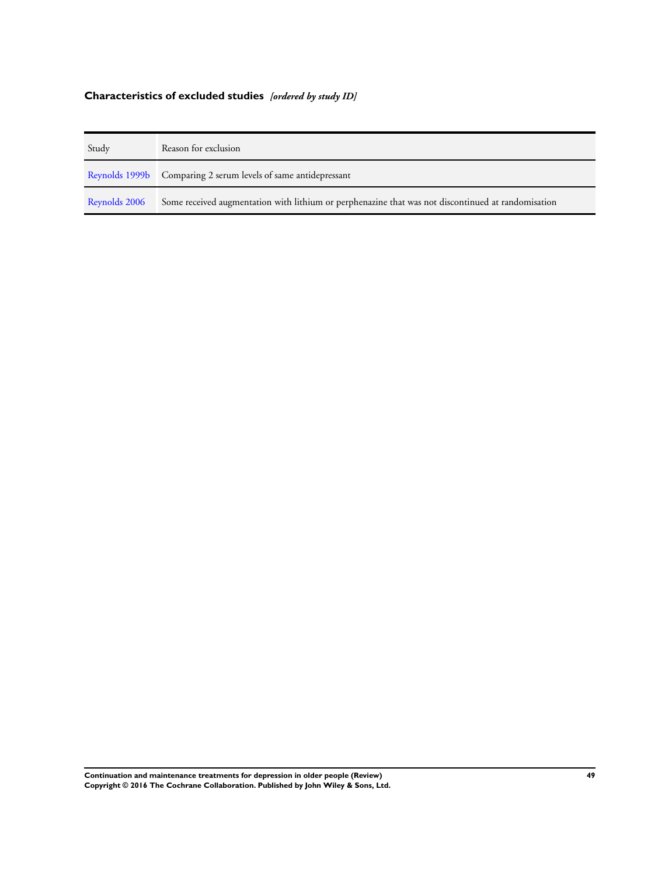# <span id="page-50-0"></span>**Characteristics of excluded studies** *[ordered by study ID]*

| Study         | Reason for exclusion                                                                               |
|---------------|----------------------------------------------------------------------------------------------------|
|               | Reynolds 1999b Comparing 2 serum levels of same antidepressant                                     |
| Reynolds 2006 | Some received augmentation with lithium or perphenazine that was not discontinued at randomisation |

**Continuation and maintenance treatments for depression in older people (Review) 49 Copyright © 2016 The Cochrane Collaboration. Published by John Wiley & Sons, Ltd.**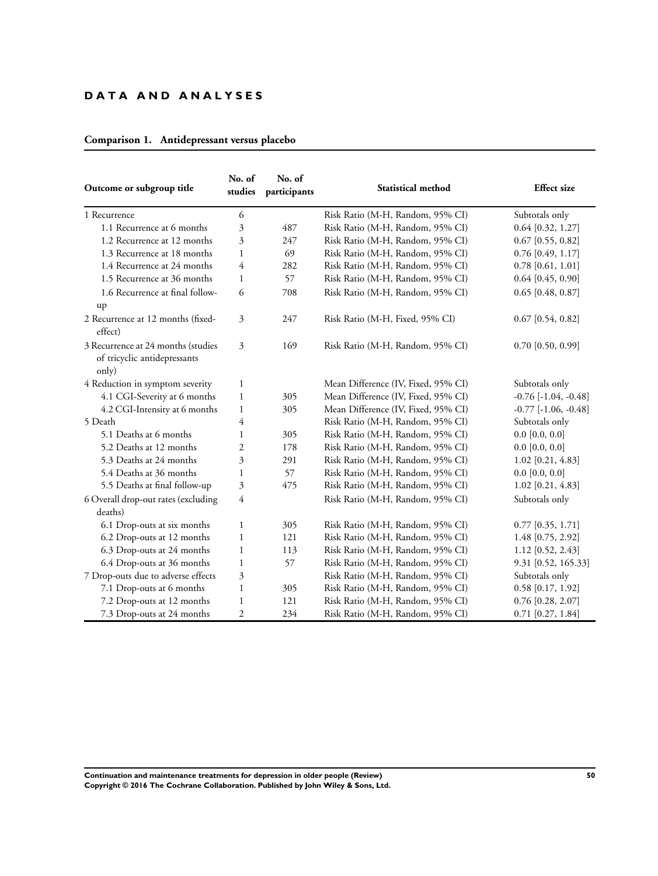# **D A T A A N D A N A L Y S E S**

# **Comparison 1. Antidepressant versus placebo**

| Outcome or subgroup title                                                   | No. of<br>studies | No. of<br>participants | <b>Statistical method</b>           | <b>Effect</b> size            |
|-----------------------------------------------------------------------------|-------------------|------------------------|-------------------------------------|-------------------------------|
| 1 Recurrence                                                                | 6                 |                        | Risk Ratio (M-H, Random, 95% CI)    | Subtotals only                |
| 1.1 Recurrence at 6 months                                                  | 3                 | 487                    | Risk Ratio (M-H, Random, 95% CI)    | $0.64$ [0.32, 1.27]           |
| 1.2 Recurrence at 12 months                                                 | 3                 | 247                    | Risk Ratio (M-H, Random, 95% CI)    | $0.67$ [0.55, 0.82]           |
| 1.3 Recurrence at 18 months                                                 | $\mathbf{1}$      | 69                     | Risk Ratio (M-H, Random, 95% CI)    | $0.76$ [0.49, 1.17]           |
| 1.4 Recurrence at 24 months                                                 | 4                 | 282                    | Risk Ratio (M-H, Random, 95% CI)    | $0.78$ [0.61, 1.01]           |
| 1.5 Recurrence at 36 months                                                 | $\mathbf{1}$      | 57                     | Risk Ratio (M-H, Random, 95% CI)    | $0.64$ [0.45, 0.90]           |
| 1.6 Recurrence at final follow-<br>up                                       | 6                 | 708                    | Risk Ratio (M-H, Random, 95% CI)    | $0.65$ [0.48, 0.87]           |
| 2 Recurrence at 12 months (fixed-<br>effect)                                | 3                 | 247                    | Risk Ratio (M-H, Fixed, 95% CI)     | $0.67$ [0.54, 0.82]           |
| 3 Recurrence at 24 months (studies<br>of tricyclic antidepressants<br>only) | 3                 | 169                    | Risk Ratio (M-H, Random, 95% CI)    | $0.70$ [0.50, 0.99]           |
| 4 Reduction in symptom severity                                             | $\mathbf{1}$      |                        | Mean Difference (IV, Fixed, 95% CI) | Subtotals only                |
| 4.1 CGI-Severity at 6 months                                                | $\mathbf{1}$      | 305                    | Mean Difference (IV, Fixed, 95% CI) | $-0.76$ [ $-1.04$ , $-0.48$ ] |
| 4.2 CGI-Intensity at 6 months                                               | $\mathbf{1}$      | 305                    | Mean Difference (IV, Fixed, 95% CI) | $-0.77$ $[-1.06, -0.48]$      |
| 5 Death                                                                     | 4                 |                        | Risk Ratio (M-H, Random, 95% CI)    | Subtotals only                |
| 5.1 Deaths at 6 months                                                      | $\mathbf{1}$      | 305                    | Risk Ratio (M-H, Random, 95% CI)    | $0.0$ [0.0, 0.0]              |
| 5.2 Deaths at 12 months                                                     | $\overline{2}$    | 178                    | Risk Ratio (M-H, Random, 95% CI)    | $0.0$ [0.0, 0.0]              |
| 5.3 Deaths at 24 months                                                     | 3                 | 291                    | Risk Ratio (M-H, Random, 95% CI)    | $1.02$ [0.21, 4.83]           |
| 5.4 Deaths at 36 months                                                     | $\mathbf{1}$      | 57                     | Risk Ratio (M-H, Random, 95% CI)    | $0.0$ [0.0, 0.0]              |
| 5.5 Deaths at final follow-up                                               | 3                 | 475                    | Risk Ratio (M-H, Random, 95% CI)    | $1.02$ [0.21, 4.83]           |
| 6 Overall drop-out rates (excluding<br>deaths)                              | 4                 |                        | Risk Ratio (M-H, Random, 95% CI)    | Subtotals only                |
| 6.1 Drop-outs at six months                                                 | $\mathbf{1}$      | 305                    | Risk Ratio (M-H, Random, 95% CI)    | $0.77$ [0.35, 1.71]           |
| 6.2 Drop-outs at 12 months                                                  | $\mathbf{1}$      | 121                    | Risk Ratio (M-H, Random, 95% CI)    | 1.48 [0.75, 2.92]             |
| 6.3 Drop-outs at 24 months                                                  | $\mathbf{1}$      | 113                    | Risk Ratio (M-H, Random, 95% CI)    | 1.12 [0.52, 2.43]             |
| 6.4 Drop-outs at 36 months                                                  | $\mathbf{1}$      | 57                     | Risk Ratio (M-H, Random, 95% CI)    | 9.31 [0.52, 165.33]           |
| 7 Drop-outs due to adverse effects                                          | 3                 |                        | Risk Ratio (M-H, Random, 95% CI)    | Subtotals only                |
| 7.1 Drop-outs at 6 months                                                   | $\mathbf{1}$      | 305                    | Risk Ratio (M-H, Random, 95% CI)    | $0.58$ [0.17, 1.92]           |
| 7.2 Drop-outs at 12 months                                                  | $\mathbf{1}$      | 121                    | Risk Ratio (M-H, Random, 95% CI)    | $0.76$ [0.28, 2.07]           |
| 7.3 Drop-outs at 24 months                                                  | $\overline{c}$    | 234                    | Risk Ratio (M-H, Random, 95% CI)    | 0.71 [0.27, 1.84]             |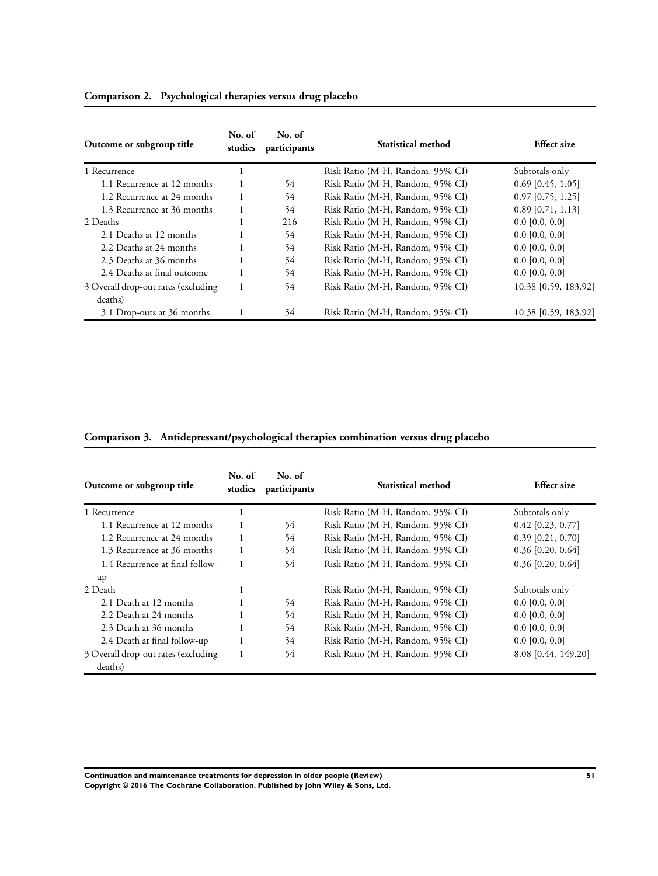|  |  | Comparison 2. Psychological therapies versus drug placebo |  |
|--|--|-----------------------------------------------------------|--|
|--|--|-----------------------------------------------------------|--|

| Outcome or subgroup title           | No. of<br>studies | No. of<br>participants | Statistical method               | <b>Effect</b> size   |
|-------------------------------------|-------------------|------------------------|----------------------------------|----------------------|
| 1 Recurrence                        |                   |                        | Risk Ratio (M-H, Random, 95% CI) | Subtotals only       |
| 1.1 Recurrence at 12 months         |                   | 54                     | Risk Ratio (M-H, Random, 95% CI) | $0.69$ [0.45, 1.05]  |
| 1.2 Recurrence at 24 months         |                   | 54                     | Risk Ratio (M-H, Random, 95% CI) | $0.97$ [0.75, 1.25]  |
| 1.3 Recurrence at 36 months         |                   | 54                     | Risk Ratio (M-H, Random, 95% CI) | $0.89$ [0.71, 1.13]  |
| 2 Deaths                            |                   | 216                    | Risk Ratio (M-H, Random, 95% CI) | $0.0$ [0.0, 0.0]     |
| 2.1 Deaths at 12 months             |                   | 54                     | Risk Ratio (M-H, Random, 95% CI) | $0.0$ [0.0, 0.0]     |
| 2.2 Deaths at 24 months             |                   | 54                     | Risk Ratio (M-H, Random, 95% CI) | $0.0$ [0.0, 0.0]     |
| 2.3 Deaths at 36 months             |                   | 54                     | Risk Ratio (M-H, Random, 95% CI) | $0.0$ [0.0, 0.0]     |
| 2.4 Deaths at final outcome         |                   | 54                     | Risk Ratio (M-H, Random, 95% CI) | $0.0$ [0.0, 0.0]     |
| 3 Overall drop-out rates (excluding |                   | 54                     | Risk Ratio (M-H, Random, 95% CI) | 10.38 [0.59, 183.92] |
| deaths)                             |                   |                        |                                  |                      |
| 3.1 Drop-outs at 36 months          |                   | 54                     | Risk Ratio (M-H, Random, 95% CI) | 10.38 [0.59, 183.92] |

# **Comparison 3. Antidepressant/psychological therapies combination versus drug placebo**

| Outcome or subgroup title                      | No. of<br>studies | No. of<br>participants | Statistical method               | <b>Effect size</b>  |
|------------------------------------------------|-------------------|------------------------|----------------------------------|---------------------|
| 1 Recurrence                                   |                   |                        | Risk Ratio (M-H, Random, 95% CI) | Subtotals only      |
| 1.1 Recurrence at 12 months                    |                   | 54                     | Risk Ratio (M-H, Random, 95% CI) | $0.42$ [0.23, 0.77] |
| 1.2 Recurrence at 24 months                    |                   | 54                     | Risk Ratio (M-H, Random, 95% CI) | $0.39$ [0.21, 0.70] |
| 1.3 Recurrence at 36 months                    | 1                 | 54                     | Risk Ratio (M-H, Random, 95% CI) | $0.36$ [0.20, 0.64] |
| 1.4 Recurrence at final follow-                |                   | 54                     | Risk Ratio (M-H, Random, 95% CI) | $0.36$ [0.20, 0.64] |
| up                                             |                   |                        |                                  |                     |
| 2 Death                                        |                   |                        | Risk Ratio (M-H, Random, 95% CI) | Subtotals only      |
| 2.1 Death at 12 months                         |                   | 54                     | Risk Ratio (M-H, Random, 95% CI) | $0.0$ [0.0, 0.0]    |
| 2.2 Death at 24 months                         |                   | 54                     | Risk Ratio (M-H, Random, 95% CI) | $0.0$ [0.0, 0.0]    |
| 2.3 Death at 36 months                         |                   | 54                     | Risk Ratio (M-H, Random, 95% CI) | $0.0$ [0.0, 0.0]    |
| 2.4 Death at final follow-up                   |                   | 54                     | Risk Ratio (M-H, Random, 95% CI) | $0.0$ [0.0, 0.0]    |
| 3 Overall drop-out rates (excluding<br>deaths) | 1                 | 54                     | Risk Ratio (M-H, Random, 95% CI) | 8.08 [0.44, 149.20] |

**Continuation and maintenance treatments for depression in older people (Review) 51 Copyright © 2016 The Cochrane Collaboration. Published by John Wiley & Sons, Ltd.**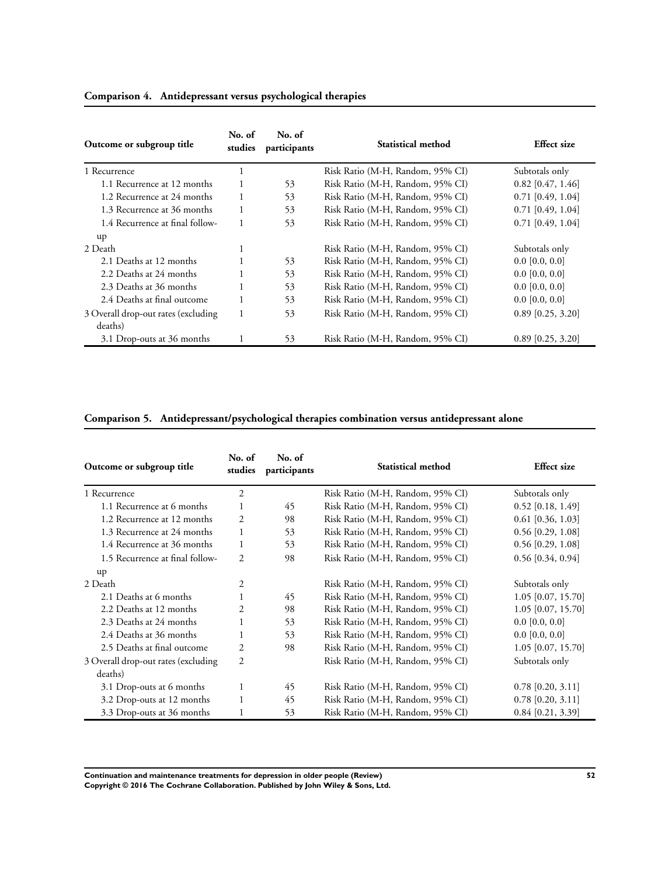| Comparison 4. Antidepressant versus psychological therapies |  |  |  |  |
|-------------------------------------------------------------|--|--|--|--|
|-------------------------------------------------------------|--|--|--|--|

| Outcome or subgroup title                      | No. of<br>studies | No. of<br>participants | <b>Statistical method</b>        | <b>Effect</b> size  |
|------------------------------------------------|-------------------|------------------------|----------------------------------|---------------------|
| 1 Recurrence                                   |                   |                        | Risk Ratio (M-H, Random, 95% CI) | Subtotals only      |
| 1.1 Recurrence at 12 months                    |                   | 53                     | Risk Ratio (M-H, Random, 95% CI) | $0.82$ [0.47, 1.46] |
| 1.2 Recurrence at 24 months                    |                   | 53                     | Risk Ratio (M-H, Random, 95% CI) | $0.71$ [0.49, 1.04] |
| 1.3 Recurrence at 36 months                    | 1                 | 53                     | Risk Ratio (M-H, Random, 95% CI) | $0.71$ [0.49, 1.04] |
| 1.4 Recurrence at final follow-                |                   | 53                     | Risk Ratio (M-H, Random, 95% CI) | $0.71$ [0.49, 1.04] |
| up                                             |                   |                        |                                  |                     |
| 2 Death                                        |                   |                        | Risk Ratio (M-H, Random, 95% CI) | Subtotals only      |
| 2.1 Deaths at 12 months                        |                   | 53                     | Risk Ratio (M-H, Random, 95% CI) | $0.0$ [0.0, 0.0]    |
| 2.2 Deaths at 24 months                        |                   | 53                     | Risk Ratio (M-H, Random, 95% CI) | $0.0$ [0.0, 0.0]    |
| 2.3 Deaths at 36 months                        |                   | 53                     | Risk Ratio (M-H, Random, 95% CI) | $0.0$ [0.0, 0.0]    |
| 2.4 Deaths at final outcome                    | $\mathbf{1}$      | 53                     | Risk Ratio (M-H, Random, 95% CI) | $0.0$ [0.0, 0.0]    |
| 3 Overall drop-out rates (excluding<br>deaths) | 1                 | 53                     | Risk Ratio (M-H, Random, 95% CI) | $0.89$ [0.25, 3.20] |
| 3.1 Drop-outs at 36 months                     |                   | 53                     | Risk Ratio (M-H, Random, 95% CI) | $0.89$ [0.25, 3.20] |

# **Comparison 5. Antidepressant/psychological therapies combination versus antidepressant alone**

| Outcome or subgroup title           | No. of<br>studies | No. of<br>participants | Statistical method               | <b>Effect</b> size   |
|-------------------------------------|-------------------|------------------------|----------------------------------|----------------------|
| 1 Recurrence                        | $\overline{2}$    |                        | Risk Ratio (M-H, Random, 95% CI) | Subtotals only       |
| 1.1 Recurrence at 6 months          |                   | 45                     | Risk Ratio (M-H, Random, 95% CI) | $0.52$ [0.18, 1.49]  |
| 1.2 Recurrence at 12 months         | 2                 | 98                     | Risk Ratio (M-H, Random, 95% CI) | $0.61$ [0.36, 1.03]  |
| 1.3 Recurrence at 24 months         | $\mathbf{1}$      | 53                     | Risk Ratio (M-H, Random, 95% CI) | $0.56$ [0.29, 1.08]  |
| 1.4 Recurrence at 36 months         | 1                 | 53                     | Risk Ratio (M-H, Random, 95% CI) | $0.56$ [0.29, 1.08]  |
| 1.5 Recurrence at final follow-     | $\overline{2}$    | 98                     | Risk Ratio (M-H, Random, 95% CI) | $0.56$ [0.34, 0.94]  |
| up                                  |                   |                        |                                  |                      |
| 2 Death                             | 2                 |                        | Risk Ratio (M-H, Random, 95% CI) | Subtotals only       |
| 2.1 Deaths at 6 months              |                   | 45                     | Risk Ratio (M-H, Random, 95% CI) | $1.05$ [0.07, 15.70] |
| 2.2 Deaths at 12 months             | 2                 | 98                     | Risk Ratio (M-H, Random, 95% CI) | $1.05$ [0.07, 15.70] |
| 2.3 Deaths at 24 months             |                   | 53                     | Risk Ratio (M-H, Random, 95% CI) | $0.0$ [0.0, 0.0]     |
| 2.4 Deaths at 36 months             |                   | 53                     | Risk Ratio (M-H, Random, 95% CI) | $0.0$ [0.0, 0.0]     |
| 2.5 Deaths at final outcome         | 2                 | 98                     | Risk Ratio (M-H, Random, 95% CI) | $1.05$ [0.07, 15.70] |
| 3 Overall drop-out rates (excluding | $\overline{2}$    |                        | Risk Ratio (M-H, Random, 95% CI) | Subtotals only       |
| deaths)                             |                   |                        |                                  |                      |
| 3.1 Drop-outs at 6 months           |                   | 45                     | Risk Ratio (M-H, Random, 95% CI) | $0.78$ [0.20, 3.11]  |
| 3.2 Drop-outs at 12 months          |                   | 45                     | Risk Ratio (M-H, Random, 95% CI) | $0.78$ [0.20, 3.11]  |
| 3.3 Drop-outs at 36 months          |                   | 53                     | Risk Ratio (M-H, Random, 95% CI) | $0.84$ [0.21, 3.39]  |

**Continuation and maintenance treatments for depression in older people (Review) 52 Copyright © 2016 The Cochrane Collaboration. Published by John Wiley & Sons, Ltd.**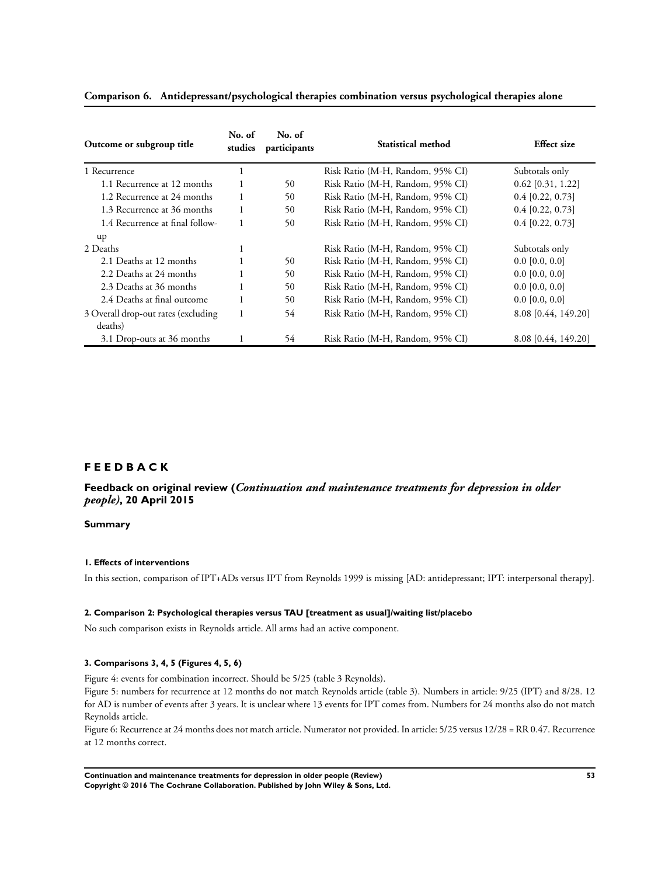| Outcome or subgroup title           | No. of<br>studies | No. of<br>participants | Statistical method               | <b>Effect size</b>  |
|-------------------------------------|-------------------|------------------------|----------------------------------|---------------------|
| 1 Recurrence                        |                   |                        | Risk Ratio (M-H, Random, 95% CI) | Subtotals only      |
| 1.1 Recurrence at 12 months         | л.                | 50                     | Risk Ratio (M-H, Random, 95% CI) | $0.62$ [0.31, 1.22] |
| 1.2 Recurrence at 24 months         | 1                 | 50                     | Risk Ratio (M-H, Random, 95% CI) | $0.4$ [0.22, 0.73]  |
| 1.3 Recurrence at 36 months         | 1                 | 50                     | Risk Ratio (M-H, Random, 95% CI) | $0.4$ [0.22, 0.73]  |
| 1.4 Recurrence at final follow-     | 1                 | 50                     | Risk Ratio (M-H, Random, 95% CI) | $0.4$ [0.22, 0.73]  |
| up                                  |                   |                        |                                  |                     |
| 2 Deaths                            |                   |                        | Risk Ratio (M-H, Random, 95% CI) | Subtotals only      |
| 2.1 Deaths at 12 months             |                   | 50                     | Risk Ratio (M-H, Random, 95% CI) | $0.0$ [0.0, 0.0]    |
| 2.2 Deaths at 24 months             |                   | 50                     | Risk Ratio (M-H, Random, 95% CI) | $0.0$ [0.0, 0.0]    |
| 2.3 Deaths at 36 months             |                   | 50                     | Risk Ratio (M-H, Random, 95% CI) | $0.0$ [0.0, 0.0]    |
| 2.4 Deaths at final outcome         |                   | 50                     | Risk Ratio (M-H, Random, 95% CI) | $0.0$ [0.0, 0.0]    |
| 3 Overall drop-out rates (excluding | 1                 | 54                     | Risk Ratio (M-H, Random, 95% CI) | 8.08 [0.44, 149.20] |
| deaths)                             |                   |                        |                                  |                     |
| 3.1 Drop-outs at 36 months          |                   | 54                     | Risk Ratio (M-H, Random, 95% CI) | 8.08 [0.44, 149.20] |

### **Comparison 6. Antidepressant/psychological therapies combination versus psychological therapies alone**

### **F E E D B A C K**

# **Feedback on original review (***Continuation and maintenance treatments for depression in older people)***, 20 April 2015**

#### **Summary**

#### **1. Effects of interventions**

In this section, comparison of IPT+ADs versus IPT from Reynolds 1999 is missing [AD: antidepressant; IPT: interpersonal therapy].

#### **2. Comparison 2: Psychological therapies versus TAU [treatment as usual]/waiting list/placebo**

No such comparison exists in Reynolds article. All arms had an active component.

### **3. Comparisons 3, 4, 5 (Figures 4, 5, 6)**

Figure 4: events for combination incorrect. Should be 5/25 (table 3 Reynolds).

Figure 5: numbers for recurrence at 12 months do not match Reynolds article (table 3). Numbers in article: 9/25 (IPT) and 8/28. 12 for AD is number of events after 3 years. It is unclear where 13 events for IPT comes from. Numbers for 24 months also do not match Reynolds article.

Figure 6: Recurrence at 24 months does not match article. Numerator not provided. In article: 5/25 versus 12/28 = RR 0.47. Recurrence at 12 months correct.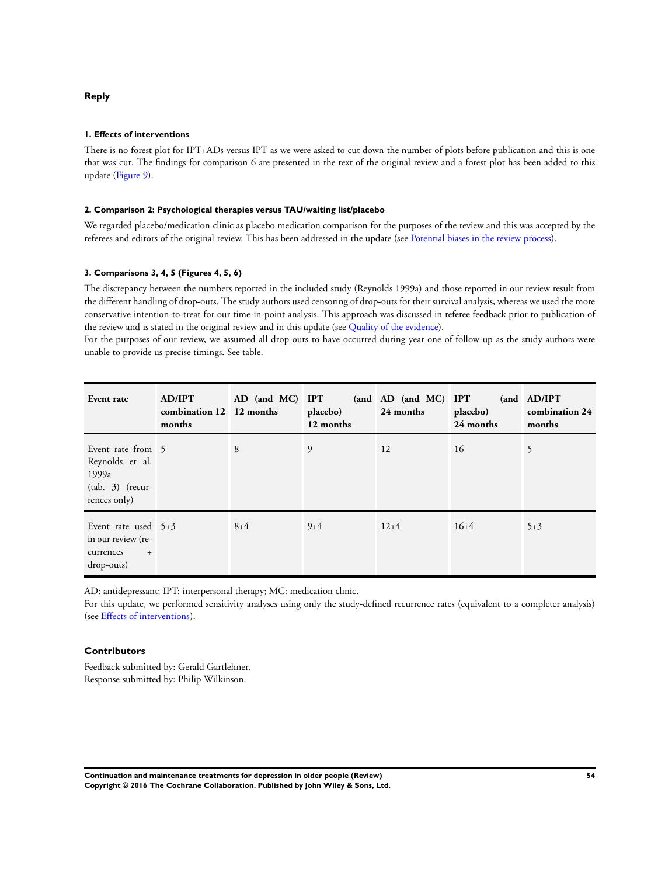### **Reply**

#### **1. Effects of interventions**

There is no forest plot for IPT+ADs versus IPT as we were asked to cut down the number of plots before publication and this is one that was cut. The findings for comparison 6 are presented in the text of the original review and a forest plot has been added to this update ([Figure 9\)](#page-28-0).

### **2. Comparison 2: Psychological therapies versus TAU/waiting list/placebo**

We regarded placebo/medication clinic as placebo medication comparison for the purposes of the review and this was accepted by the referees and editors of the original review. This has been addressed in the update (see [Potential biases in the review process](#page-31-0)).

### **3. Comparisons 3, 4, 5 (Figures 4, 5, 6)**

The discrepancy between the numbers reported in the included study (Reynolds 1999a) and those reported in our review result from the different handling of drop-outs. The study authors used censoring of drop-outs for their survival analysis, whereas we used the more conservative intention-to-treat for our time-in-point analysis. This approach was discussed in referee feedback prior to publication of the review and is stated in the original review and in this update (see [Quality of the evidence](#page-28-0)).

For the purposes of our review, we assumed all drop-outs to have occurred during year one of follow-up as the study authors were unable to provide us precise timings. See table.

| Event rate                                                                          | AD/IPT<br>combination 12 12 months<br>months |         | placebo)<br>12 months | AD (and MC) IPT (and AD (and MC) IPT<br>24 months | placebo)<br>24 months | (and AD/IPT)<br>combination 24<br>months |
|-------------------------------------------------------------------------------------|----------------------------------------------|---------|-----------------------|---------------------------------------------------|-----------------------|------------------------------------------|
| Event rate from 5<br>Reynolds et al.<br>1999a<br>$(tab. 3)$ (recur-<br>rences only) |                                              | 8       | 9                     | 12                                                | 16                    | 5                                        |
| Event rate used $5+3$<br>in our review (re-<br>currences<br>$+$<br>drop-outs)       |                                              | $8 + 4$ | $9 + 4$               | $12+4$                                            | $16+4$                | $5 + 3$                                  |

AD: antidepressant; IPT: interpersonal therapy; MC: medication clinic.

For this update, we performed sensitivity analyses using only the study-defined recurrence rates (equivalent to a completer analysis) (see [Effects of interventions\)](#page-18-0).

### **Contributors**

Feedback submitted by: Gerald Gartlehner. Response submitted by: Philip Wilkinson.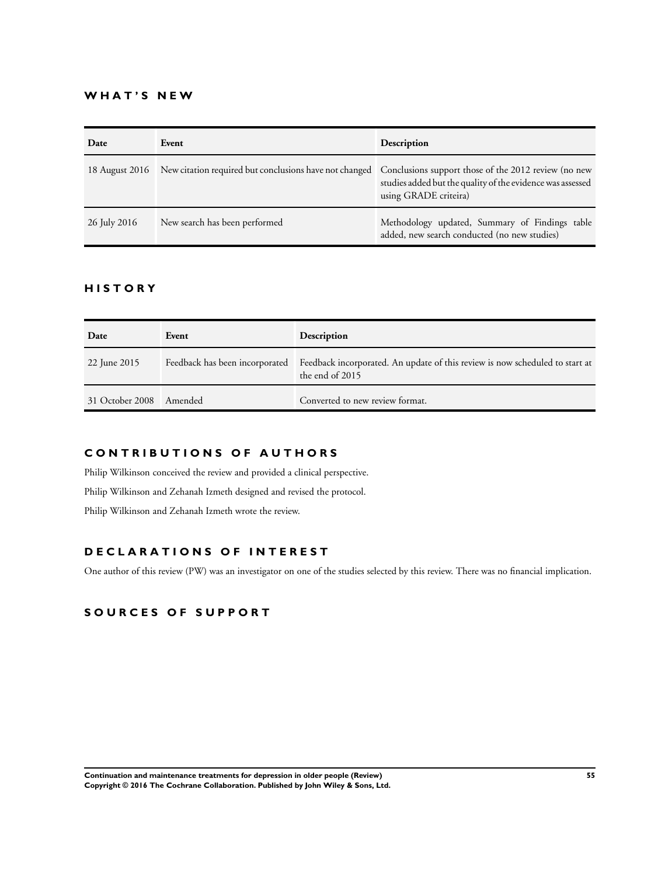# **W H A T ' S N E W**

| Date           | Event                                                                                                       | Description                                                                                    |
|----------------|-------------------------------------------------------------------------------------------------------------|------------------------------------------------------------------------------------------------|
| 18 August 2016 | New citation required but conclusions have not changed Conclusions support those of the 2012 review (no new | studies added but the quality of the evidence was assessed<br>using GRADE criteira)            |
| 26 July 2016   | New search has been performed                                                                               | Methodology updated, Summary of Findings table<br>added, new search conducted (no new studies) |

# **H I S T O R Y**

| Date            | Event   | Description                                                                                                                    |
|-----------------|---------|--------------------------------------------------------------------------------------------------------------------------------|
| 22 June 2015    |         | Feedback has been incorporated Feedback incorporated. An update of this review is now scheduled to start at<br>the end of 2015 |
| 31 October 2008 | Amended | Converted to new review format.                                                                                                |

# **C O N T R I B U T I O N S O F A U T H O R S**

Philip Wilkinson conceived the review and provided a clinical perspective. Philip Wilkinson and Zehanah Izmeth designed and revised the protocol. Philip Wilkinson and Zehanah Izmeth wrote the review.

# **D E C L A R A T I O N S O F I N T E R E S T**

One author of this review (PW) was an investigator on one of the studies selected by this review. There was no financial implication.

# **S O U R C E S O F S U P P O R T**